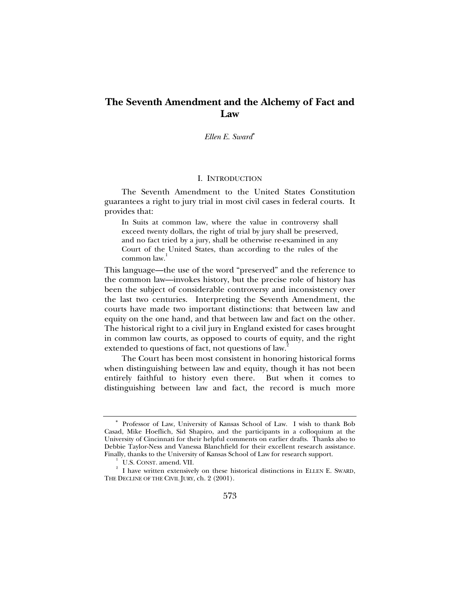# **The Seventh Amendment and the Alchemy of Fact and Law**

*Ellen E. Sward*<sup>∗</sup>

### I. INTRODUCTION

The Seventh Amendment to the United States Constitution guarantees a right to jury trial in most civil cases in federal courts. It provides that:

In Suits at common law, where the value in controversy shall exceed twenty dollars, the right of trial by jury shall be preserved, and no fact tried by a jury, shall be otherwise re-examined in any Court of the United States, than according to the rules of the common law.<sup>1</sup>

This language—the use of the word "preserved" and the reference to the common law—invokes history, but the precise role of history has been the subject of considerable controversy and inconsistency over the last two centuries. Interpreting the Seventh Amendment, the courts have made two important distinctions: that between law and equity on the one hand, and that between law and fact on the other. The historical right to a civil jury in England existed for cases brought in common law courts, as opposed to courts of equity, and the right extended to questions of fact, not questions of law.<sup>2</sup>

The Court has been most consistent in honoring historical forms when distinguishing between law and equity, though it has not been entirely faithful to history even there. But when it comes to distinguishing between law and fact, the record is much more

<sup>∗</sup> Professor of Law, University of Kansas School of Law. I wish to thank Bob Casad, Mike Hoeflich, Sid Shapiro, and the participants in a colloquium at the University of Cincinnati for their helpful comments on earlier drafts. Thanks also to Debbie Taylor-Ness and Vanessa Blanchfield for their excellent research assistance. Finally, thanks to the University of Kansas School of Law for research support. 1

 $\,$ <sup>1</sup> U.S. CONST. amend. VII.

 $2$  I have written extensively on these historical distinctions in ELLEN E. SWARD, THE DECLINE OF THE CIVIL JURY, ch. 2 (2001).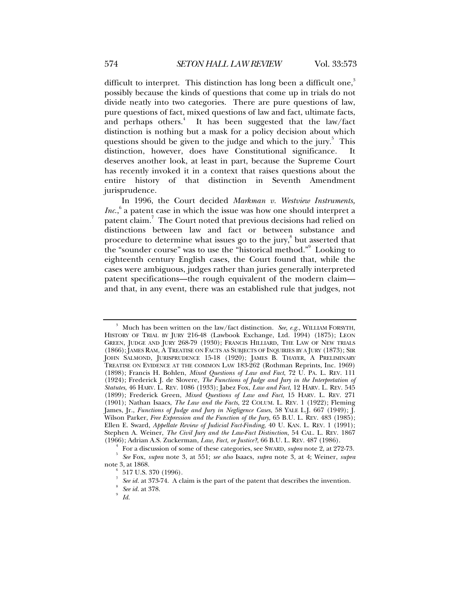difficult to interpret. This distinction has long been a difficult one, $3$ possibly because the kinds of questions that come up in trials do not divide neatly into two categories. There are pure questions of law, pure questions of fact, mixed questions of law and fact, ultimate facts, and perhaps others.<sup>4</sup> It has been suggested that the law/fact distinction is nothing but a mask for a policy decision about which questions should be given to the judge and which to the jury. $5$  This distinction, however, does have Constitutional significance. It deserves another look, at least in part, because the Supreme Court has recently invoked it in a context that raises questions about the entire history of that distinction in Seventh Amendment jurisprudence.

In 1996, the Court decided *Markman v. Westview Instruments, Inc.*,<sup>6</sup> a patent case in which the issue was how one should interpret a patent claim.<sup>7</sup> The Court noted that previous decisions had relied on distinctions between law and fact or between substance and procedure to determine what issues go to the jury,<sup>8</sup> but asserted that the "sounder course" was to use the "historical method." Looking to eighteenth century English cases, the Court found that, while the cases were ambiguous, judges rather than juries generally interpreted patent specifications—the rough equivalent of the modern claim and that, in any event, there was an established rule that judges, not

<sup>&</sup>lt;sup>3</sup> Much has been written on the law/fact distinction. *See, e.g.*, WILLIAM FORSYTH, HISTORY OF TRIAL BY JURY 216-48 (Lawbook Exchange, Ltd. 1994) (1875); LEON GREEN, JUDGE AND JURY 268-79 (1930); FRANCIS HILLIARD, THE LAW OF NEW TRIALS (1866); JAMES RAM, A TREATISE ON FACTS AS SUBJECTS OF INQUIRIES BY A JURY (1873); SIR JOHN SALMOND, JURISPRUDENCE 15-18 (1920); JAMES B. THAYER, A PRELIMINARY TREATISE ON EVIDENCE AT THE COMMON LAW 183-262 (Rothman Reprints, Inc. 1969) (1898); Francis H. Bohlen, *Mixed Questions of Law and Fact*, 72 U. PA. L. REV. 111 (1924); Frederick J. de Slovere, *The Functions of Judge and Jury in the Interpretation of Statutes*, 46 HARV. L. REV. 1086 (1933); Jabez Fox, *Law and Fact*, 12 HARV. L. REV. 545 (1899); Frederick Green, *Mixed Questions of Law and Fact*, 15 HARV. L. REV. 271 (1901); Nathan Isaacs, *The Law and the Facts*, 22 COLUM. L. REV. 1 (1922); Fleming James, Jr., *Functions of Judge and Jury in Negligence Cases*, 58 YALE L.J. 667 (1949); J. Wilson Parker, *Free Expression and the Function of the Jury*, 65 B.U. L. REV. 483 (1985); Ellen E. Sward, *Appellate Review of Judicial Fact-Finding*, 40 U. KAN. L. REV. 1 (1991); Stephen A. Weiner, *The Civil Jury and the Law-Fact Distinction*, 54 CAL. L. REV. 1867

<sup>(1966);</sup> Adrian A.S. Zuckerman, *Law, Fact, or Justice?*, 66 B.U. L. REV. 487 (1986). 4

For a discussion of some of these categories, see SWARD, *supra* note 2, at 272-73. 5  *See* Fox, *supra* note 3, at 551; *see also* Isaacs, *supra* note 3, at 4; Weiner, *supra* note 3, at 1868. 6

 <sup>517</sup> U.S. 370 (1996).

<sup>7</sup> *See id.* at 373-74. A claim is the part of the patent that describes the invention.

*See id.* at 378.

*Id.*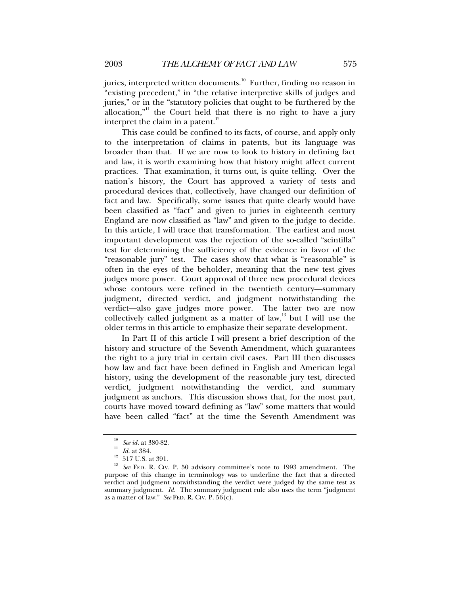juries, interpreted written documents.<sup>10</sup> Further, finding no reason in "existing precedent," in "the relative interpretive skills of judges and juries," or in the "statutory policies that ought to be furthered by the allocation,"<sup>11</sup> the Court held that there is no right to have a jury interpret the claim in a patent. $^{12}$ 

This case could be confined to its facts, of course, and apply only to the interpretation of claims in patents, but its language was broader than that. If we are now to look to history in defining fact and law, it is worth examining how that history might affect current practices. That examination, it turns out, is quite telling. Over the nation's history, the Court has approved a variety of tests and procedural devices that, collectively, have changed our definition of fact and law. Specifically, some issues that quite clearly would have been classified as "fact" and given to juries in eighteenth century England are now classified as "law" and given to the judge to decide. In this article, I will trace that transformation. The earliest and most important development was the rejection of the so-called "scintilla" test for determining the sufficiency of the evidence in favor of the "reasonable jury" test. The cases show that what is "reasonable" is often in the eyes of the beholder, meaning that the new test gives judges more power. Court approval of three new procedural devices whose contours were refined in the twentieth century—summary judgment, directed verdict, and judgment notwithstanding the verdict—also gave judges more power. The latter two are now collectively called judgment as a matter of law, $13$  but I will use the older terms in this article to emphasize their separate development.

In Part II of this article I will present a brief description of the history and structure of the Seventh Amendment, which guarantees the right to a jury trial in certain civil cases. Part III then discusses how law and fact have been defined in English and American legal history, using the development of the reasonable jury test, directed verdict, judgment notwithstanding the verdict, and summary judgment as anchors. This discussion shows that, for the most part, courts have moved toward defining as "law" some matters that would have been called "fact" at the time the Seventh Amendment was

<sup>&</sup>lt;sup>10</sup> See id. at 380-82.<br><sup>11</sup> Id. at 384.<br><sup>12</sup> 517 U.S. at 391.

<sup>&</sup>lt;sup>13</sup> See FED. R. CIV. P. 50 advisory committee's note to 1993 amendment. The purpose of this change in terminology was to underline the fact that a directed verdict and judgment notwithstanding the verdict were judged by the same test as summary judgment. *Id.* The summary judgment rule also uses the term "judgment" as a matter of law." *See* FED. R. CIV. P. 56(c).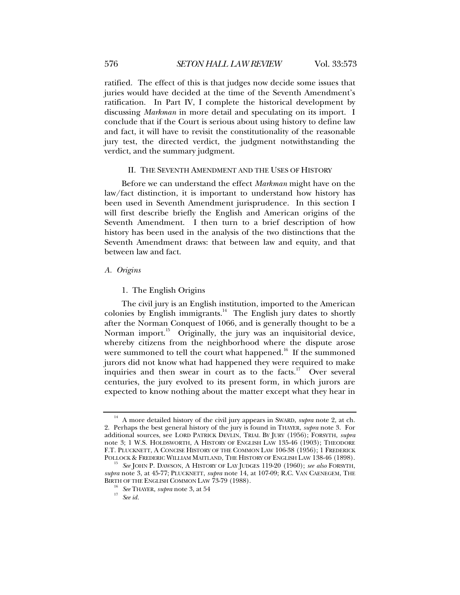ratified. The effect of this is that judges now decide some issues that juries would have decided at the time of the Seventh Amendment's ratification. In Part IV, I complete the historical development by discussing *Markman* in more detail and speculating on its import. I conclude that if the Court is serious about using history to define law and fact, it will have to revisit the constitutionality of the reasonable jury test, the directed verdict, the judgment notwithstanding the verdict, and the summary judgment.

# II. THE SEVENTH AMENDMENT AND THE USES OF HISTORY

Before we can understand the effect *Markman* might have on the law/fact distinction, it is important to understand how history has been used in Seventh Amendment jurisprudence. In this section I will first describe briefly the English and American origins of the Seventh Amendment. I then turn to a brief description of how history has been used in the analysis of the two distinctions that the Seventh Amendment draws: that between law and equity, and that between law and fact.

# *A. Origins*

1. The English Origins

The civil jury is an English institution, imported to the American colonies by English immigrants.<sup>14</sup> The English jury dates to shortly after the Norman Conquest of 1066, and is generally thought to be a Norman import.<sup>15</sup> Originally, the jury was an inquisitorial device, whereby citizens from the neighborhood where the dispute arose were summoned to tell the court what happened.<sup>16</sup> If the summoned jurors did not know what had happened they were required to make inquiries and then swear in court as to the facts.<sup>17</sup> Over several centuries, the jury evolved to its present form, in which jurors are expected to know nothing about the matter except what they hear in

<sup>&</sup>lt;sup>14</sup> A more detailed history of the civil jury appears in SWARD, *supra* note 2, at ch. 2. Perhaps the best general history of the jury is found in THAYER, *supra* note 3. For additional sources, see LORD PATRICK DEVLIN, TRIAL BY JURY (1956); FORSYTH, *supra* note 3; 1 W.S. HOLDSWORTH, A HISTORY OF ENGLISH LAW 135-46 (1903); THEODORE F.T. PLUCKNETT, A CONCISE HISTORY OF THE COMMON LAW 106-38 (1956); 1 FREDERICK POLLOCK & FREDERIC WILLIAM MAITLAND, THE HISTORY OF ENGLISH LAW 138-46 (1898).

See JOHN P. DAWSON, A HISTORY OF LAY JUDGES 119-20 (1960); see also FORSYTH, *supra* note 3, at 45-77; PLUCKNETT, *supra* note 14, at 107-09; R.C. VAN CAENEGEM, THE

<sup>&</sup>lt;sup>16</sup> See THAYER, *supra* note 3, at 54<sup>17</sup> See id.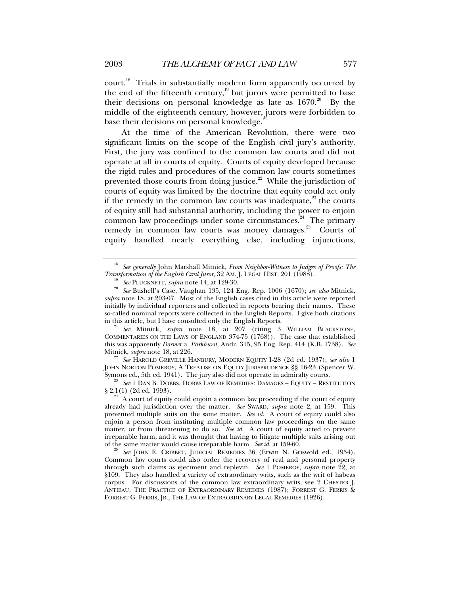court.<sup>18</sup> Trials in substantially modern form apparently occurred by the end of the fifteenth century, $\frac{19}{19}$  but jurors were permitted to base their decisions on personal knowledge as late as  $1670$ .<sup>20</sup> By the middle of the eighteenth century, however, jurors were forbidden to base their decisions on personal knowledge.<sup>2</sup>

At the time of the American Revolution, there were two significant limits on the scope of the English civil jury's authority. First, the jury was confined to the common law courts and did not operate at all in courts of equity. Courts of equity developed because the rigid rules and procedures of the common law courts sometimes prevented those courts from doing justice.<sup>22</sup> While the jurisdiction of courts of equity was limited by the doctrine that equity could act only if the remedy in the common law courts was inadequate, $^{23}$  the courts of equity still had substantial authority, including the power to enjoin common law proceedings under some circumstances.<sup>24</sup> The primary remedy in common law courts was money damages.<sup>25</sup> Courts of equity handled nearly everything else, including injunctions,

<sup>21</sup> See Mitnick, *supra* note 18, at 207 (citing 3 WILLIAM BLACKSTONE, COMMENTARIES ON THE LAWS OF ENGLAND 374-75 (1768)). The case that established this was apparently *Dormer v. Parkhurst*, Andr. 315, 95 Eng. Rep. 414 (K.B. 1738). *See*

<sup>22</sup> See HAROLD GREVILLE HANBURY, MODERN EQUITY 1-28 (2d ed. 1937); see also 1 JOHN NORTON POMEROY, A TREATISE ON EQUITY JURISPRUDENCE §§ 16-23 (Spencer W. Symons ed., 5th ed. 1941). The jury also did not operate in admiralty courts.

<sup>23</sup> See 1 DAN B. DOBBS, DOBBS LAW OF REMEDIES: DAMAGES – EQUITY – RESTITUTION § 2.1(1) (2d ed. 1993).

 $^{24}$  A court of equity could enjoin a common law proceeding if the court of equity already had jurisdiction over the matter. *See* SWARD, *supra* note 2, at 159. This prevented multiple suits on the same matter. *See id.* A court of equity could also enjoin a person from instituting multiple common law proceedings on the same matter, or from threatening to do so. *See id*. A court of equity acted to prevent irreparable harm, and it was thought that having to litigate multiple suits arising out of the same matter would cause irreparable harm. See id. at 159-60.

<sup>25</sup> See JOHN E. CRIBBET, JUDICIAL REMEDIES 36 (Erwin N. Griswold ed., 1954). Common law courts could also order the recovery of real and personal property through such claims as ejectment and replevin. *See* 1 POMEROY, *supra* note 22, at §109. They also handled a variety of extraordinary writs, such as the writ of habeas corpus. For discussions of the common law extraordinary writs, see 2 CHESTER J. ANTIEAU, THE PRACTICE OF EXTRAORDINARY REMEDIES (1987); FORREST G. FERRIS & FORREST G. FERRIS, JR., THE LAW OF EXTRAORDINARY LEGAL REMEDIES (1926).

<sup>&</sup>lt;sup>18</sup> See generally John Marshall Mitnick, *From Neighbor-Witness to Judges of Proofs: The Transformation of the English Civil Juror, 32 AM. J. LEGAL HIST. 201 (1988).* 

<sup>&</sup>lt;sup>19</sup> See PLUCKNETT, *supra* note 14, at 129-30.<br><sup>20</sup> See Bushell's Case, Vaughan 135, 124 Eng. Rep. 1006 (1670); *see also* Mitnick, *supra* note 18, at 203-07. Most of the English cases cited in this article were reported initially by individual reporters and collected in reports bearing their names. These so-called nominal reports were collected in the English Reports. I give both citations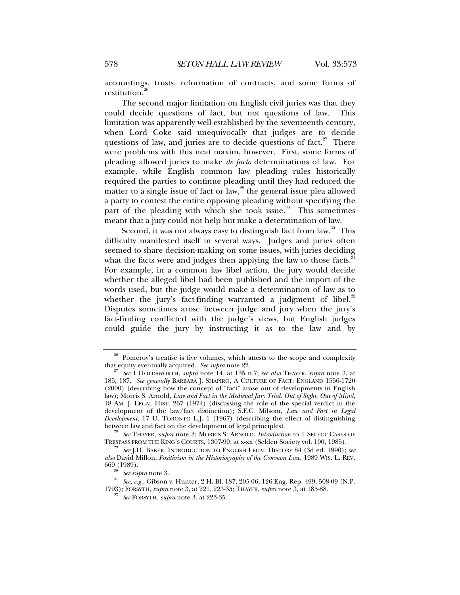accountings, trusts, reformation of contracts, and some forms of restitution.<sup>2</sup>

The second major limitation on English civil juries was that they could decide questions of fact, but not questions of law. This limitation was apparently well-established by the seventeenth century, when Lord Coke said unequivocally that judges are to decide questions of law, and juries are to decide questions of fact.<sup>27</sup> There were problems with this neat maxim, however. First, some forms of pleading allowed juries to make *de facto* determinations of law. For example, while English common law pleading rules historically required the parties to continue pleading until they had reduced the matter to a single issue of fact or  $law<sub>1</sub><sup>28</sup>$  the general issue plea allowed a party to contest the entire opposing pleading without specifying the part of the pleading with which she took issue.<sup>29</sup> This sometimes meant that a jury could not help but make a determination of law.

Second, it was not always easy to distinguish fact from law.<sup>30</sup> This difficulty manifested itself in several ways. Judges and juries often seemed to share decision-making on some issues, with juries deciding what the facts were and judges then applying the law to those facts.<sup>3</sup> For example, in a common law libel action, the jury would decide whether the alleged libel had been published and the import of the words used, but the judge would make a determination of law as to whether the jury's fact-finding warranted a judgment of libel. $32$ Disputes sometimes arose between judge and jury when the jury's fact-finding conflicted with the judge's views, but English judges could guide the jury by instructing it as to the law and by

<sup>&</sup>lt;sup>26</sup> Pomeroy's treatise is five volumes, which attests to the scope and complexity that equity eventually acquired. *See supra* note 22.

that equity eventually acquired. *See supra* note 22. 27 *See* 1 HOLDSWORTH, *supra* note 14, at 135 n.7; *see also* THAYER, *supra* note 3, at 185, 187. *See generally* BARBARA J. SHAPIRO, A CULTURE OF FACT: ENGLAND 1550-1720 (2000) (describing how the concept of "fact" arose out of developments in English law); Morris S. Arnold, *Law and Fact in the Medieval Jury Trial: Out of Sight, Out of Mind*, 18 AM. J. LEGAL HIST. 267 (1974) (discussing the role of the special verdict in the development of the law/fact distinction); S.F.C. Milsom, *Law and Fact in Legal Development*, 17 U. TORONTO L.J. 1 (1967) (describing the effect of distinguishing between law and fact on the development of legal principles).

<sup>&</sup>lt;sup>28</sup> See THAYER, *supra* note 3; MORRIS S. ARNOLD, *Introduction* to 1 SELECT CASES OF TRESPASS FROM THE KING'S COURTS, 1307-99, at x-xx (Selden Society vol. 100, 1985).

<sup>&</sup>lt;sup>29</sup> See J.H. BAKER, INTRODUCTION TO ENGLISH LEGAL HISTORY 84 (3d ed. 1990); see *also* David Millon, *Positivism in the Historiography of the Common Law*, 1989 WIS. L. REV.

<sup>&</sup>lt;sup>30</sup> See *supra* note 3.<br><sup>31</sup> See, e.g., Gibson v. Hunter, 2 H. Bl. 187, 205-06, 126 Eng. Rep. 499, 508-09 (N.P. 1793); FORSYTH, *supra* note 3, at 221, 223-35; THAYER, *supra* note 3, at 185-88. 32 *See* FORSYTH, *supra* note 3, at 223-35.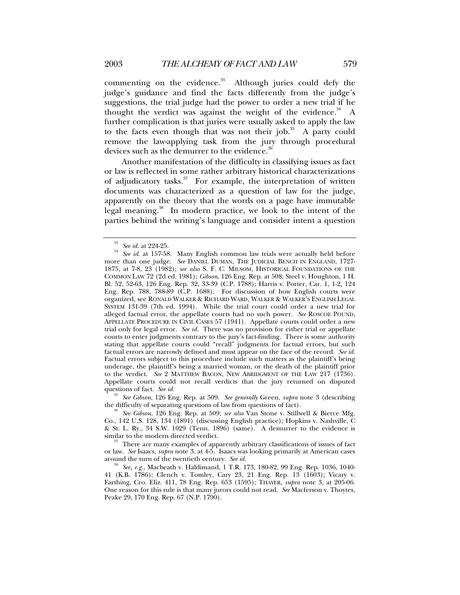commenting on the evidence. $33$  Although juries could defy the judge's guidance and find the facts differently from the judge's suggestions, the trial judge had the power to order a new trial if he thought the verdict was against the weight of the evidence. $34$  A further complication is that juries were usually asked to apply the law to the facts even though that was not their job.<sup>35</sup> A party could remove the law-applying task from the jury through procedural devices such as the demurrer to the evidence.<sup>36</sup>

Another manifestation of the difficulty in classifying issues as fact or law is reflected in some rather arbitrary historical characterizations of adjudicatory tasks. $37$  For example, the interpretation of written documents was characterized as a question of law for the judge, apparently on the theory that the words on a page have immutable legal meaning.<sup>38</sup> In modern practice, we look to the intent of the parties behind the writing's language and consider intent a question

questions of fact. *See id.* 35<br><sup>35</sup> *See Gibson*, 126 Eng. Rep. at 509. *See generally* Green, *supra* note 3 (describing the difficulty of separating questions of law from questions of fact).

<sup>33</sup> *See id*. at 224-25. 34 *See id.* at 157-58. Many English common law trials were actually held before more than one judge. *See* DANIEL DUMAN, THE JUDICIAL BENCH IN ENGLAND, 1727- 1875, at 7-8, 23 (1982); *see also* S. F. C. MILSOM, HISTORICAL FOUNDATIONS OF THE COMMON LAW 72 (2d ed. 1981); *Gibson*, 126 Eng. Rep. at 508; Steel v. Houghton, 1 H. Bl. 52, 52-63, 126 Eng. Rep. 32, 33-39 (C.P. 1788); Harris v. Porter, Car. 1, 1-2, 124 Eng. Rep. 788, 788-89 (C.P. 1688). For discussion of how English courts were organized, see RONALD WALKER & RICHARD WARD, WALKER & WALKER'S ENGLISH LEGAL SYSTEM 131-39 (7th ed. 1994). While the trial court could order a new trial for alleged factual error, the appellate courts had no such power. *See* ROSCOE POUND, APPELLATE PROCEDURE IN CIVIL CASES 57 (1941). Appellate courts could order a new trial only for legal error. *See id.* There was no provision for either trial or appellate courts to enter judgments contrary to the jury's fact-finding. There is some authority stating that appellate courts could "recall" judgments for factual errors, but such factual errors are narrowly defined and must appear on the face of the record. *See id.* Factual errors subject to this procedure include such matters as the plaintiff's being underage, the plaintiff's being a married woman, or the death of the plaintiff prior to the verdict. *See* 2 MATTHEW BACON, NEW ABRIDGMENT OF THE LAW 217 (1736). Appellate courts could not recall verdicts that the jury returned on disputed

the difficulty of separating questions of law from questions of fact). 36 *See Gibson*, 126 Eng. Rep. at 509; *see also* Van Stone v. Stillwell & Bierce Mfg. Co., 142 U.S. 128, 134 (1891) (discussing English practice); Hopkins v. Nashville, C & St. L. Ry., 34 S.W. 1029 (Tenn. 1896) (same). A demurrer to the evidence is similar to the modern directed verdict.<br><sup>37</sup> There are many examples of apparently arbitrary classifications of issues of fact

or law. *See* Isaacs, *supra* note 3, at 4-5. Isaacs was looking primarily at American cases

<sup>&</sup>lt;sup>8</sup> See, e.g., Macbeath v. Haldimand, 1 T.R. 173, 180-82, 99 Eng. Rep. 1036, 1040-41 (K.B. 1786); Clench v. Tomley, Cary 23, 21 Eng. Rep. 13 (1603); Vicary v. Farthing, Cro. Eliz. 411, 78 Eng. Rep. 653 (1595); THAYER, *supra* note 3, at 205-06. One reason for this rule is that many jurors could not read. *See* Macferson v. Thoytes, Peake 29, 170 Eng. Rep. 67 (N.P. 1790).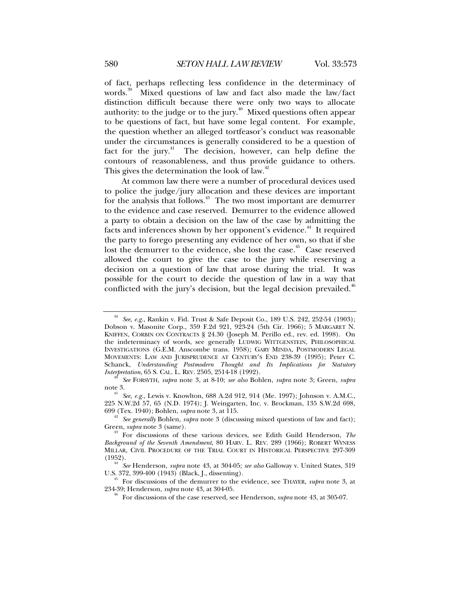of fact, perhaps reflecting less confidence in the determinacy of words.<sup>39</sup> Mixed questions of law and fact also made the law/fact distinction difficult because there were only two ways to allocate authority: to the judge or to the jury.<sup> $40$ </sup> Mixed questions often appear to be questions of fact, but have some legal content. For example, the question whether an alleged tortfeasor's conduct was reasonable under the circumstances is generally considered to be a question of fact for the jury. $4^4$  The decision, however, can help define the contours of reasonableness, and thus provide guidance to others. This gives the determination the look of law. $42$ 

At common law there were a number of procedural devices used to police the judge/jury allocation and these devices are important for the analysis that follows.<sup>43</sup> The two most important are demurrer to the evidence and case reserved. Demurrer to the evidence allowed a party to obtain a decision on the law of the case by admitting the facts and inferences shown by her opponent's evidence.<sup>44</sup> It required the party to forego presenting any evidence of her own, so that if she lost the demurrer to the evidence, she lost the case.<sup>45</sup> Case reserved allowed the court to give the case to the jury while reserving a decision on a question of law that arose during the trial. It was possible for the court to decide the question of law in a way that conflicted with the jury's decision, but the legal decision prevailed.<sup>46</sup>

<sup>39</sup> *See, e.g.*, Rankin v. Fid. Trust & Safe Deposit Co., 189 U.S. 242, 252-54 (1903); Dobson v. Masonite Corp., 359 F.2d 921, 923-24 (5th Cir. 1966); 5 MARGARET N. KNIFFEN, CORBIN ON CONTRACTS § 24.30 (Joseph M. Perillo ed., rev. ed. 1998). On the indeterminacy of words, see generally LUDWIG WITTGENSTEIN, PHILOSOPHICAL INVESTIGATIONS (G.E.M. Anscombe trans. 1958); GARY MINDA, POSTMODERN LEGAL MOVEMENTS: LAW AND JURISPRUDENCE AT CENTURY'S END 238-39 (1995); Peter C. Schanck, *Understanding Postmodern Thought and Its Implications for Statutory* 

*Interpretation*, 65 S. CAL. L. REV. 2505, 2514-18 (1992). 40 *See* FORSYTH, *supra* note 3, at 8-10; *see also* Bohlen, *supra* note 3; Green, *supra* note 3. 41 *See, e.g.*, Lewis v. Knowlton, 688 A.2d 912, 914 (Me. 1997); Johnson v. A.M.C.,

<sup>225</sup> N.W.2d 57, 65 (N.D. 1974); J. Weingarten, Inc. v. Brockman, 135 S.W.2d 698, 699 (Tex. 1940); Bohlen, *supra* note 3, at 115.

<sup>&</sup>lt;sup>42</sup> See generally Bohlen, *supra* note 3 (discussing mixed questions of law and fact);<br>Green, *supra* note 3 (same).

<sup>&</sup>lt;sup>43</sup> For discussions of these various devices, see Edith Guild Henderson, *The Background of the Seventh Amendment*, 80 HARV. L. REV. 289 (1966); ROBERT WYNESS MILLAR, CIVIL PROCEDURE OF THE TRIAL COURT IN HISTORICAL PERSPECTIVE 297-309 (1952).

<sup>&</sup>lt;sup>44</sup> See Henderson, *supra* note 43, at 304-05; *see also* Galloway v. United States, 319 U.S. 372, 399-400 (1943) (Black, J., dissenting).

<sup>&</sup>lt;sup>45</sup> For discussions of the demurrer to the evidence, see THAYER, *supra* note 3, at 234-39; Henderson, *supra* note 43, at 304-05.

<sup>&</sup>lt;sup>46</sup> For discussions of the case reserved, see Henderson, *supra* note 43, at 305-07.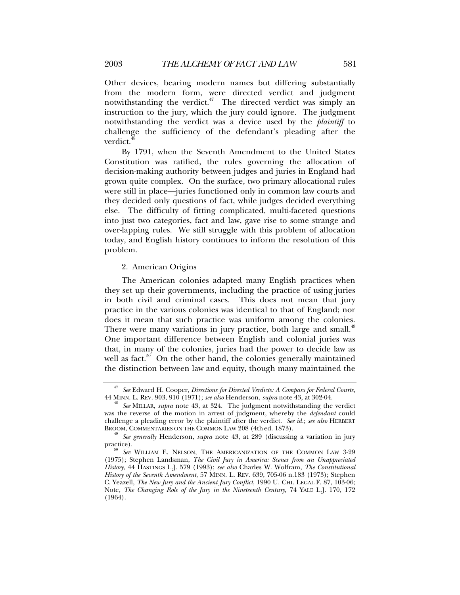Other devices, bearing modern names but differing substantially from the modern form, were directed verdict and judgment notwithstanding the verdict. $47$  The directed verdict was simply an instruction to the jury, which the jury could ignore. The judgment notwithstanding the verdict was a device used by the *plaintiff* to challenge the sufficiency of the defendant's pleading after the verdict.<sup>4</sup>

By 1791, when the Seventh Amendment to the United States Constitution was ratified, the rules governing the allocation of decision-making authority between judges and juries in England had grown quite complex. On the surface, two primary allocational rules were still in place—juries functioned only in common law courts and they decided only questions of fact, while judges decided everything else. The difficulty of fitting complicated, multi-faceted questions into just two categories, fact and law, gave rise to some strange and over-lapping rules. We still struggle with this problem of allocation today, and English history continues to inform the resolution of this problem.

#### 2. American Origins

The American colonies adapted many English practices when they set up their governments, including the practice of using juries in both civil and criminal cases. This does not mean that jury practice in the various colonies was identical to that of England; nor does it mean that such practice was uniform among the colonies. There were many variations in jury practice, both large and small.<sup>49</sup> One important difference between English and colonial juries was that, in many of the colonies, juries had the power to decide law as well as fact.<sup>50</sup> On the other hand, the colonies generally maintained the distinction between law and equity, though many maintained the

<sup>47</sup> *See* Edward H. Cooper, *Directions for Directed Verdicts: A Compass for Federal Courts*,

<sup>&</sup>lt;sup>8</sup> See MILLAR, *supra* note 43, at 324. The judgment notwithstanding the verdict was the reverse of the motion in arrest of judgment, whereby the *defendant* could challenge a pleading error by the plaintiff after the verdict. *See id.*; *see also* HERBERT

<sup>&</sup>lt;sup>49</sup> See generally Henderson, *supra* note 43, at 289 (discussing a variation in jury practice). 50 *See* WILLIAM E. NELSON, THE AMERICANIZATION OF THE COMMON LAW 3-29

<sup>(1975);</sup> Stephen Landsman, *The Civil Jury in America: Scenes from an Unappreciated History*, 44 HASTINGS L.J. 579 (1993); *see also* Charles W. Wolfram, *The Constitutional History of the Seventh Amendment*, 57 MINN. L. REV. 639, 705-06 n.183 (1973); Stephen C. Yeazell, *The New Jury and the Ancient Jury Conflict*, 1990 U. CHI. LEGAL F. 87, 103-06; Note, *The Changing Role of the Jury in the Nineteenth Century*, 74 YALE L.J. 170, 172 (1964).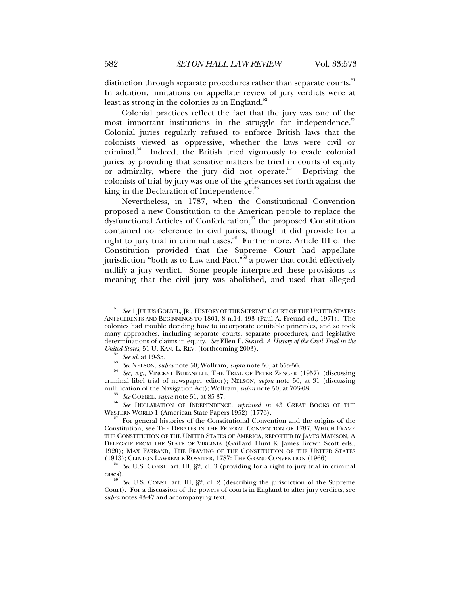distinction through separate procedures rather than separate courts.<sup>51</sup> In addition, limitations on appellate review of jury verdicts were at least as strong in the colonies as in England. $52$ 

Colonial practices reflect the fact that the jury was one of the most important institutions in the struggle for independence.<sup>53</sup> Colonial juries regularly refused to enforce British laws that the colonists viewed as oppressive, whether the laws were civil or criminal.<sup>54</sup> Indeed, the British tried vigorously to evade colonial juries by providing that sensitive matters be tried in courts of equity or admiralty, where the jury did not operate.<sup>55</sup> Depriving the colonists of trial by jury was one of the grievances set forth against the king in the Declaration of Independence. $56$ 

Nevertheless, in 1787, when the Constitutional Convention proposed a new Constitution to the American people to replace the dysfunctional Articles of Confederation, $57$  the proposed Constitution contained no reference to civil juries, though it did provide for a right to jury trial in criminal cases.<sup>58</sup> Furthermore, Article III of the Constitution provided that the Supreme Court had appellate jurisdiction "both as to Law and Fact,"<sup>59</sup> a power that could effectively nullify a jury verdict. Some people interpreted these provisions as meaning that the civil jury was abolished, and used that alleged

See 1 JULIUS GOEBEL, JR., HISTORY OF THE SUPREME COURT OF THE UNITED STATES: ANTECEDENTS AND BEGINNINGS TO 1801, 8 n.14, 493 (Paul A. Freund ed., 1971). The colonies had trouble deciding how to incorporate equitable principles, and so took many approaches, including separate courts, separate procedures, and legislative determinations of claims in equity. *See* Ellen E. Sward, *A History of the Civil Trial in the* 

United States, 51 U. KAN. L. REV. (forthcoming 2003).<br><sup>52</sup> See id. at 19-35.<br><sup>53</sup> See NELSON, *supra* note 50; Wolfram, *supra* note 50, at 653-56.<br><sup>54</sup> See, e.g., VINCENT BURANELLI, THE TRIAL OF PETER ZENGER (1957) (disc criminal libel trial of newspaper editor); NELSON, *supra* note 50, at 31 (discussing

<sup>&</sup>lt;sup>55</sup> See GOEBEL, *supra* note 51, at 85-87.<br><sup>56</sup> See DECLARATION OF INDEPENDENCE, *reprinted in* 43 GREAT BOOKS OF THE WESTERN WORLD 1 (American State Papers 1952) (1776).

For general histories of the Constitutional Convention and the origins of the Constitution, see THE DEBATES IN THE FEDERAL CONVENTION OF 1787, WHICH FRAME THE CONSTITUTION OF THE UNITED STATES OF AMERICA, REPORTED BY JAMES MADISON, A DELEGATE FROM THE STATE OF VIRGINIA (Gaillard Hunt & James Brown Scott eds., 1920); MAX FARRAND, THE FRAMING OF THE CONSTITUTION OF THE UNITED STATES (1913); CLINTON LAWRENCE ROSSITER, 1787: THE GRAND CONVENTION (1966).

<sup>&</sup>lt;sup>58</sup> See U.S. CONST. art. III, §2, cl. 3 (providing for a right to jury trial in criminal cases).

See U.S. CONST. art. III, §2, cl. 2 (describing the jurisdiction of the Supreme Court). For a discussion of the powers of courts in England to alter jury verdicts, see *supra* notes 43-47 and accompanying text.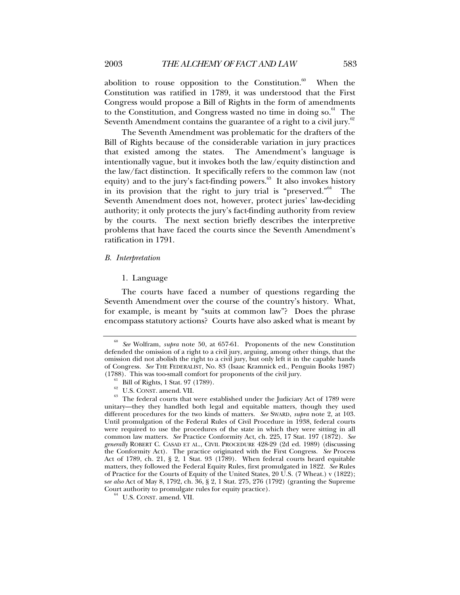abolition to rouse opposition to the Constitution. $60$  When the Constitution was ratified in 1789, it was understood that the First Congress would propose a Bill of Rights in the form of amendments to the Constitution, and Congress wasted no time in doing  $so.<sup>61</sup>$  The Seventh Amendment contains the guarantee of a right to a civil jury.<sup>62</sup>

The Seventh Amendment was problematic for the drafters of the Bill of Rights because of the considerable variation in jury practices that existed among the states. The Amendment's language is intentionally vague, but it invokes both the law/equity distinction and the law/fact distinction. It specifically refers to the common law (not equity) and to the jury's fact-finding powers. $63$  It also invokes history in its provision that the right to jury trial is "preserved."64 The Seventh Amendment does not, however, protect juries' law-deciding authority; it only protects the jury's fact-finding authority from review by the courts. The next section briefly describes the interpretive problems that have faced the courts since the Seventh Amendment's ratification in 1791.

#### *B. Interpretation*

### 1. Language

The courts have faced a number of questions regarding the Seventh Amendment over the course of the country's history. What, for example, is meant by "suits at common law"? Does the phrase encompass statutory actions? Courts have also asked what is meant by

<sup>60</sup> *See* Wolfram, *supra* note 50, at 657-61. Proponents of the new Constitution defended the omission of a right to a civil jury, arguing, among other things, that the omission did not abolish the right to a civil jury, but only left it in the capable hands of Congress. *See* THE FEDERALIST, No. 83 (Isaac Kramnick ed., Penguin Books 1987) (1788). This was too-small comfort for proponents of the civil jury.<br><sup>61</sup> Bill of Rights, 1 Stat. 97 (1789).<br><sup>62</sup> U.S. CONST. amend. VII.

 $63$  The federal courts that were established under the Judiciary Act of 1789 were unitary—they they handled both legal and equitable matters, though they used different procedures for the two kinds of matters. *See* SWARD, *supra* note 2, at 103. Until promulgation of the Federal Rules of Civil Procedure in 1938, federal courts were required to use the procedures of the state in which they were sitting in all common law matters. *See* Practice Conformity Act, ch. 225, 17 Stat. 197 (1872). *See generally* ROBERT C. CASAD ET AL., CIVIL PROCEDURE 428-29 (2d ed. 1989) (discussing the Conformity Act). The practice originated with the First Congress. *See* Process Act of 1789, ch. 21, § 2, 1 Stat. 93 (1789). When federal courts heard equitable matters, they followed the Federal Equity Rules, first promulgated in 1822. *See* Rules of Practice for the Courts of Equity of the United States, 20 U.S. (7 Wheat.) v (1822); s*ee also* Act of May 8, 1792, ch. 36, § 2, 1 Stat. 275, 276 (1792) (granting the Supreme Court authority to promulgate rules for equity practice). 64 U.S. CONST. amend. VII.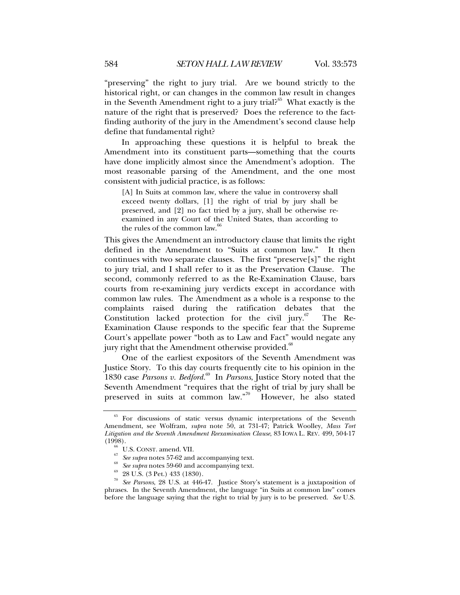"preserving" the right to jury trial. Are we bound strictly to the historical right, or can changes in the common law result in changes in the Seventh Amendment right to a jury trial?<sup>65</sup> What exactly is the nature of the right that is preserved? Does the reference to the factfinding authority of the jury in the Amendment's second clause help define that fundamental right?

In approaching these questions it is helpful to break the Amendment into its constituent parts—something that the courts have done implicitly almost since the Amendment's adoption. The most reasonable parsing of the Amendment, and the one most consistent with judicial practice, is as follows:

[A] In Suits at common law, where the value in controversy shall exceed twenty dollars, [1] the right of trial by jury shall be preserved, and [2] no fact tried by a jury, shall be otherwise reexamined in any Court of the United States, than according to the rules of the common law. $66$ 

This gives the Amendment an introductory clause that limits the right defined in the Amendment to "Suits at common law." It then continues with two separate clauses. The first "preserve[s]" the right to jury trial, and I shall refer to it as the Preservation Clause. The second, commonly referred to as the Re-Examination Clause, bars courts from re-examining jury verdicts except in accordance with common law rules. The Amendment as a whole is a response to the complaints raised during the ratification debates that the Constitution lacked protection for the civil jury. $67$  The Re-Examination Clause responds to the specific fear that the Supreme Court's appellate power "both as to Law and Fact" would negate any jury right that the Amendment otherwise provided.<sup>68</sup>

One of the earliest expositors of the Seventh Amendment was Justice Story. To this day courts frequently cite to his opinion in the 1830 case *Parsons v. Bedford.*69 In *Parsons*, Justice Story noted that the Seventh Amendment "requires that the right of trial by jury shall be preserved in suits at common law."<sup>70</sup> However, he also stated

<sup>65</sup> For discussions of static versus dynamic interpretations of the Seventh Amendment, see Wolfram, *supra* note 50, at 731-47; Patrick Woolley, *Mass Tort Litigation and the Seventh Amendment Reexamination Clause*, 83 IOWA L. REV. 499, 504-17

<sup>&</sup>lt;sup>66</sup> U.S. CONST. amend. VII.<br><sup>67</sup> *See supra* notes 57-62 and accompanying text.<br><sup>68</sup> *See supra* notes 59-60 and accompanying text.<br><sup>69</sup> 28 U.S. (3 Pet.) 433 (1830).

<sup>70</sup> *See Parsons*, 28 U.S. at 446-47. Justice Story's statement is a juxtaposition of phrases. In the Seventh Amendment, the language "in Suits at common law" comes before the language saying that the right to trial by jury is to be preserved. *See* U.S.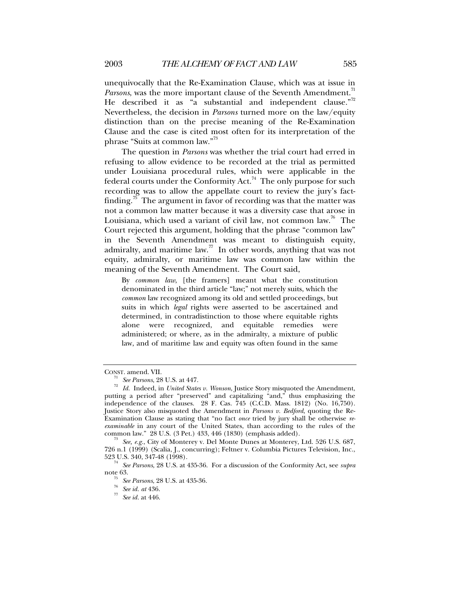unequivocally that the Re-Examination Clause, which was at issue in *Parsons*, was the more important clause of the Seventh Amendment.<sup>71</sup> He described it as "a substantial and independent clause."<sup>72</sup> Nevertheless, the decision in *Parsons* turned more on the law/equity distinction than on the precise meaning of the Re-Examination Clause and the case is cited most often for its interpretation of the phrase "Suits at common law."73

The question in *Parsons* was whether the trial court had erred in refusing to allow evidence to be recorded at the trial as permitted under Louisiana procedural rules, which were applicable in the federal courts under the Conformity Act.<sup>74</sup> The only purpose for such recording was to allow the appellate court to review the jury's factfinding.<sup>75</sup> The argument in favor of recording was that the matter was not a common law matter because it was a diversity case that arose in Louisiana, which used a variant of civil law, not common law.<sup>76</sup> The Court rejected this argument, holding that the phrase "common law" in the Seventh Amendment was meant to distinguish equity, admiralty, and maritime law.<sup>77</sup> In other words, anything that was not equity, admiralty, or maritime law was common law within the meaning of the Seventh Amendment. The Court said,

By *common law*, [the framers] meant what the constitution denominated in the third article "law;" not merely suits, which the *common* law recognized among its old and settled proceedings, but suits in which *legal* rights were asserted to be ascertained and determined, in contradistinction to those where equitable rights alone were recognized, and equitable remedies were administered; or where, as in the admiralty, a mixture of public law, and of maritime law and equity was often found in the same

CONST. amend. VII. 71 *See Parsons*, 28 U.S. at 447. 72 *Id.* Indeed, in *United States v. Wonson*, Justice Story misquoted the Amendment, putting a period after "preserved" and capitalizing "and," thus emphasizing the independence of the clauses. 28 F. Cas.  $745$  (C.C.D. Mass. 1812) (No. 16,750). Justice Story also misquoted the Amendment in *Parsons v. Bedford*, quoting the Re-Examination Clause as stating that "no fact *once* tried by jury shall be otherwise *reexaminable* in any court of the United States, than according to the rules of the common law." 28 U.S. (3 Pet.) 433, 446 (1830) (emphasis added).

See, e.g., City of Monterey v. Del Monte Dunes at Monterey, Ltd. 526 U.S. 687, 726 n.1 (1999) (Scalia, J., concurring); Feltner v. Columbia Pictures Television, Inc.,

<sup>523</sup> U.S. 340, 347-48 (1998). 74 *See Parsons*, 28 U.S. at 435-36. For a discussion of the Conformity Act, see *supra*

note 63. 75 *See Parsons*, 28 U.S. at 435-36. 76 *See id. at* 436. 77 *See id.* at 446.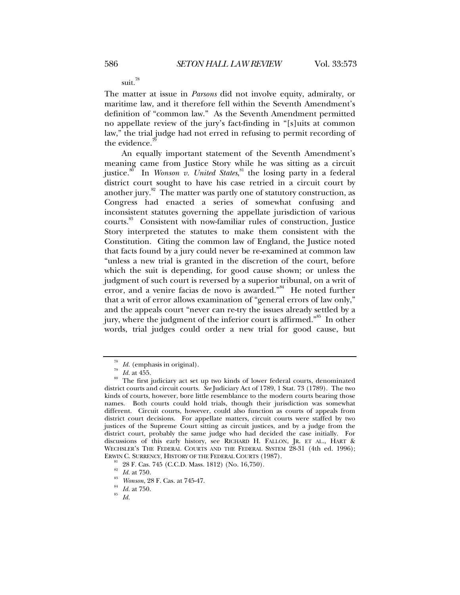suit.<sup>78</sup>

The matter at issue in *Parsons* did not involve equity, admiralty, or maritime law, and it therefore fell within the Seventh Amendment's definition of "common law." As the Seventh Amendment permitted no appellate review of the jury's fact-finding in "[s]uits at common law," the trial judge had not erred in refusing to permit recording of the evidence.<sup>7</sup>

An equally important statement of the Seventh Amendment's meaning came from Justice Story while he was sitting as a circuit justice.<sup>80</sup> In *Wonson v. United States*,<sup>81</sup> the losing party in a federal district court sought to have his case retried in a circuit court by another jury. $82$  The matter was partly one of statutory construction, as Congress had enacted a series of somewhat confusing and inconsistent statutes governing the appellate jurisdiction of various courts.83 Consistent with now-familiar rules of construction, Justice Story interpreted the statutes to make them consistent with the Constitution. Citing the common law of England, the Justice noted that facts found by a jury could never be re-examined at common law "unless a new trial is granted in the discretion of the court, before which the suit is depending, for good cause shown; or unless the judgment of such court is reversed by a superior tribunal, on a writ of error, and a venire facias de novo is awarded."<sup>84</sup> He noted further that a writ of error allows examination of "general errors of law only," and the appeals court "never can re-try the issues already settled by a jury, where the judgment of the inferior court is affirmed."<sup>85</sup> In other words, trial judges could order a new trial for good cause, but

<sup>&</sup>lt;sup>78</sup> *Id.* (emphasis in original).<br><sup>79</sup> *Id.* at 455.<br><sup>80</sup> The first judiciary act set up two kinds of lower federal courts, denominated district courts and circuit courts. *See* Judiciary Act of 1789, 1 Stat. 73 (1789). The two kinds of courts, however, bore little resemblance to the modern courts bearing those names. Both courts could hold trials, though their jurisdiction was somewhat different. Circuit courts, however, could also function as courts of appeals from district court decisions. For appellate matters, circuit courts were staffed by two justices of the Supreme Court sitting as circuit justices, and by a judge from the district court, probably the same judge who had decided the case initially. For discussions of this early history, see RICHARD H. FALLON, JR. ET AL., HART & WECHSLER'S THE FEDERAL COURTS AND THE FEDERAL SYSTEM 28-31 (4th ed. 1996);<br>ERWIN C. SURRENCY, HISTORY OF THE FEDERAL COURTS (1987).

 $E_{\text{R2R}}^{81}$  28 F. Cas. 745 (C.C.D. Mass. 1812) (No. 16,750).<br> $E_{\text{R2R}}^{82}$  *Id.* at 750.

<sup>82</sup> *Id.* at 750. 83 *Wonson*, 28 F. Cas. at 745-47. 84 *Id.* at 750. 85 *Id.*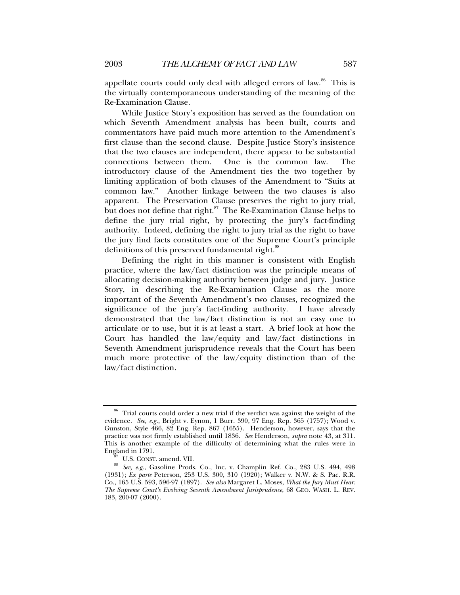appellate courts could only deal with alleged errors of law. $86$  This is the virtually contemporaneous understanding of the meaning of the Re-Examination Clause.

While Justice Story's exposition has served as the foundation on which Seventh Amendment analysis has been built, courts and commentators have paid much more attention to the Amendment's first clause than the second clause. Despite Justice Story's insistence that the two clauses are independent, there appear to be substantial connections between them. One is the common law. The introductory clause of the Amendment ties the two together by limiting application of both clauses of the Amendment to "Suits at common law." Another linkage between the two clauses is also apparent. The Preservation Clause preserves the right to jury trial, but does not define that right. ${}^{87}$  The Re-Examination Clause helps to define the jury trial right, by protecting the jury's fact-finding authority. Indeed, defining the right to jury trial as the right to have the jury find facts constitutes one of the Supreme Court's principle definitions of this preserved fundamental right.<sup>88</sup>

Defining the right in this manner is consistent with English practice, where the law/fact distinction was the principle means of allocating decision-making authority between judge and jury. Justice Story, in describing the Re-Examination Clause as the more important of the Seventh Amendment's two clauses, recognized the significance of the jury's fact-finding authority. I have already demonstrated that the law/fact distinction is not an easy one to articulate or to use, but it is at least a start. A brief look at how the Court has handled the law/equity and law/fact distinctions in Seventh Amendment jurisprudence reveals that the Court has been much more protective of the law/equity distinction than of the law/fact distinction.

<sup>&</sup>lt;sup>86</sup> Trial courts could order a new trial if the verdict was against the weight of the evidence. *See, e.g.*, Bright v. Eynon, 1 Burr. 390, 97 Eng. Rep. 365 (1757); Wood v. Gunston, Style 466, 82 Eng. Rep. 867 (1655). Henderson, however, says that the practice was not firmly established until 1836. *See* Henderson, *supra* note 43, at 311. This is another example of the difficulty of determining what the rules were in

<sup>&</sup>lt;sup>87</sup> U.S. CONST. amend. VII.<br><sup>88</sup> See, e.g., Gasoline Prods. Co., Inc. v. Champlin Ref. Co., 283 U.S. 494, 498 (1931); *Ex parte* Peterson, 253 U.S. 300, 310 (1920); Walker v. N.W. & S. Pac. R.R. Co., 165 U.S. 593, 596-97 (1897). *See also* Margaret L. Moses, *What the Jury Must Hear: The Supreme Court's Evolving Seventh Amendment Jurisprudence*, 68 GEO. WASH. L. REV. 183, 200-07 (2000).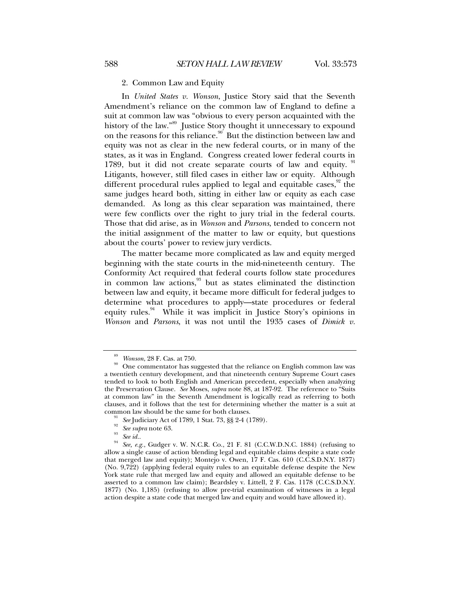#### 2. Common Law and Equity

In *United States v. Wonson*, Justice Story said that the Seventh Amendment's reliance on the common law of England to define a suit at common law was "obvious to every person acquainted with the history of the law."<sup>89</sup> Justice Story thought it unnecessary to expound on the reasons for this reliance.<sup>90</sup> But the distinction between law and equity was not as clear in the new federal courts, or in many of the states, as it was in England. Congress created lower federal courts in 1789, but it did not create separate courts of law and equity.  $91$ Litigants, however, still filed cases in either law or equity. Although different procedural rules applied to legal and equitable cases, $\frac{92}{3}$  the same judges heard both, sitting in either law or equity as each case demanded. As long as this clear separation was maintained, there were few conflicts over the right to jury trial in the federal courts. Those that did arise, as in *Wonson* and *Parsons*, tended to concern not the initial assignment of the matter to law or equity, but questions about the courts' power to review jury verdicts.

The matter became more complicated as law and equity merged beginning with the state courts in the mid-nineteenth century. The Conformity Act required that federal courts follow state procedures in common law actions,<sup>93</sup> but as states eliminated the distinction between law and equity, it became more difficult for federal judges to determine what procedures to apply—state procedures or federal equity rules.<sup>94</sup> While it was implicit in Justice Story's opinions in *Wonson* and *Parsons*, it was not until the 1935 cases of *Dimick v.* 

Wonson, 28 F. Cas. at 750.<br>One commentator has suggested that the reliance on English common law was a twentieth century development, and that nineteenth century Supreme Court cases tended to look to both English and American precedent, especially when analyzing the Preservation Clause. *See* Moses, *supra* note 88, at 187-92. The reference to "Suits at common law" in the Seventh Amendment is logically read as referring to both clauses, and it follows that the test for determining whether the matter is a suit at

common law should be the same for both clauses.<br><sup>91</sup> See Judiciary Act of 1789, 1 Stat. 73, §§ 2-4 (1789).<br><sup>92</sup> See supra note 63.<br><sup>93</sup> See id..<br><sup>94</sup> See, e.g., Gudger v. W. N.C.R. Co., 21 F. 81 (C.C.W.D.N.C. 1884) (refus allow a single cause of action blending legal and equitable claims despite a state code that merged law and equity); Montejo v. Owen, 17 F. Cas. 610 (C.C.S.D.N.Y. 1877) (No. 9,722) (applying federal equity rules to an equitable defense despite the New York state rule that merged law and equity and allowed an equitable defense to be asserted to a common law claim); Beardsley v. Littell, 2 F. Cas. 1178 (C.C.S.D.N.Y. 1877) (No. 1,185) (refusing to allow pre-trial examination of witnesses in a legal action despite a state code that merged law and equity and would have allowed it).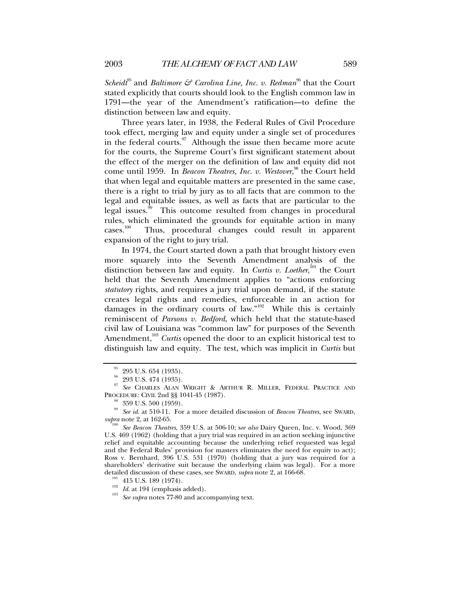*Scheidt*<sup>95</sup> and *Baltimore*  $\mathcal{F}$  *Carolina Line, Inc. v. Redman*<sup>96</sup> that the Court stated explicitly that courts should look to the English common law in 1791—the year of the Amendment's ratification—to define the distinction between law and equity.

Three years later, in 1938, the Federal Rules of Civil Procedure took effect, merging law and equity under a single set of procedures in the federal courts. $97$  Although the issue then became more acute for the courts, the Supreme Court's first significant statement about the effect of the merger on the definition of law and equity did not come until 1959. In *Beacon Theatres, Inc. v. Westover*,<sup>98</sup> the Court held that when legal and equitable matters are presented in the same case, there is a right to trial by jury as to all facts that are common to the legal and equitable issues, as well as facts that are particular to the legal issues.<sup>99</sup> This outcome resulted from changes in procedural rules, which eliminated the grounds for equitable action in many cases.<sup>100</sup> Thus, procedural changes could result in apparent Thus, procedural changes could result in apparent expansion of the right to jury trial.

In 1974, the Court started down a path that brought history even more squarely into the Seventh Amendment analysis of the distinction between law and equity. In *Curtis v. Loether*,<sup>101</sup> the Court held that the Seventh Amendment applies to "actions enforcing *statutory* rights, and requires a jury trial upon demand, if the statute creates legal rights and remedies, enforceable in an action for damages in the ordinary courts of law."<sup>102</sup> While this is certainly reminiscent of *Parsons v. Bedford*, which held that the statute-based civil law of Louisiana was "common law" for purposes of the Seventh Amendment,<sup>103</sup> *Curtis* opened the door to an explicit historical test to distinguish law and equity. The test, which was implicit in *Curtis* but

<sup>101</sup> 415 U.S. 189 (1974).<br><sup>102</sup> *Id.* at 194 (emphasis added).<br><sup>103</sup> *See supra* notes 77-80 and accompanying text.

 $^{95}\,$  295 U.S. 654 (1935).

<sup>&</sup>lt;sup>96</sup> 293 U.S. 474 (1935).

<sup>97</sup> *See* CHARLES ALAN WRIGHT & ARTHUR R. MILLER, FEDERAL PRACTICE AND PROCEDURE: CIVIL 2nd §§ 1041-45 (1987). 98 359 U.S. 500 (1959).

<sup>&</sup>lt;sup>99</sup> See id. at 510-11. For a more detailed discussion of *Beacon Theatres*, see SWARD, *supra* note 2, at 162-65.

*See Beacon Theatres, 359 U.S. at 506-10; see also Dairy Queen, Inc. v. Wood, 369* U.S. 469 (1962) (holding that a jury trial was required in an action seeking injunctive relief and equitable accounting because the underlying relief requested was legal and the Federal Rules' provision for masters eliminates the need for equity to act); Ross v. Bernhard, 396 U.S. 531 (1970) (holding that a jury was required for a shareholders' derivative suit because the underlying claim was legal). For a more detailed discussion of these cases, see SWARD, *supra* note 2, at 166-68.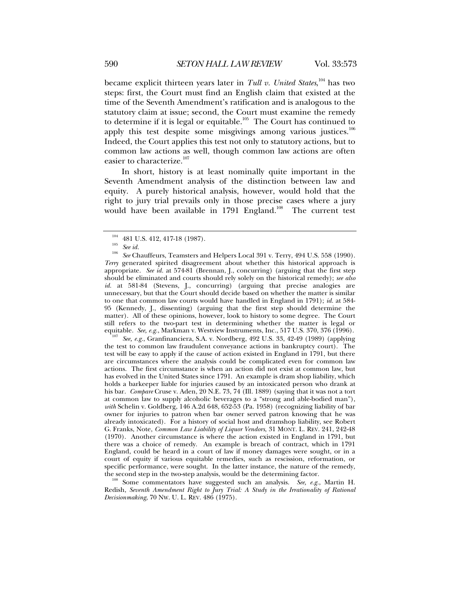became explicit thirteen years later in *Tull v. United States*, 104 has two steps: first, the Court must find an English claim that existed at the time of the Seventh Amendment's ratification and is analogous to the statutory claim at issue; second, the Court must examine the remedy to determine if it is legal or equitable.<sup>105</sup> The Court has continued to apply this test despite some misgivings among various justices.<sup>106</sup> Indeed, the Court applies this test not only to statutory actions, but to common law actions as well, though common law actions are often easier to characterize.<sup>107</sup>

In short, history is at least nominally quite important in the Seventh Amendment analysis of the distinction between law and equity. A purely historical analysis, however, would hold that the right to jury trial prevails only in those precise cases where a jury would have been available in 1791 England.<sup>108</sup> The current test

the test to common law fraudulent conveyance actions in bankruptcy court). The test will be easy to apply if the cause of action existed in England in 1791, but there are circumstances where the analysis could be complicated even for common law actions. The first circumstance is when an action did not exist at common law, but has evolved in the United States since 1791. An example is dram shop liability, which holds a barkeeper liable for injuries caused by an intoxicated person who drank at his bar. *Compare* Cruse v. Aden, 20 N.E. 73, 74 (Ill. 1889) (saying that it was not a tort at common law to supply alcoholic beverages to a "strong and able-bodied man"), *with* Schelin v. Goldberg, 146 A.2d 648, 652-53 (Pa. 1958) (recognizing liability of bar owner for injuries to patron when bar owner served patron knowing that he was already intoxicated). For a history of social host and dramshop liability, see Robert G. Franks, Note, *Common Law Liability of Liquor Vendors*, 31 MONT. L. REV. 241, 242-48 (1970). Another circumstance is where the action existed in England in 1791, but there was a choice of remedy. An example is breach of contract, which in 1791 England, could be heard in a court of law if money damages were sought, or in a court of equity if various equitable remedies, such as rescission, reformation, or specific performance, were sought. In the latter instance, the nature of the remedy, the second step in the two-step analysis, would be the determining factor.

Some commentators have suggested such an analysis. See, e.g., Martin H. Redish, *Seventh Amendment Right to Jury Trial: A Study in the Irrationality of Rational Decisionmaking*, 70 NW. U. L. REV. 486 (1975).

<sup>1&</sup>lt;sup>04</sup> 481 U.S. 412, 417-18 (1987).<br><sup>105</sup> *See id.* 206 *See Chauffeurs, Teamsters and Helpers Local 391 v. Terry, 494 U.S. 558 (1990). Terry* generated spirited disagreement about whether this historical approach is appropriate. *See id.* at 574-81 (Brennan, J., concurring) (arguing that the first step should be eliminated and courts should rely solely on the historical remedy); *see also id.* at 581-84 (Stevens, J., concurring) (arguing that precise analogies are unnecessary, but that the Court should decide based on whether the matter is similar to one that common law courts would have handled in England in 1791); *id.* at 584- 95 (Kennedy, J., dissenting) (arguing that the first step should determine the matter). All of these opinions, however, look to history to some degree. The Court still refers to the two-part test in determining whether the matter is legal or equitable. *See, e.g.*, Markman v. Westview Instruments, Inc., 517 U.S. 370, 376 (1996). 107<sup>1</sup> See, e.g., Granfinanciera, S.A. v. Nordberg, 492 U.S. 33, 42-49 (1989) (applying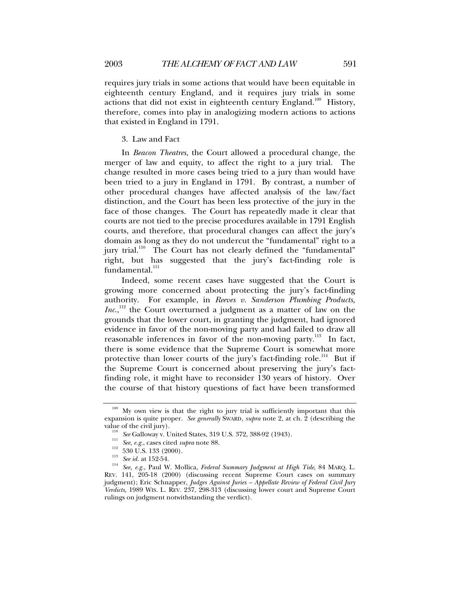requires jury trials in some actions that would have been equitable in eighteenth century England, and it requires jury trials in some actions that did not exist in eighteenth century England.<sup>109</sup> History, therefore, comes into play in analogizing modern actions to actions that existed in England in 1791.

# 3. Law and Fact

In *Beacon Theatres*, the Court allowed a procedural change, the merger of law and equity, to affect the right to a jury trial. The change resulted in more cases being tried to a jury than would have been tried to a jury in England in 1791. By contrast, a number of other procedural changes have affected analysis of the law/fact distinction, and the Court has been less protective of the jury in the face of those changes. The Court has repeatedly made it clear that courts are not tied to the precise procedures available in 1791 English courts, and therefore, that procedural changes can affect the jury's domain as long as they do not undercut the "fundamental" right to a jury trial.<sup>110</sup> The Court has not clearly defined the "fundamental" right, but has suggested that the jury's fact-finding role is  $fundamental.<sup>111</sup>$ 

Indeed, some recent cases have suggested that the Court is growing more concerned about protecting the jury's fact-finding authority. For example, in *Reeves v. Sanderson Plumbing Products, Inc.*,<sup>112</sup> the Court overturned a judgment as a matter of law on the grounds that the lower court, in granting the judgment, had ignored evidence in favor of the non-moving party and had failed to draw all reasonable inferences in favor of the non-moving party.<sup>113</sup> In fact, there is some evidence that the Supreme Court is somewhat more protective than lower courts of the jury's fact-finding role.<sup>114</sup> But if the Supreme Court is concerned about preserving the jury's factfinding role, it might have to reconsider 130 years of history. Over the course of that history questions of fact have been transformed

<sup>&</sup>lt;sup>109</sup> My own view is that the right to jury trial is sufficiently important that this expansion is quite proper. *See generally* SWARD, *supra* note 2, at ch. 2 (describing the

<sup>&</sup>lt;sup>110</sup> See Galloway v. United States, 319 U.S. 372, 388-92 (1943).<br>
<sup>111</sup> See, e.g., cases cited *supra* note 88.<br>
<sup>112</sup> 530 U.S. 133 (2000).<br>
<sup>113</sup> See id. at 152-54.<br>
<sup>114</sup> See, e.g., Paul W. Mollica, *Federal Summary Ju* REV. 141, 205-18 (2000) (discussing recent Supreme Court cases on summary judgment); Eric Schnapper, *Judges Against Juries – Appellate Review of Federal Civil Jury Verdicts*, 1989 WIS. L. REV. 237, 298-313 (discussing lower court and Supreme Court rulings on judgment notwithstanding the verdict).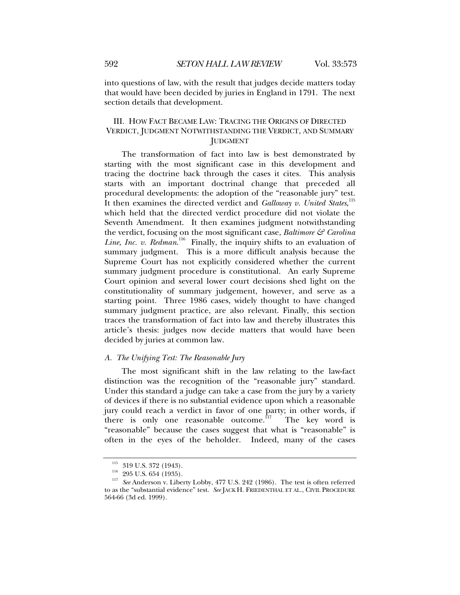into questions of law, with the result that judges decide matters today that would have been decided by juries in England in 1791. The next section details that development.

# III. HOW FACT BECAME LAW: TRACING THE ORIGINS OF DIRECTED VERDICT, JUDGMENT NOTWITHSTANDING THE VERDICT, AND SUMMARY JUDGMENT

The transformation of fact into law is best demonstrated by starting with the most significant case in this development and tracing the doctrine back through the cases it cites. This analysis starts with an important doctrinal change that preceded all procedural developments: the adoption of the "reasonable jury" test. It then examines the directed verdict and *Galloway v. United States*,<sup>115</sup> which held that the directed verdict procedure did not violate the Seventh Amendment. It then examines judgment notwithstanding the verdict, focusing on the most significant case, *Baltimore & Carolina*  Line, Inc. v. Redman.<sup>116</sup> Finally, the inquiry shifts to an evaluation of summary judgment. This is a more difficult analysis because the Supreme Court has not explicitly considered whether the current summary judgment procedure is constitutional. An early Supreme Court opinion and several lower court decisions shed light on the constitutionality of summary judgement, however, and serve as a starting point. Three 1986 cases, widely thought to have changed summary judgment practice, are also relevant. Finally, this section traces the transformation of fact into law and thereby illustrates this article's thesis: judges now decide matters that would have been decided by juries at common law.

#### *A. The Unifying Test: The Reasonable Jury*

The most significant shift in the law relating to the law-fact distinction was the recognition of the "reasonable jury" standard. Under this standard a judge can take a case from the jury by a variety of devices if there is no substantial evidence upon which a reasonable jury could reach a verdict in favor of one party; in other words, if there is only one reasonable outcome.<sup>117</sup> The key word is "reasonable" because the cases suggest that what is "reasonable" is often in the eyes of the beholder. Indeed, many of the cases

<sup>115 319</sup> U.S. 372 (1943). 116 295 U.S. 654 (1935). 117 *See* Anderson v. Liberty Lobby, 477 U.S. 242 (1986). The test is often referred to as the "substantial evidence" test. *See* JACK H. FRIEDENTHAL ET AL., CIVIL PROCEDURE 564-66 (3d ed. 1999).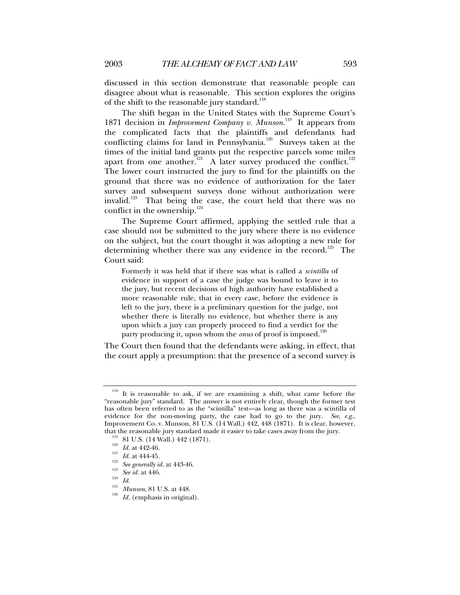discussed in this section demonstrate that reasonable people can disagree about what is reasonable. This section explores the origins of the shift to the reasonable jury standard.<sup>118</sup>

The shift began in the United States with the Supreme Court's 1871 decision in *Improvement Company v. Munson*.<sup>119</sup> It appears from the complicated facts that the plaintiffs and defendants had conflicting claims for land in Pennsylvania.<sup>120</sup> Surveys taken at the times of the initial land grants put the respective parcels some miles apart from one another.<sup>921</sup> A later survey produced the conflict.<sup>122</sup> The lower court instructed the jury to find for the plaintiffs on the ground that there was no evidence of authorization for the later survey and subsequent surveys done without authorization were invalid.<sup>123</sup> That being the case, the court held that there was no conflict in the ownership.<sup>124</sup>

The Supreme Court affirmed, applying the settled rule that a case should not be submitted to the jury where there is no evidence on the subject, but the court thought it was adopting a new rule for determining whether there was any evidence in the record.<sup>125</sup> The Court said:

Formerly it was held that if there was what is called a *scintilla* of evidence in support of a case the judge was bound to leave it to the jury, but recent decisions of high authority have established a more reasonable rule, that in every case, before the evidence is left to the jury, there is a preliminary question for the judge, not whether there is literally no evidence, but whether there is any upon which a jury can properly proceed to find a verdict for the party producing it, upon whom the *onus* of proof is imposed.<sup>126</sup>

The Court then found that the defendants were asking, in effect, that the court apply a presumption: that the presence of a second survey is

It is reasonable to ask, if we are examining a shift, what came before the "reasonable jury" standard. The answer is not entirely clear, though the former test has often been referred to as the "scintilla" test—as long as there was a scintilla of evidence for the non-moving party, the case had to go to the jury. *See, e.g.*, Improvement Co. v. Munson, 81 U.S. (14 Wall.) 442, 448 (1871). It is clear, however, that the reasonable jury standard made it easier to take cases away from the jury.<br>
<sup>119</sup> 81 U.S. (14 Wall.) 442 (1871).<br>
<sup>120</sup> *Id.* at 442-46.<br>
<sup>121</sup> *Id.* at 444-45.<br> *See generally id.* at 443-46.<br>
<sup>123</sup> *See id.* at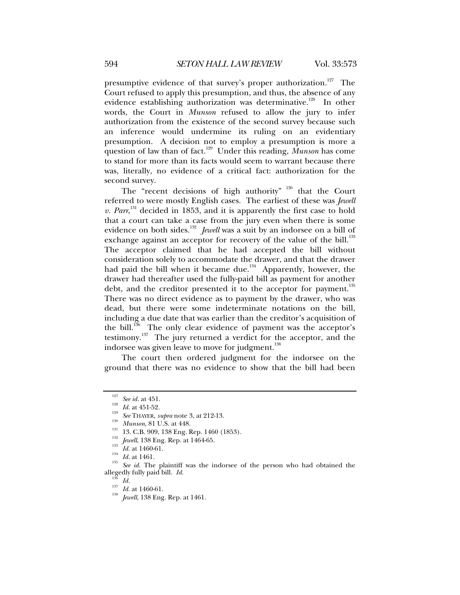presumptive evidence of that survey's proper authorization.<sup>127</sup> The Court refused to apply this presumption, and thus, the absence of any evidence establishing authorization was determinative.<sup>128</sup> In other words, the Court in *Munson* refused to allow the jury to infer authorization from the existence of the second survey because such an inference would undermine its ruling on an evidentiary presumption. A decision not to employ a presumption is more a question of law than of fact.<sup>129</sup> Under this reading, *Munson* has come to stand for more than its facts would seem to warrant because there was, literally, no evidence of a critical fact: authorization for the second survey.

The "recent decisions of high authority"  $130$  that the Court referred to were mostly English cases. The earliest of these was *Jewell v. Parr*, 131 decided in 1853, and it is apparently the first case to hold that a court can take a case from the jury even when there is some evidence on both sides.<sup>132</sup> *Jewell* was a suit by an indorsee on a bill of exchange against an acceptor for recovery of the value of the bill.<sup>133</sup> The acceptor claimed that he had accepted the bill without consideration solely to accommodate the drawer, and that the drawer had paid the bill when it became due.<sup>134</sup> Apparently, however, the drawer had thereafter used the fully-paid bill as payment for another debt, and the creditor presented it to the acceptor for payment.<sup>135</sup> There was no direct evidence as to payment by the drawer, who was dead, but there were some indeterminate notations on the bill, including a due date that was earlier than the creditor's acquisition of the bill. $136$  The only clear evidence of payment was the acceptor's testimony.<sup>137</sup> The jury returned a verdict for the acceptor, and the indorsee was given leave to move for judgment.<sup>138</sup>

The court then ordered judgment for the indorsee on the ground that there was no evidence to show that the bill had been

<sup>&</sup>lt;sup>127</sup> See id. at 451.<br>
<sup>128</sup> Id. at 451-52.<br> *see* THAYER, *supra* note 3, at 212-13.<br>
<sup>130</sup> Munson, 81 U.S. at 448.<br>
<sup>131</sup> 13. C.B. 909, 138 Eng. Rep. 1460 (1853).<br>
<sup>132</sup> Jewell, 138 Eng. Rep. at 1464-65.<br>
<sup>133</sup> Id. at 1 allegedly fully paid bill. *Id.* <sup>136</sup> *Id.* <sup>137</sup> *Id.* at 1460-61. 138 *Jewell*, 138 Eng. Rep. at 1461.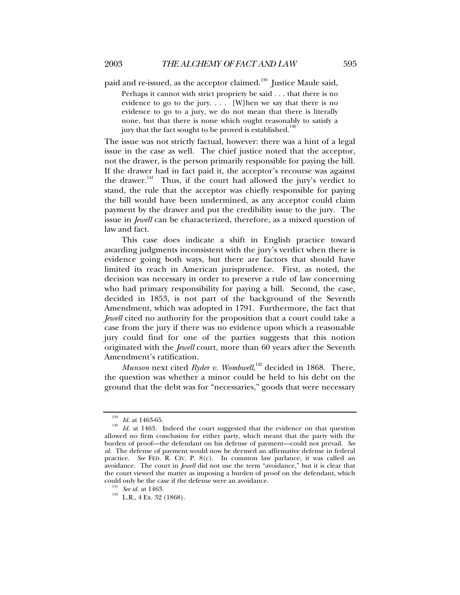paid and re-issued, as the acceptor claimed.<sup>139</sup> Justice Maule said,

Perhaps it cannot with strict propriety be said . . . that there is no evidence to go to the jury. . . . [W]hen we say that there is no evidence to go to a jury, we do not mean that there is literally none, but that there is none which ought reasonably to satisfy a jury that the fact sought to be proved is established.<sup>140</sup>

The issue was not strictly factual, however: there was a hint of a legal issue in the case as well. The chief justice noted that the acceptor, not the drawer, is the person primarily responsible for paying the bill. If the drawer had in fact paid it, the acceptor's recourse was against the drawer.<sup>141</sup> Thus, if the court had allowed the jury's verdict to stand, the rule that the acceptor was chiefly responsible for paying the bill would have been undermined, as any acceptor could claim payment by the drawer and put the credibility issue to the jury. The issue in *Jewell* can be characterized, therefore, as a mixed question of law and fact.

This case does indicate a shift in English practice toward awarding judgments inconsistent with the jury's verdict when there is evidence going both ways, but there are factors that should have limited its reach in American jurisprudence. First, as noted, the decision was necessary in order to preserve a rule of law concerning who had primary responsibility for paying a bill. Second, the case, decided in 1853, is not part of the background of the Seventh Amendment, which was adopted in 1791. Furthermore, the fact that *Jewell* cited no authority for the proposition that a court could take a case from the jury if there was no evidence upon which a reasonable jury could find for one of the parties suggests that this notion originated with the *Jewell* court, more than 60 years after the Seventh Amendment's ratification.

*Munson* next cited *Ryder v. Wombwell*, 142 decided in 1868. There, the question was whether a minor could be held to his debt on the ground that the debt was for "necessaries," goods that were necessary

<sup>&</sup>lt;sup>139</sup> *Id.* at 1463-65. Indeed the court suggested that the evidence on that question *Id.* at 1463. Indeed the court suggested that the evidence on that question allowed no firm conclusion for either party, which meant that the party with the burden of proof—the defendant on his defense of payment—could not prevail. *See id.* The defense of payment would now be deemed an affirmative defense in federal practice. *See* FED. R. CIV. P. 8(c). In common law parlance, it was called an avoidance. The court in *Jewell* did not use the term "avoidance," but it is clear that the court viewed the matter as imposing a burden of proof on the defendant, which could only be the case if the defense were an avoidance.<br><sup>141</sup> See *id.* at 1463.<br><sup>142</sup> L.R., 4 Ex. 32 (1868).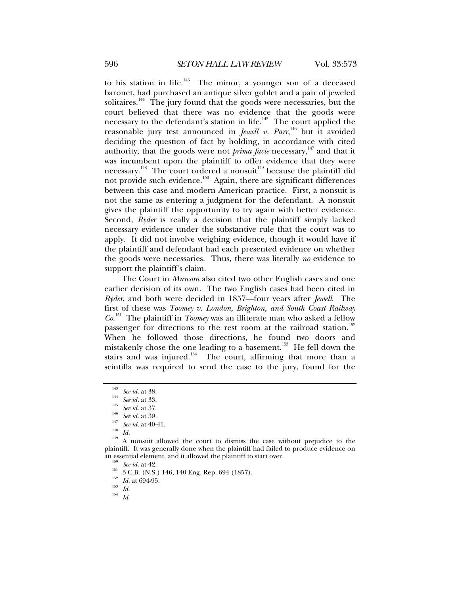to his station in life. $143$  The minor, a younger son of a deceased baronet, had purchased an antique silver goblet and a pair of jeweled solitaires.<sup>144</sup> The jury found that the goods were necessaries, but the court believed that there was no evidence that the goods were necessary to the defendant's station in life.<sup>145</sup> The court applied the reasonable jury test announced in *Jewell v. Parr*, 146 but it avoided deciding the question of fact by holding, in accordance with cited authority, that the goods were not *prima facie* necessary,<sup>147</sup> and that it was incumbent upon the plaintiff to offer evidence that they were necessary.<sup>148</sup> The court ordered a nonsuit<sup>149</sup> because the plaintiff did not provide such evidence.<sup>150</sup> Again, there are significant differences between this case and modern American practice. First, a nonsuit is not the same as entering a judgment for the defendant. A nonsuit gives the plaintiff the opportunity to try again with better evidence. Second, *Ryder* is really a decision that the plaintiff simply lacked necessary evidence under the substantive rule that the court was to apply. It did not involve weighing evidence, though it would have if the plaintiff and defendant had each presented evidence on whether the goods were necessaries. Thus, there was literally *no* evidence to support the plaintiff's claim.

The Court in *Munson* also cited two other English cases and one earlier decision of its own. The two English cases had been cited in *Ryder*, and both were decided in 1857—four years after *Jewell*. The first of these was *Toomey v. London, Brighton, and South Coast Railway Co*. 151 The plaintiff in *Toomey* was an illiterate man who asked a fellow passenger for directions to the rest room at the railroad station.<sup>152</sup> When he followed those directions, he found two doors and mistakenly chose the one leading to a basement.<sup>153</sup> He fell down the stairs and was injured.<sup>154</sup> The court, affirming that more than a scintilla was required to send the case to the jury, found for the

<sup>&</sup>lt;sup>143</sup> See id. at 38.<br><sup>145</sup> See id. at 33.<br><sup>145</sup> See id. at 37.<br><sup>147</sup> See id. at 40-41.<br><sup>148</sup> Id. <sup>149</sup> A nonsuit allowed the court to dismiss the case without prejudice to the plaintiff. It was generally done when the plaintiff had failed to produce evidence on

<sup>&</sup>lt;sup>150</sup> See id. at 42.<br>
<sup>151</sup> 3 C.B. (N.S.) 146, 140 Eng. Rep. 694 (1857).<br>
<sup>152</sup> *Id.* at 694-95.<br>
<sup>154</sup> *Id.* 154<br> *Id.*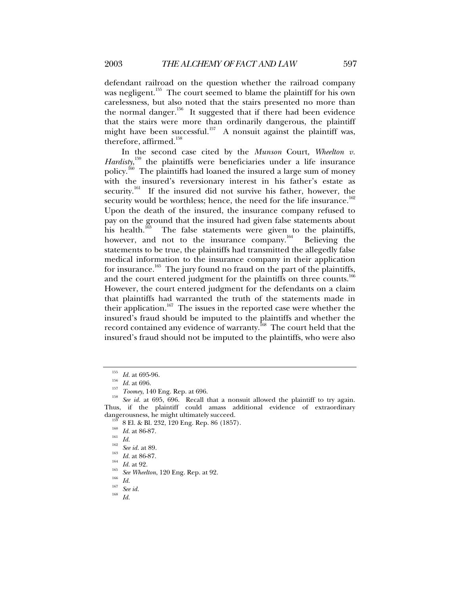defendant railroad on the question whether the railroad company was negligent.<sup>155</sup> The court seemed to blame the plaintiff for his own carelessness, but also noted that the stairs presented no more than the normal danger.<sup>156</sup> It suggested that if there had been evidence that the stairs were more than ordinarily dangerous, the plaintiff might have been successful.<sup>157</sup> A nonsuit against the plaintiff was, therefore, affirmed.<sup>158</sup>

In the second case cited by the *Munson* Court, *Wheelton v. Hardisty*, 159 the plaintiffs were beneficiaries under a life insurance policy.<sup>160</sup> The plaintiffs had loaned the insured a large sum of money with the insured's reversionary interest in his father's estate as security.<sup>161</sup> If the insured did not survive his father, however, the security would be worthless; hence, the need for the life insurance.<sup>162</sup> Upon the death of the insured, the insurance company refused to pay on the ground that the insured had given false statements about his health.<sup>163</sup> The false statements were given to the plaintiffs, however, and not to the insurance company.<sup>164</sup> Believing the statements to be true, the plaintiffs had transmitted the allegedly false medical information to the insurance company in their application for insurance.<sup>165</sup> The jury found no fraud on the part of the plaintiffs, and the court entered judgment for the plaintiffs on three counts.<sup>166</sup> However, the court entered judgment for the defendants on a claim that plaintiffs had warranted the truth of the statements made in their application.<sup>167</sup> The issues in the reported case were whether the insured's fraud should be imputed to the plaintiffs and whether the record contained any evidence of warranty.<sup>168</sup> The court held that the insured's fraud should not be imputed to the plaintiffs, who were also

<sup>&</sup>lt;sup>155</sup> *Id.* at 695-96.<br><sup>156</sup> *Id.* at 696.<br><sup>157</sup> *Toomey*, 140 Eng. Rep. at 696.<br><sup>158</sup> *See id.* at 695, 696. Recall that a nonsuit allowed the plaintiff to try again. Thus, if the plaintiff could amass additional evidence of extraordinary

dangerousness, he might ultimately succeed.<br>
<sup>159</sup> 8 El. & Bl. 232, 120 Eng. Rep. 86 (1857).<br>
<sup>160</sup> Id. at 86-87.<br>
<sup>161</sup> Id.<br>
<sup>162</sup> See id. at 89.<br>
<sup>163</sup> Id. at 86-87.<br>
<sup>164</sup> Id. at 92.<br>
<sup>165</sup> See Wheelton, 120 Eng. Rep.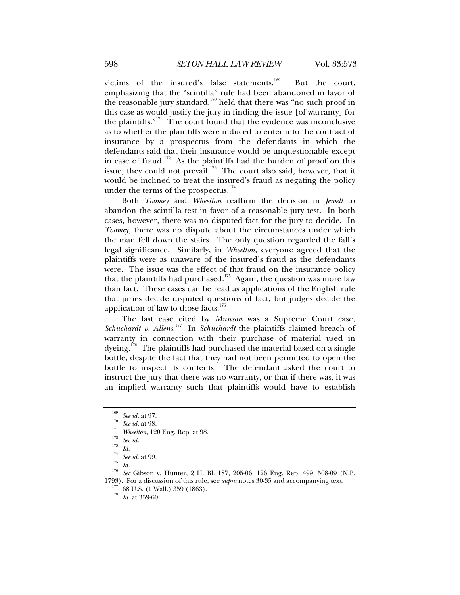victims of the insured's false statements.<sup>169</sup> But the court, emphasizing that the "scintilla" rule had been abandoned in favor of the reasonable jury standard, $170$  held that there was "no such proof in this case as would justify the jury in finding the issue [of warranty] for the plaintiffs. $"$ <sup>171</sup> The court found that the evidence was inconclusive as to whether the plaintiffs were induced to enter into the contract of insurance by a prospectus from the defendants in which the defendants said that their insurance would be unquestionable except in case of fraud.<sup>172</sup> As the plaintiffs had the burden of proof on this issue, they could not prevail.<sup>173</sup> The court also said, however, that it would be inclined to treat the insured's fraud as negating the policy under the terms of the prospectus.<sup>174</sup>

Both *Toomey* and *Wheelton* reaffirm the decision in *Jewell* to abandon the scintilla test in favor of a reasonable jury test. In both cases, however, there was no disputed fact for the jury to decide. In *Toomey*, there was no dispute about the circumstances under which the man fell down the stairs. The only question regarded the fall's legal significance. Similarly, in *Wheelton*, everyone agreed that the plaintiffs were as unaware of the insured's fraud as the defendants were. The issue was the effect of that fraud on the insurance policy that the plaintiffs had purchased.<sup>175</sup> Again, the question was more law than fact. These cases can be read as applications of the English rule that juries decide disputed questions of fact, but judges decide the application of law to those facts. $176$ 

The last case cited by *Munson* was a Supreme Court case, *Schuchardt v. Allens*. 177 In *Schuchardt* the plaintiffs claimed breach of warranty in connection with their purchase of material used in  $\alpha$  dyeing.<sup>178</sup> The plaintiffs had purchased the material based on a single bottle, despite the fact that they had not been permitted to open the bottle to inspect its contents. The defendant asked the court to instruct the jury that there was no warranty, or that if there was, it was an implied warranty such that plaintiffs would have to establish

<sup>&</sup>lt;sup>169</sup> See id. at 97.<br>
<sup>170</sup> See id. at 98.<br>
<sup>171</sup> Wheelton, 120 Eng. Rep. at 98.<br>
<sup>172</sup> See id.<br>
<sup>173</sup> Id.<br>
<sup>174</sup> See id. at 99.<br>
<sup>174</sup> See id. at 99.<br>
<sup>175</sup> *Id.*<br>
<sup>174</sup> See id. at 99.<br>
<sup>175</sup> See Gibson v. Hunter, 2 H. B 1793). For a discussion of this rule, see *supra* notes 30-35 and accompanying text. 177 68 U.S. (1 Wall.) 359 (1863). 178 *Id.* at 359-60.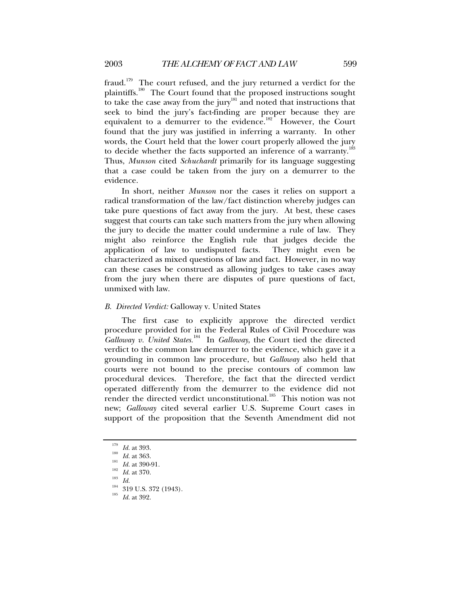fraud.<sup>179</sup> The court refused, and the jury returned a verdict for the plaintiffs.180 The Court found that the proposed instructions sought to take the case away from the jury<sup>181</sup> and noted that instructions that seek to bind the jury's fact-finding are proper because they are equivalent to a demurrer to the evidence.<sup>182</sup> However, the Court found that the jury was justified in inferring a warranty. In other words, the Court held that the lower court properly allowed the jury to decide whether the facts supported an inference of a warranty.<sup>183</sup> Thus, *Munson* cited *Schuchardt* primarily for its language suggesting that a case could be taken from the jury on a demurrer to the evidence.

In short, neither *Munson* nor the cases it relies on support a radical transformation of the law/fact distinction whereby judges can take pure questions of fact away from the jury. At best, these cases suggest that courts can take such matters from the jury when allowing the jury to decide the matter could undermine a rule of law. They might also reinforce the English rule that judges decide the application of law to undisputed facts. They might even be characterized as mixed questions of law and fact. However, in no way can these cases be construed as allowing judges to take cases away from the jury when there are disputes of pure questions of fact, unmixed with law.

#### *B. Directed Verdict:* Galloway v. United States

The first case to explicitly approve the directed verdict procedure provided for in the Federal Rules of Civil Procedure was *Galloway v. United States.*184 In *Galloway*, the Court tied the directed verdict to the common law demurrer to the evidence, which gave it a grounding in common law procedure, but *Galloway* also held that courts were not bound to the precise contours of common law procedural devices. Therefore, the fact that the directed verdict operated differently from the demurrer to the evidence did not render the directed verdict unconstitutional.<sup>185</sup> This notion was not new; *Galloway* cited several earlier U.S. Supreme Court cases in support of the proposition that the Seventh Amendment did not

<sup>1&</sup>lt;sup>79</sup> Id. at 393.<br><sup>180</sup> Id. at 363.<br><sup>181</sup> Id. at 370.<br><sup>182</sup> Id. at 370.<br><sup>184</sup> 319 U.S. 372 (1943).<br><sup>185</sup> Id. at 392.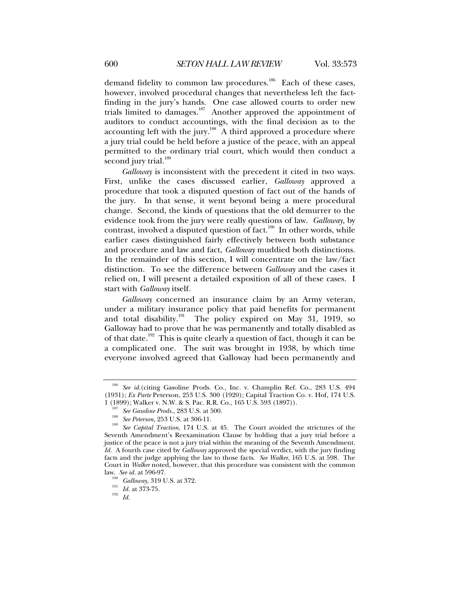demand fidelity to common law procedures.<sup>186</sup> Each of these cases, however, involved procedural changes that nevertheless left the factfinding in the jury's hands. One case allowed courts to order new trials limited to damages. $187$  Another approved the appointment of auditors to conduct accountings, with the final decision as to the accounting left with the jury.<sup>188</sup>  $\overrightarrow{A}$  third approved a procedure where a jury trial could be held before a justice of the peace, with an appeal permitted to the ordinary trial court, which would then conduct a second jury trial.<sup>189</sup>

*Galloway* is inconsistent with the precedent it cited in two ways. First, unlike the cases discussed earlier, *Galloway* approved a procedure that took a disputed question of fact out of the hands of the jury. In that sense, it went beyond being a mere procedural change. Second, the kinds of questions that the old demurrer to the evidence took from the jury were really questions of law. *Galloway*, by contrast, involved a disputed question of fact.<sup>190</sup> In other words, while earlier cases distinguished fairly effectively between both substance and procedure and law and fact, *Galloway* muddied both distinctions. In the remainder of this section, I will concentrate on the law/fact distinction. To see the difference between *Galloway* and the cases it relied on, I will present a detailed exposition of all of these cases. I start with *Galloway* itself.

*Galloway* concerned an insurance claim by an Army veteran, under a military insurance policy that paid benefits for permanent and total disability.<sup>191</sup> The policy expired on May 31, 1919, so Galloway had to prove that he was permanently and totally disabled as of that date.<sup>192</sup> This is quite clearly a question of fact, though it can be a complicated one. The suit was brought in 1938, by which time everyone involved agreed that Galloway had been permanently and

See id.(citing Gasoline Prods. Co., Inc. v. Champlin Ref. Co., 283 U.S. 494 (1931); *Ex Parte* Peterson, 253 U.S. 300 (1920); Capital Traction Co. v. Hof, 174 U.S.

<sup>1 (1899);</sup> Walker v. N.W. & S. Pac. R.R. Co., 165 U.S. 593 (1897)).<br><sup>187</sup> See Gasoline Prods., 283 U.S. at 500.<br><sup>188</sup> See Peterson, 253 U.S. at 306-11.<br><sup>189</sup> See Capital Traction, 174 U.S. at 45. The Court avoided the stri Seventh Amendment's Reexamination Clause by holding that a jury trial before a justice of the peace is not a jury trial within the meaning of the Seventh Amendment. *Id.* A fourth case cited by *Galloway* approved the special verdict, with the jury finding facts and the judge applying the law to those facts. *See Walker*, 165 U.S. at 598. The Court in *Walker* noted, however, that this procedure was consistent with the common law. *See id.* at 596-97. 190 *Galloway*, 319 U.S. at 372. 191 *Id.* at 373-75. 192 *Id.*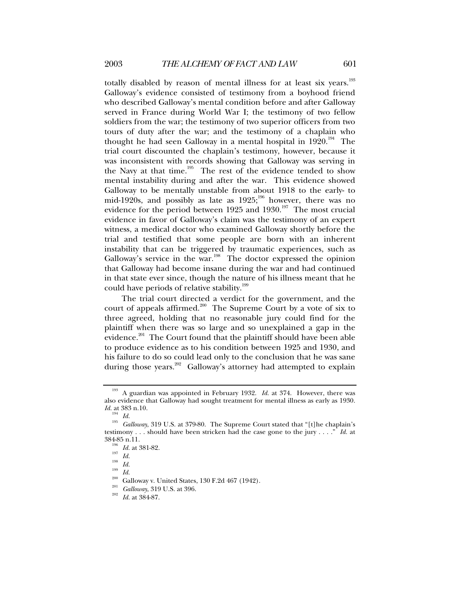totally disabled by reason of mental illness for at least six years.193 Galloway's evidence consisted of testimony from a boyhood friend who described Galloway's mental condition before and after Galloway served in France during World War I; the testimony of two fellow soldiers from the war; the testimony of two superior officers from two tours of duty after the war; and the testimony of a chaplain who thought he had seen Galloway in a mental hospital in  $1920.^{194}$  The trial court discounted the chaplain's testimony, however, because it was inconsistent with records showing that Galloway was serving in the Navy at that time.<sup>195</sup> The rest of the evidence tended to show mental instability during and after the war. This evidence showed Galloway to be mentally unstable from about 1918 to the early- to mid-1920s, and possibly as late as  $1925$ ;<sup>196</sup> however, there was no evidence for the period between 1925 and 1930.<sup>197</sup> The most crucial evidence in favor of Galloway's claim was the testimony of an expert witness, a medical doctor who examined Galloway shortly before the trial and testified that some people are born with an inherent instability that can be triggered by traumatic experiences, such as Galloway's service in the war.<sup>198</sup> The doctor expressed the opinion that Galloway had become insane during the war and had continued in that state ever since, though the nature of his illness meant that he could have periods of relative stability.<sup>199</sup>

The trial court directed a verdict for the government, and the court of appeals affirmed.<sup>200</sup> The Supreme Court by a vote of six to three agreed, holding that no reasonable jury could find for the plaintiff when there was so large and so unexplained a gap in the evidence.<sup>201</sup> The Court found that the plaintiff should have been able to produce evidence as to his condition between 1925 and 1930, and his failure to do so could lead only to the conclusion that he was sane during those years.<sup>202</sup> Galloway's attorney had attempted to explain

<sup>193</sup> A guardian was appointed in February 1932. *Id.* at 374. However, there was also evidence that Galloway had sought treatment for mental illness as early as 1930. *Id.* at 383 n.10.

<sup>&</sup>lt;sup>195</sup> *Galloway*, 319 U.S. at 379-80. The Supreme Court stated that "[t]he chaplain's testimony . . . should have been stricken had the case gone to the jury . . . ." *Id.* at 384-85 n.11.<br><sup>196</sup> *Id.* at 381-82.<br><sup>197</sup> *Id.*<br><sup>198</sup> *Id.*<br><sup>201</sup> Galloway v. United States, 130 F.2d 467 (1942).<br><sup>201</sup> *Galloway*, 319 U.S. at 396.<br><sup>202</sup> *Id.* at 384-87.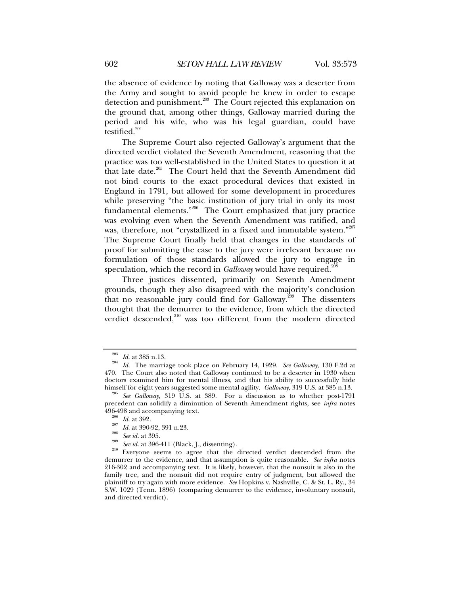the absence of evidence by noting that Galloway was a deserter from the Army and sought to avoid people he knew in order to escape detection and punishment.<sup>203</sup> The Court rejected this explanation on the ground that, among other things, Galloway married during the period and his wife, who was his legal guardian, could have testified. $204$ 

The Supreme Court also rejected Galloway's argument that the directed verdict violated the Seventh Amendment, reasoning that the practice was too well-established in the United States to question it at that late date.205 The Court held that the Seventh Amendment did not bind courts to the exact procedural devices that existed in England in 1791, but allowed for some development in procedures while preserving "the basic institution of jury trial in only its most fundamental elements."206 The Court emphasized that jury practice was evolving even when the Seventh Amendment was ratified, and was, therefore, not "crystallized in a fixed and immutable system."207 The Supreme Court finally held that changes in the standards of proof for submitting the case to the jury were irrelevant because no formulation of those standards allowed the jury to engage in speculation, which the record in *Galloway* would have required.<sup>208</sup>

Three justices dissented, primarily on Seventh Amendment grounds, though they also disagreed with the majority's conclusion that no reasonable jury could find for Galloway.<sup>209</sup> The dissenters thought that the demurrer to the evidence, from which the directed verdict descended, $210$  was too different from the modern directed

<sup>203</sup> *Id.* at 385 n.13. 204 *Id.* The marriage took place on February 14, 1929. *See Galloway*, 130 F.2d at 470. The Court also noted that Galloway continued to be a deserter in 1930 when doctors examined him for mental illness, and that his ability to successfully hide himself for eight years suggested some mental agility. *Gallowa*y, 319 U.S. at 385 n.13.

See Galloway, 319 U.S. at 389. For a discussion as to whether post-1791 precedent can solidify a diminution of Seventh Amendment rights, see *infra* notes

<sup>&</sup>lt;sup>200</sup> *Id.* at 392.<br>
<sup>207</sup> *Id.* at 390-92, 391 n.23.<br>
<sup>208</sup> *See id.* at 395.<br>
<sup>209</sup> *See id.* at 396-411 (Black, J., dissenting).<br>
<sup>210</sup> Everyone seems to agree that the directed verdict descended from the demurrer to the evidence, and that assumption is quite reasonable. *See infra* notes 216-302 and accompanying text. It is likely, however, that the nonsuit is also in the family tree, and the nonsuit did not require entry of judgment, but allowed the plaintiff to try again with more evidence. *See* Hopkins v. Nashville, C. & St. L. Ry., 34 S.W. 1029 (Tenn. 1896) (comparing demurrer to the evidence, involuntary nonsuit, and directed verdict).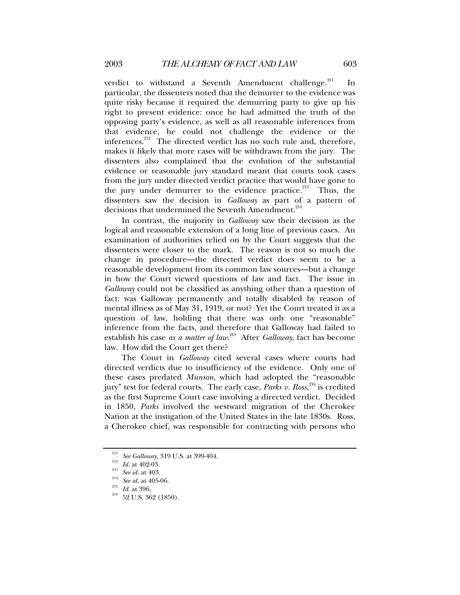verdict to withstand a Seventh Amendment challenge. $^{211}$  In particular, the dissenters noted that the demurrer to the evidence was quite risky because it required the demurring party to give up his right to present evidence: once he had admitted the truth of the opposing party's evidence, as well as all reasonable inferences from that evidence, he could not challenge the evidence or the inferences.<sup>212</sup> The directed verdict has no such rule and, therefore, makes it likely that more cases will be withdrawn from the jury. The dissenters also complained that the evolution of the substantial evidence or reasonable jury standard meant that courts took cases from the jury under directed verdict practice that would have gone to the jury under demurrer to the evidence practice. $213$  Thus, the dissenters saw the decision in *Galloway* as part of a pattern of decisions that undermined the Seventh Amendment.<sup>214</sup>

In contrast, the majority in *Galloway* saw their decision as the logical and reasonable extension of a long line of previous cases. An examination of authorities relied on by the Court suggests that the dissenters were closer to the mark. The reason is not so much the change in procedure—the directed verdict does seem to be a reasonable development from its common law sources—but a change in how the Court viewed questions of law and fact. The issue in *Galloway* could not be classified as anything other than a question of fact: was Galloway permanently and totally disabled by reason of mental illness as of May 31, 1919, or not? Yet the Court treated it as a question of law, holding that there was only one "reasonable" inference from the facts, and therefore that Galloway had failed to establish his case *as a matter of law*. 215 After *Galloway*, fact has become law. How did the Court get there?

The Court in *Galloway* cited several cases where courts had directed verdicts due to insufficiency of the evidence. Only one of these cases predated *Munson*, which had adopted the "reasonable jury" test for federal courts. The early case, *Parks v. Ross*, 216 is credited as the first Supreme Court case involving a directed verdict. Decided in 1850, *Parks* involved the westward migration of the Cherokee Nation at the instigation of the United States in the late 1830s. Ross, a Cherokee chief, was responsible for contracting with persons who

<sup>&</sup>lt;sup>211</sup> See Galloway, 319 U.S. at 399-404.<br><sup>212</sup> Id. at 402-03.<br><sup>213</sup> See id. at 403.<br><sup>214</sup> See id. at 405-06.<br><sup>215</sup> Id. at 396.<br><sup>216</sup> 52 U.S. 362 (1850).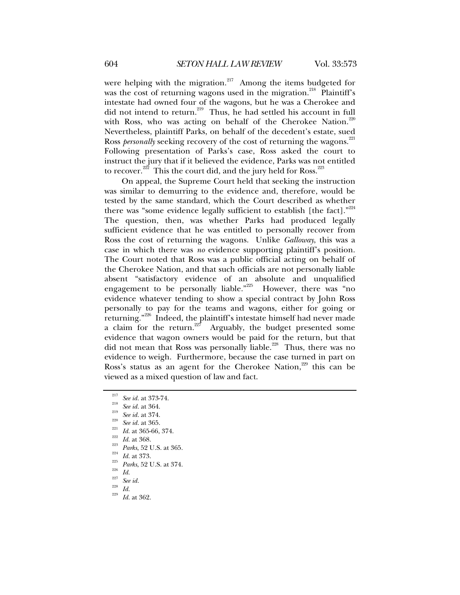were helping with the migration. $217$  Among the items budgeted for was the cost of returning wagons used in the migration.<sup>218</sup> Plaintiff's intestate had owned four of the wagons, but he was a Cherokee and did not intend to return.<sup>219</sup> Thus, he had settled his account in full with Ross, who was acting on behalf of the Cherokee Nation.<sup>220</sup> Nevertheless, plaintiff Parks, on behalf of the decedent's estate, sued Ross *personally* seeking recovery of the cost of returning the wagons.<sup>221</sup> Following presentation of Parks's case, Ross asked the court to instruct the jury that if it believed the evidence, Parks was not entitled to recover.<sup>222</sup> This the court did, and the jury held for Ross.<sup>223</sup>

On appeal, the Supreme Court held that seeking the instruction was similar to demurring to the evidence and, therefore, would be tested by the same standard, which the Court described as whether there was "some evidence legally sufficient to establish [the fact]." $^{224}$ The question, then, was whether Parks had produced legally sufficient evidence that he was entitled to personally recover from Ross the cost of returning the wagons. Unlike *Galloway*, this was a case in which there was *no* evidence supporting plaintiff's position. The Court noted that Ross was a public official acting on behalf of the Cherokee Nation, and that such officials are not personally liable absent "satisfactory evidence of an absolute and unqualified engagement to be personally liable."<sup>225</sup> However, there was "no evidence whatever tending to show a special contract by John Ross personally to pay for the teams and wagons, either for going or returning."<sup>226</sup> Indeed, the plaintiff's intestate himself had never made a claim for the return.<sup>227</sup> Arguably, the budget presented some evidence that wagon owners would be paid for the return, but that did not mean that Ross was personally liable.<sup>228</sup> Thus, there was no evidence to weigh. Furthermore, because the case turned in part on Ross's status as an agent for the Cherokee Nation, $229$  this can be viewed as a mixed question of law and fact.

<sup>&</sup>lt;sup>217</sup> See id. at 373-74.<br>
<sup>218</sup> See id. at 364.<br>
<sup>218</sup> See id. at 364.<br>
<sup>219</sup> See id. at 365.<br>
<sup>221</sup> Id. at 365-66, 374.<br>
<sup>222</sup> Id. at 368.<br>
<sup>223</sup> Parks, 52 U.S. at 365.<br>
<sup>225</sup> Parks, 52 U.S. at 374.<br>
<sup>225</sup> See id.<br>
Id. at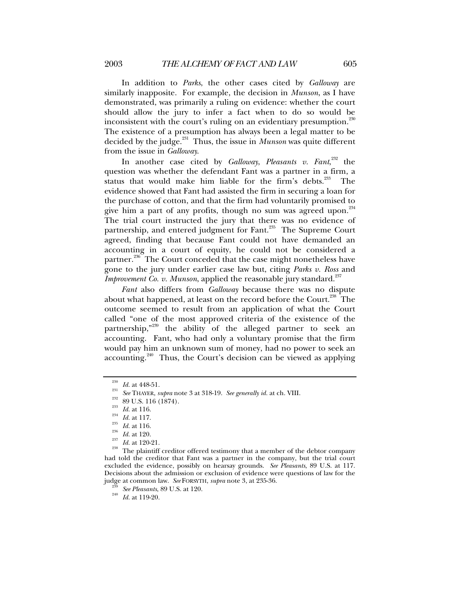In addition to *Parks*, the other cases cited by *Galloway* are similarly inapposite. For example, the decision in *Munson*, as I have demonstrated, was primarily a ruling on evidence: whether the court should allow the jury to infer a fact when to do so would be inconsistent with the court's ruling on an evidentiary presumption.<sup>230</sup> The existence of a presumption has always been a legal matter to be decided by the judge.<sup>231</sup> Thus, the issue in *Munson* was quite different from the issue in *Galloway*.

In another case cited by *Galloway*, *Pleasants v. Fant*, 232 the question was whether the defendant Fant was a partner in a firm, a status that would make him liable for the firm's debts. $233$  The evidence showed that Fant had assisted the firm in securing a loan for the purchase of cotton, and that the firm had voluntarily promised to give him a part of any profits, though no sum was agreed upon. $^{234}$ The trial court instructed the jury that there was no evidence of partnership, and entered judgment for Fant.<sup>235</sup> The Supreme Court agreed, finding that because Fant could not have demanded an accounting in a court of equity, he could not be considered a partner.<sup>236</sup> The Court conceded that the case might nonetheless have gone to the jury under earlier case law but, citing *Parks v. Ross* and *Improvement Co. v. Munson*, applied the reasonable jury standard.<sup>237</sup>

*Fant* also differs from *Galloway* because there was no dispute about what happened, at least on the record before the Court.<sup>238</sup> The outcome seemed to result from an application of what the Court called "one of the most approved criteria of the existence of the partnership,"<sup>239</sup> the ability of the alleged partner to seek an accounting. Fant, who had only a voluntary promise that the firm would pay him an unknown sum of money, had no power to seek an accounting.<sup>240</sup> Thus, the Court's decision can be viewed as applying

<sup>&</sup>lt;sup>230</sup> *Id.* at 448-51.<br>
<sup>231</sup> *See* THAYER, *supra* note 3 at 318-19. *See generally id.* at ch. VIII.<br>
<sup>232</sup> 89 U.S. 116 (1874).<br>
<sup>233</sup> *Id.* at 116.<br>
<sup>235</sup> *Id.* at 116.<br> *Id.* at 110.<br>
<sup>235</sup> *Id.* at 110.<br> *Id.* at 120 had told the creditor that Fant was a partner in the company, but the trial court excluded the evidence, possibly on hearsay grounds. *See Pleasants*, 89 U.S. at 117. Decisions about the admission or exclusion of evidence were questions of law for the judge at common law. *See* FORSYTH, *supra* note 3, at 235-36. 239 *See Pleasants*, 89 U.S. at 120. 240 *Id.* at 119-20.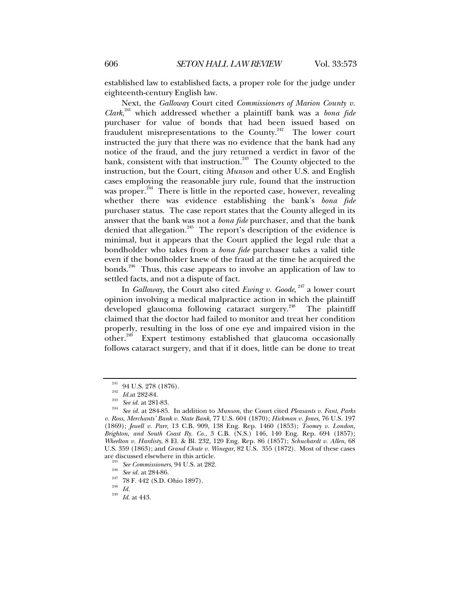established law to established facts, a proper role for the judge under eighteenth-century English law.

Next, the *Galloway* Court cited *Commissioners of Marion County v. Clark*, 241 which addressed whether a plaintiff bank was a *bona fide* purchaser for value of bonds that had been issued based on fraudulent misrepresentations to the County.<sup>242</sup> The lower court instructed the jury that there was no evidence that the bank had any notice of the fraud, and the jury returned a verdict in favor of the bank, consistent with that instruction.<sup>243</sup> The County objected to the instruction, but the Court, citing *Munson* and other U.S. and English cases employing the reasonable jury rule, found that the instruction was proper.<sup>244</sup> There is little in the reported case, however, revealing whether there was evidence establishing the bank's *bona fide* purchaser status. The case report states that the County alleged in its answer that the bank was not a *bona fide* purchaser, and that the bank denied that allegation.<sup>245</sup> The report's description of the evidence is minimal, but it appears that the Court applied the legal rule that a bondholder who takes from a *bona fide* purchaser takes a valid title even if the bondholder knew of the fraud at the time he acquired the bonds.<sup>246</sup> Thus, this case appears to involve an application of law to settled facts, and not a dispute of fact.

In *Galloway*, the Court also cited *Ewing v. Goode*, 247 a lower court opinion involving a medical malpractice action in which the plaintiff developed glaucoma following cataract surgery.<sup>248</sup> The plaintiff claimed that the doctor had failed to monitor and treat her condition properly, resulting in the loss of one eye and impaired vision in the other.249 Expert testimony established that glaucoma occasionally follows cataract surgery, and that if it does, little can be done to treat

<sup>241 94</sup> U.S. 278 (1876). 242 *Id.*at 282-84. 243 *See id.* at 281-83. 244 *See id.* at 284-85. In addition to *Munson*, the Court cited *Pleasants v. Fant*, *Parks v. Ross*, *Merchants' Bank v. State Bank*, 77 U.S. 604 (1870); *Hickman v. Jones*, 76 U.S. 197 (1869); *Jewell v. Parr*, 13 C.B. 909, 138 Eng. Rep. 1460 (1853); *Toomey v. London, Brighton, and South Coast Ry. Co.*, 3 C.B. (N.S.) 146, 140 Eng. Rep. 694 (1857); *Wheelton v. Hardisty*, 8 El. & Bl. 232, 120 Eng. Rep. 86 (1857); *Schuchardt v. Allen*, 68 U.S. 359 (1863); and *Grand Chute v. Winegar*, 82 U.S. 355 (1872). Most of these cases

<sup>&</sup>lt;sup>245</sup> See Commissioners, 94 U.S. at 282.<br><sup>246</sup> See *id.* at 284-86.<br><sup>247</sup> 78 F. 442 (S.D. Ohio 1897).<br><sup>248</sup> Id. <sup>249</sup> Id. at 443.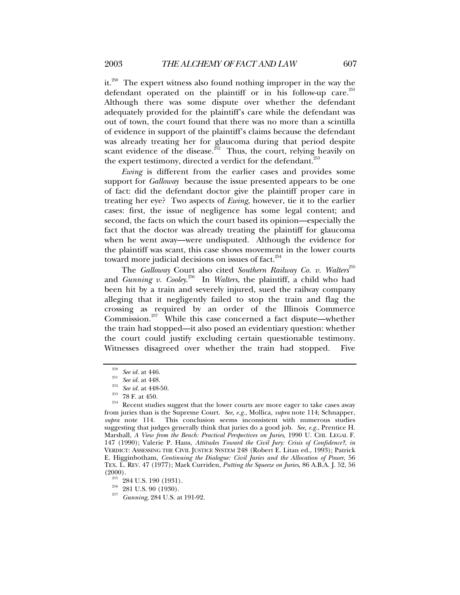it.<sup>250</sup> The expert witness also found nothing improper in the way the defendant operated on the plaintiff or in his follow-up care.<sup>251</sup> Although there was some dispute over whether the defendant adequately provided for the plaintiff's care while the defendant was out of town, the court found that there was no more than a scintilla of evidence in support of the plaintiff's claims because the defendant was already treating her for glaucoma during that period despite scant evidence of the disease.<sup>352</sup> Thus, the court, relying heavily on the expert testimony, directed a verdict for the defendant. $^{253}$ 

*Ewing* is different from the earlier cases and provides some support for *Galloway* because the issue presented appears to be one of fact: did the defendant doctor give the plaintiff proper care in treating her eye? Two aspects of *Ewing*, however, tie it to the earlier cases: first, the issue of negligence has some legal content; and second, the facts on which the court based its opinion—especially the fact that the doctor was already treating the plaintiff for glaucoma when he went away—were undisputed. Although the evidence for the plaintiff was scant, this case shows movement in the lower courts toward more judicial decisions on issues of fact.<sup>254</sup>

The *Galloway* Court also cited *Southern Railway Co. v. Walters*<sup>255</sup> and *Gunning v. Cooley*. 256 In *Walters*, the plaintiff, a child who had been hit by a train and severely injured, sued the railway company alleging that it negligently failed to stop the train and flag the crossing as required by an order of the Illinois Commerce Commission.<sup>257</sup> While this case concerned a fact dispute—whether the train had stopped—it also posed an evidentiary question: whether the court could justify excluding certain questionable testimony. Witnesses disagreed over whether the train had stopped. Five

<sup>&</sup>lt;sup>250</sup> See id. at 446.<br><sup>251</sup> See id. at 448.<br><sup>252</sup> See id. at 448-50.<br><sup>253</sup> 78 F. at 450.<br>Recent studies suggest that the lower courts are more eager to take cases away from juries than is the Supreme Court. *See, e.g.*, Mollica, *supra* note 114; Schnapper, *supra* note 114. This conclusion seems inconsistent with numerous studies suggesting that judges generally think that juries do a good job. *See, e.g.*, Prentice H. Marshall, *A View from the Bench: Practical Perspectives on Juries*, 1990 U. CHI. LEGAL F. 147 (1990); Valerie P. Hans, *Attitudes Toward the Civil Jury: Crisis of Confidence?*, *in* VERDICT: ASSESSING THE CIVIL JUSTICE SYSTEM 248 (Robert E. Litan ed., 1993); Patrick E. Higginbotham, *Continuing the Dialogue: Civil Juries and the Allocation of Power*, 56 TEX. L. REV. 47 (1977); Mark Curriden, *Putting the Squeeze on Juries*, 86 A.B.A. J. 52, 56 (2000). 255 284 U.S. 190 (1931). 256 281 U.S. 90 (1930). 257 *Gunning*, 284 U.S. at 191-92.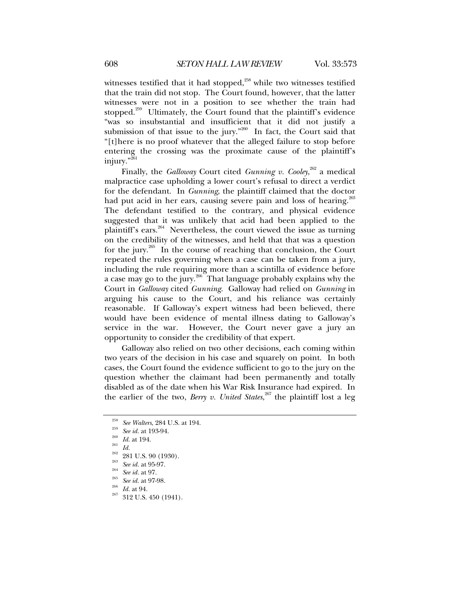witnesses testified that it had stopped, $258$  while two witnesses testified that the train did not stop. The Court found, however, that the latter witnesses were not in a position to see whether the train had stopped.<sup>259</sup> Ultimately, the Court found that the plaintiff's evidence "was so insubstantial and insufficient that it did not justify a submission of that issue to the jury." $260$  In fact, the Court said that "[t]here is no proof whatever that the alleged failure to stop before entering the crossing was the proximate cause of the plaintiff's injury."<sup>261</sup>

Finally, the *Galloway* Court cited *Gunning v. Cooley*, 262 a medical malpractice case upholding a lower court's refusal to direct a verdict for the defendant. In *Gunning*, the plaintiff claimed that the doctor had put acid in her ears, causing severe pain and loss of hearing.<sup>263</sup> The defendant testified to the contrary, and physical evidence suggested that it was unlikely that acid had been applied to the plaintiff's ears.<sup>264</sup> Nevertheless, the court viewed the issue as turning on the credibility of the witnesses, and held that that was a question for the jury.265 In the course of reaching that conclusion, the Court repeated the rules governing when a case can be taken from a jury, including the rule requiring more than a scintilla of evidence before a case may go to the jury.<sup>266</sup> That language probably explains why the Court in *Galloway* cited *Gunning*. Galloway had relied on *Gunning* in arguing his cause to the Court, and his reliance was certainly reasonable. If Galloway's expert witness had been believed, there would have been evidence of mental illness dating to Galloway's service in the war. However, the Court never gave a jury an opportunity to consider the credibility of that expert.

Galloway also relied on two other decisions, each coming within two years of the decision in his case and squarely on point. In both cases, the Court found the evidence sufficient to go to the jury on the question whether the claimant had been permanently and totally disabled as of the date when his War Risk Insurance had expired. In the earlier of the two, *Berry v. United States*, 267 the plaintiff lost a leg

<sup>&</sup>lt;sup>258</sup> See Walters, 284 U.S. at 194.<br><sup>259</sup> See id. at 193-94.<br><sup>260</sup> Id. at 194.<br><sup>261</sup> 281 U.S. 90 (1930).<br><sup>263</sup> 281 U.S. 90 (1930).<br><sup>263</sup> See id. at 95-97.<br><sup>264</sup> See id. at 97.<br><sup>265</sup> See id. at 97.<br><sup>265</sup> Id. at 94.<br><sup>267</sup> 31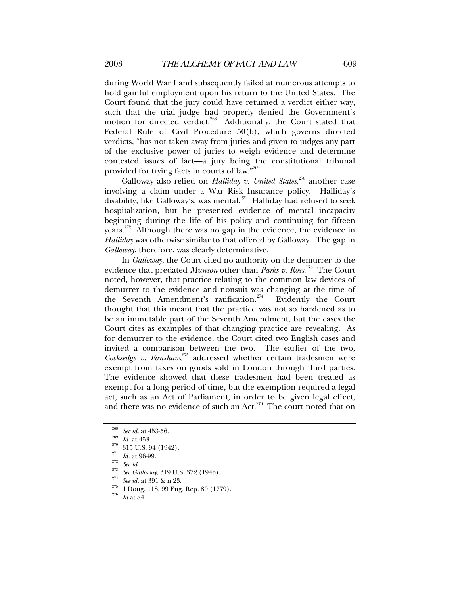during World War I and subsequently failed at numerous attempts to hold gainful employment upon his return to the United States. The Court found that the jury could have returned a verdict either way, such that the trial judge had properly denied the Government's motion for directed verdict.<sup>268</sup> Additionally, the Court stated that Federal Rule of Civil Procedure 50(b), which governs directed verdicts, "has not taken away from juries and given to judges any part of the exclusive power of juries to weigh evidence and determine contested issues of fact—a jury being the constitutional tribunal provided for trying facts in courts of law."269

Galloway also relied on *Halliday v. United States*, 270 another case involving a claim under a War Risk Insurance policy. Halliday's disability, like Galloway's, was mental.<sup>271</sup> Halliday had refused to seek hospitalization, but he presented evidence of mental incapacity beginning during the life of his policy and continuing for fifteen years.<sup>272</sup> Although there was no gap in the evidence, the evidence in *Halliday* was otherwise similar to that offered by Galloway. The gap in *Galloway*, therefore, was clearly determinative.

In *Galloway*, the Court cited no authority on the demurrer to the evidence that predated *Munson* other than *Parks v. Ross*. 273 The Court noted, however, that practice relating to the common law devices of demurrer to the evidence and nonsuit was changing at the time of the Seventh Amendment's ratification.<sup>274</sup> Evidently the Court thought that this meant that the practice was not so hardened as to be an immutable part of the Seventh Amendment, but the cases the Court cites as examples of that changing practice are revealing. As for demurrer to the evidence, the Court cited two English cases and invited a comparison between the two. The earlier of the two, *Cocksedge v. Fanshaw*, 275 addressed whether certain tradesmen were exempt from taxes on goods sold in London through third parties. The evidence showed that these tradesmen had been treated as exempt for a long period of time, but the exemption required a legal act, such as an Act of Parliament, in order to be given legal effect, and there was no evidence of such an Act. $276$  The court noted that on

<sup>&</sup>lt;sup>268</sup> *See id.* at 453-56.<br>
<sup>269</sup> *Id.* at 453.<br>
<sup>270</sup> 315 U.S. 94 (1942).<br>
<sup>271</sup> *Id.* at 96-99.<br>
<sup>272</sup> *See id.*<br>
<sup>273</sup> *See Galloway*, 319 U.S. 372 (1943).<br>
<sup>274</sup> *See id.* at 391 & n.23.<br>
<sup>275</sup> 1 Doug. 118, 99 Eng. Re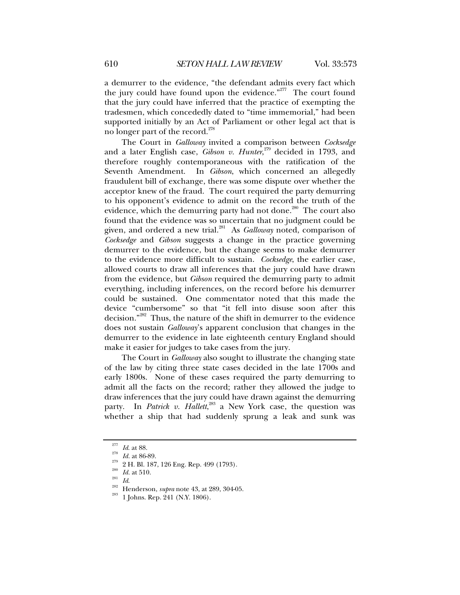a demurrer to the evidence, "the defendant admits every fact which the jury could have found upon the evidence."<sup>277</sup> The court found that the jury could have inferred that the practice of exempting the tradesmen, which concededly dated to "time immemorial," had been supported initially by an Act of Parliament or other legal act that is no longer part of the record.<sup>278</sup>

The Court in *Galloway* invited a comparison between *Cocksedge* and a later English case, *Gibson v. Hunter*, 279 decided in 1793, and therefore roughly contemporaneous with the ratification of the Seventh Amendment. In *Gibson*, which concerned an allegedly fraudulent bill of exchange, there was some dispute over whether the acceptor knew of the fraud. The court required the party demurring to his opponent's evidence to admit on the record the truth of the evidence, which the demurring party had not done.<sup>280</sup> The court also found that the evidence was so uncertain that no judgment could be given, and ordered a new trial.281 As *Galloway* noted, comparison of *Cocksedge* and *Gibson* suggests a change in the practice governing demurrer to the evidence, but the change seems to make demurrer to the evidence more difficult to sustain. *Cocksedge*, the earlier case, allowed courts to draw all inferences that the jury could have drawn from the evidence, but *Gibson* required the demurring party to admit everything, including inferences, on the record before his demurrer could be sustained. One commentator noted that this made the device "cumbersome" so that "it fell into disuse soon after this decision."282 Thus, the nature of the shift in demurrer to the evidence does not sustain *Galloway*'s apparent conclusion that changes in the demurrer to the evidence in late eighteenth century England should make it easier for judges to take cases from the jury.

The Court in *Galloway* also sought to illustrate the changing state of the law by citing three state cases decided in the late 1700s and early 1800s. None of these cases required the party demurring to admit all the facts on the record; rather they allowed the judge to draw inferences that the jury could have drawn against the demurring party. In *Patrick v. Hallett*,<sup>283</sup> a New York case, the question was whether a ship that had suddenly sprung a leak and sunk was

<sup>&</sup>lt;sup>277</sup> *Id.* at 88.<br><sup>278</sup> *Z* H. Bl. 187, 126 Eng. Rep. 499 (1793).<br><sup>280</sup> *Id.* at 510.<br><sup>281</sup> *Id.*<br><sup>282</sup> Henderson, *supra* note 43, at 289, 304-05.<br><sup>283</sup> 1 Johns. Rep. 241 (N.Y. 1806).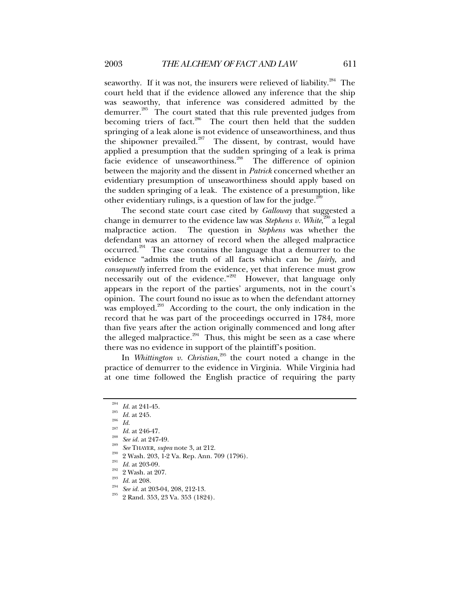seaworthy. If it was not, the insurers were relieved of liability. $284$  The court held that if the evidence allowed any inference that the ship was seaworthy, that inference was considered admitted by the demurrer.285 The court stated that this rule prevented judges from becoming triers of fact.<sup>286</sup> The court then held that the sudden springing of a leak alone is not evidence of unseaworthiness, and thus the shipowner prevailed. $287$  The dissent, by contrast, would have applied a presumption that the sudden springing of a leak is prima facie evidence of unseaworthiness.<sup>288</sup> The difference of opinion between the majority and the dissent in *Patrick* concerned whether an evidentiary presumption of unseaworthiness should apply based on the sudden springing of a leak. The existence of a presumption, like other evidentiary rulings, is a question of law for the judge. $^2$ 

The second state court case cited by *Galloway* that suggested a change in demurrer to the evidence law was *Stephens v. White*, 290 a legal malpractice action. The question in *Stephens* was whether the defendant was an attorney of record when the alleged malpractice occurred.<sup>291</sup> The case contains the language that a demurrer to the evidence "admits the truth of all facts which can be *fairly*, and *consequently* inferred from the evidence, yet that inference must grow necessarily out of the evidence."<sup>292</sup> However, that language only appears in the report of the parties' arguments, not in the court's opinion. The court found no issue as to when the defendant attorney was employed.<sup>293</sup> According to the court, the only indication in the record that he was part of the proceedings occurred in 1784, more than five years after the action originally commenced and long after the alleged malpractice.<sup>294</sup> Thus, this might be seen as a case where there was no evidence in support of the plaintiff's position.

In *Whittington v. Christian*, 295 the court noted a change in the practice of demurrer to the evidence in Virginia. While Virginia had at one time followed the English practice of requiring the party

 $\begin{array}{lllllllll} \frac{284}{164} & \text{Id. at 241-45.} \ \frac{285}{164} & \text{Id. at 245.} \ \frac{285}{164} & \text{Id. at 246-47.} \ \frac{288}{164} & \text{Set 1. at 247-49.} \ \frac{289}{164} & \text{Set 203, 1-2 Va. Rep. Ann. 709 (1796).} \ \frac{290}{164} & \text{Id. at 203-09.} \ \frac{290}{284} & \text{2 Wash. at 207.} \$ 

- 
- 
-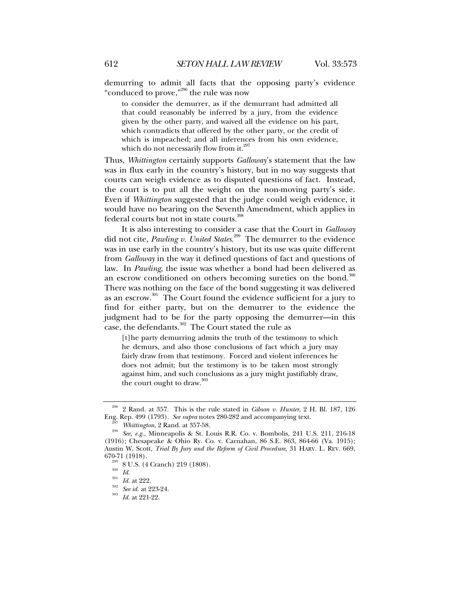demurring to admit all facts that the opposing party's evidence "conduced to prove,"296 the rule was now

to consider the demurrer, as if the demurrant had admitted all that could reasonably be inferred by a jury, from the evidence given by the other party, and waived all the evidence on his part, which contradicts that offered by the other party, or the credit of which is impeached; and all inferences from his own evidence, which do not necessarily flow from it.<sup>297</sup>

Thus, *Whittington* certainly supports *Galloway*'s statement that the law was in flux early in the country's history, but in no way suggests that courts can weigh evidence as to disputed questions of fact. Instead, the court is to put all the weight on the non-moving party's side. Even if *Whittington* suggested that the judge could weigh evidence, it would have no bearing on the Seventh Amendment, which applies in federal courts but not in state courts.<sup>298</sup>

It is also interesting to consider a case that the Court in *Galloway* did not cite, *Pawling v. United States*. 299 The demurrer to the evidence was in use early in the country's history, but its use was quite different from *Galloway* in the way it defined questions of fact and questions of law. In *Pawling*, the issue was whether a bond had been delivered as an escrow conditioned on others becoming sureties on the bond.<sup>300</sup> There was nothing on the face of the bond suggesting it was delivered as an escrow.<sup>301</sup> The Court found the evidence sufficient for a jury to find for either party, but on the demurrer to the evidence the judgment had to be for the party opposing the demurrer—in this case, the defendants.<sup>302</sup> The Court stated the rule as

[t]he party demurring admits the truth of the testimony to which he demurs, and also those conclusions of fact which a jury may fairly draw from that testimony. Forced and violent inferences he does not admit; but the testimony is to be taken most strongly against him, and such conclusions as a jury might justifiably draw, the court ought to draw.<sup>303</sup>

<sup>&</sup>lt;sup>296</sup> 2 Rand. at 357. This is the rule stated in *Gibson v. Hunter*, 2 H. Bl. 187, 126 Eng. Rep. 499 (1793). *See supra* notes 280-282 and accompanying text.

Eng. Rep. 499 (1793). *See supra* notes 280-282 and accompanying text. 297 *Whittington*, 2 Rand. at 357-58. 298 *See, e.g.*, Minneapolis & St. Louis R.R. Co. v. Bombolis, 241 U.S. 211, 216-18 (1916); Chesapeake & Ohio Ry. Co. v. Carnahan, 86 S.E. 863, 864-66 (Va. 1915); Austin W. Scott, *Trial By Jury and the Reform of Civil Procedure*, 31 HARV. L. REV. 669, 670-71 (1918).<br><sup>299</sup> 8 U.S. (4 Cranch) 219 (1808).<br><sup>300</sup> *Id.* at 222.<br><sup>302</sup> *See id.* at 223-24.<br><sup>303</sup> *Id.* at 221-22.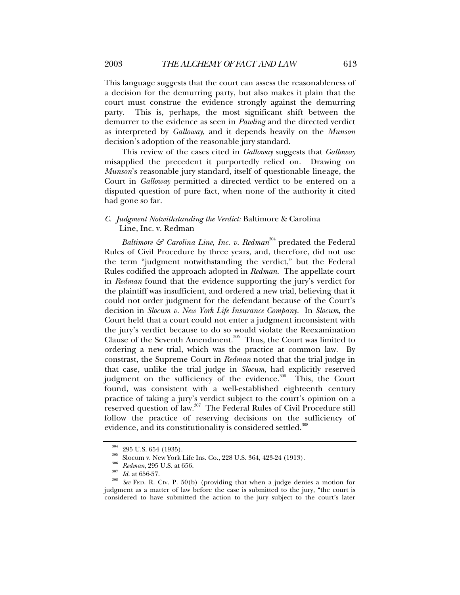This language suggests that the court can assess the reasonableness of a decision for the demurring party, but also makes it plain that the court must construe the evidence strongly against the demurring party. This is, perhaps, the most significant shift between the demurrer to the evidence as seen in *Pawling* and the directed verdict as interpreted by *Galloway*, and it depends heavily on the *Munson* decision's adoption of the reasonable jury standard.

This review of the cases cited in *Galloway* suggests that *Galloway* misapplied the precedent it purportedly relied on. Drawing on *Munson*'s reasonable jury standard, itself of questionable lineage, the Court in *Galloway* permitted a directed verdict to be entered on a disputed question of pure fact, when none of the authority it cited had gone so far.

# *C. Judgment Notwithstanding the Verdict:* Baltimore & Carolina Line, Inc. v. Redman

*Baltimore & Carolina Line, Inc. v. Redman*<sup>304</sup> predated the Federal Rules of Civil Procedure by three years, and, therefore, did not use the term "judgment notwithstanding the verdict," but the Federal Rules codified the approach adopted in *Redman*. The appellate court in *Redman* found that the evidence supporting the jury's verdict for the plaintiff was insufficient, and ordered a new trial, believing that it could not order judgment for the defendant because of the Court's decision in *Slocum v. New York Life Insurance Company*. In *Slocum*, the Court held that a court could not enter a judgment inconsistent with the jury's verdict because to do so would violate the Reexamination Clause of the Seventh Amendment.<sup>305</sup> Thus, the Court was limited to ordering a new trial, which was the practice at common law. By constrast, the Supreme Court in *Redman* noted that the trial judge in that case, unlike the trial judge in *Slocum*, had explicitly reserved judgment on the sufficiency of the evidence.<sup>306</sup> This, the Court found, was consistent with a well-established eighteenth century practice of taking a jury's verdict subject to the court's opinion on a reserved question of law.307 The Federal Rules of Civil Procedure still follow the practice of reserving decisions on the sufficiency of evidence, and its constitutionality is considered settled.<sup>308</sup>

<sup>&</sup>lt;sup>304</sup> 295 U.S. 654 (1935).<br><sup>305</sup> Slocum v. New York Life Ins. Co., 228 U.S. 364, 423-24 (1913).<br><sup>306</sup> Redman, 295 U.S. at 656.<br><sup>307</sup> Id. at 656-57.<br><sup>308</sup> See FED. R. CIV. P. 50(b) (providing that when a judge denies a mot judgment as a matter of law before the case is submitted to the jury, "the court is considered to have submitted the action to the jury subject to the court's later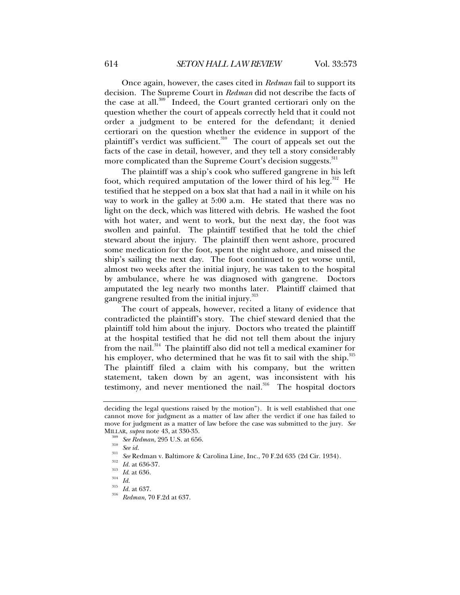Once again, however, the cases cited in *Redman* fail to support its decision. The Supreme Court in *Redman* did not describe the facts of the case at all. $309$ <sup>-</sup> Indeed, the Court granted certiorari only on the question whether the court of appeals correctly held that it could not order a judgment to be entered for the defendant; it denied certiorari on the question whether the evidence in support of the plaintiff's verdict was sufficient.<sup>310</sup> The court of appeals set out the facts of the case in detail, however, and they tell a story considerably more complicated than the Supreme Court's decision suggests.<sup>311</sup>

The plaintiff was a ship's cook who suffered gangrene in his left foot, which required amputation of the lower third of his leg.<sup>312</sup> He testified that he stepped on a box slat that had a nail in it while on his way to work in the galley at 5:00 a.m. He stated that there was no light on the deck, which was littered with debris. He washed the foot with hot water, and went to work, but the next day, the foot was swollen and painful. The plaintiff testified that he told the chief steward about the injury. The plaintiff then went ashore, procured some medication for the foot, spent the night ashore, and missed the ship's sailing the next day. The foot continued to get worse until, almost two weeks after the initial injury, he was taken to the hospital by ambulance, where he was diagnosed with gangrene. Doctors amputated the leg nearly two months later. Plaintiff claimed that gangrene resulted from the initial injury.<sup>313</sup>

The court of appeals, however, recited a litany of evidence that contradicted the plaintiff's story. The chief steward denied that the plaintiff told him about the injury. Doctors who treated the plaintiff at the hospital testified that he did not tell them about the injury from the nail.<sup>314</sup> The plaintiff also did not tell a medical examiner for his employer, who determined that he was fit to sail with the ship. $^{315}$ The plaintiff filed a claim with his company, but the written statement, taken down by an agent, was inconsistent with his testimony, and never mentioned the nail.<sup>316</sup> The hospital doctors

deciding the legal questions raised by the motion"). It is well established that one cannot move for judgment as a matter of law after the verdict if one has failed to move for judgment as a matter of law before the case was submitted to the jury. *See*

MILLAR, *supra* note 43, at 330-35.<br><sup>309</sup> See Redman, 295 U.S. at 656.<br><sup>310</sup> See id.<br><sup>311</sup> See Redman v. Baltimore & Carolina Line, Inc., 70 F.2d 635 (2d Cir. 1934).<br><sup>312</sup> Id. at 636-37.<br><sup>313</sup> Id. at 636.<br><sup>314</sup> Id.<br><sup>315</sup> I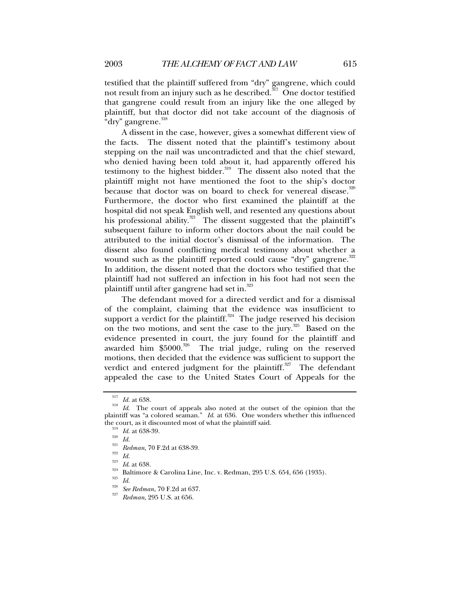plaintiff, but that doctor did not take account of the diagnosis of

"dry" gangrene.<sup>318</sup> A dissent in the case, however, gives a somewhat different view of the facts. The dissent noted that the plaintiff's testimony about stepping on the nail was uncontradicted and that the chief steward, who denied having been told about it, had apparently offered his testimony to the highest bidder.<sup>319</sup> The dissent also noted that the plaintiff might not have mentioned the foot to the ship's doctor because that doctor was on board to check for venereal disease. $320$ Furthermore, the doctor who first examined the plaintiff at the hospital did not speak English well, and resented any questions about his professional ability. $321^\circ$  The dissent suggested that the plaintiff's subsequent failure to inform other doctors about the nail could be attributed to the initial doctor's dismissal of the information. The dissent also found conflicting medical testimony about whether a wound such as the plaintiff reported could cause "dry" gangrene. $322$ In addition, the dissent noted that the doctors who testified that the plaintiff had not suffered an infection in his foot had not seen the plaintiff until after gangrene had set in.<sup>323</sup>

The defendant moved for a directed verdict and for a dismissal of the complaint, claiming that the evidence was insufficient to support a verdict for the plaintiff.<sup>324</sup> The judge reserved his decision on the two motions, and sent the case to the jury.<sup>325</sup> Based on the evidence presented in court, the jury found for the plaintiff and awarded him \$5000.<sup>326</sup> The trial judge, ruling on the reserved The trial judge, ruling on the reserved motions, then decided that the evidence was sufficient to support the verdict and entered judgment for the plaintiff.<sup>327</sup> The defendant appealed the case to the United States Court of Appeals for the

<sup>&</sup>lt;sup>317</sup> *Id.* at 638. *Id.* The court of appeals also noted at the outset of the opinion that the plaintiff was "a colored seaman." *Id*. at 636. One wonders whether this influenced the court, as it discounted most of what the plaintiff said.<br><sup>319</sup> Id. at 638-39.<br><sup>320</sup> Id.<br><sup>321</sup> Redman, 70 F.2d at 638-39.<br><sup>322</sup> Id.<br><sup>323</sup> Id. at 638.<br><sup>324</sup> Baltimore & Carolina Line, Inc. v. Redman, 295 U.S. 654, 656 (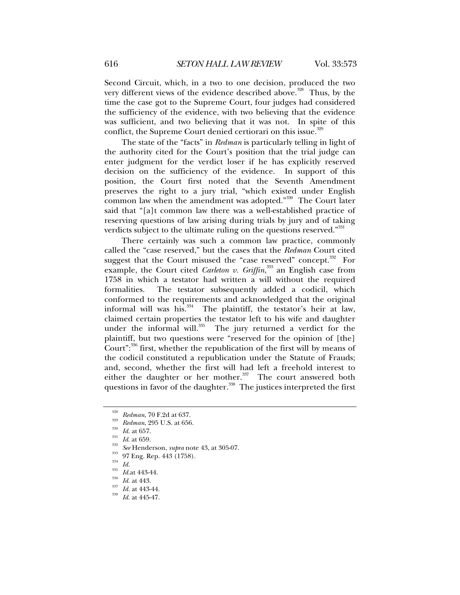Second Circuit, which, in a two to one decision, produced the two very different views of the evidence described above.<sup>328</sup> Thus, by the time the case got to the Supreme Court, four judges had considered the sufficiency of the evidence, with two believing that the evidence was sufficient, and two believing that it was not. In spite of this conflict, the Supreme Court denied certiorari on this issue.<sup>329</sup>

The state of the "facts" in *Redman* is particularly telling in light of the authority cited for the Court's position that the trial judge can enter judgment for the verdict loser if he has explicitly reserved decision on the sufficiency of the evidence. In support of this position, the Court first noted that the Seventh Amendment preserves the right to a jury trial, "which existed under English common law when the amendment was adopted."<sup>330</sup> The Court later said that "[a]t common law there was a well-established practice of reserving questions of law arising during trials by jury and of taking verdicts subject to the ultimate ruling on the questions reserved."<sup>331</sup>

There certainly was such a common law practice, commonly called the "case reserved," but the cases that the *Redman* Court cited suggest that the Court misused the "case reserved" concept.<sup>332</sup> For example, the Court cited *Carleton v. Griffin*,<sup>333</sup> an English case from 1758 in which a testator had written a will without the required formalities. The testator subsequently added a codicil, which conformed to the requirements and acknowledged that the original informal will was his. $334$  The plaintiff, the testator's heir at law, claimed certain properties the testator left to his wife and daughter under the informal will.<sup>335</sup> The jury returned a verdict for the plaintiff, but two questions were "reserved for the opinion of [the] Court": $336$  first, whether the republication of the first will by means of the codicil constituted a republication under the Statute of Frauds; and, second, whether the first will had left a freehold interest to either the daughter or her mother. $337$  The court answered both questions in favor of the daughter.<sup>338</sup> The justices interpreted the first

<sup>&</sup>lt;sup>328</sup> Redman, 70 F.2d at 637.<br><sup>329</sup> Redman, 295 U.S. at 656.<br><sup>330</sup> Id. at 657.<br><sup>331</sup> Id. at 659.<br><sup>332</sup> See Henderson, *supra* note 43, at 305-07.<br><sup>333</sup> 97 Eng. Rep. 443 (1758).<br><sup>333</sup> Id. 1d. 443-44.<br><sup>336</sup> Id. at 443-44.<br><sup>3</sup>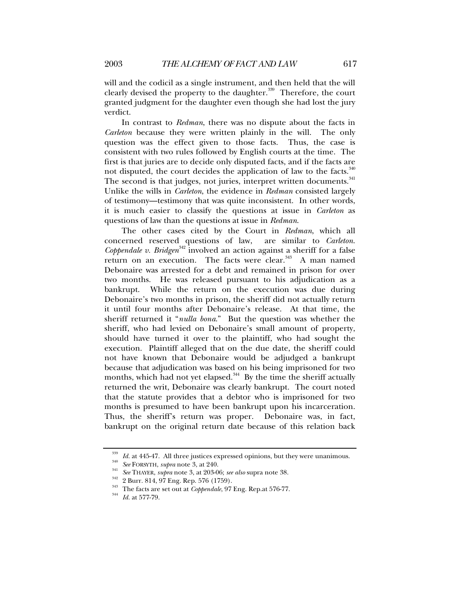will and the codicil as a single instrument, and then held that the will clearly devised the property to the daughter. $339$  Therefore, the court granted judgment for the daughter even though she had lost the jury verdict.

In contrast to *Redman*, there was no dispute about the facts in *Carleton* because they were written plainly in the will. The only question was the effect given to those facts. Thus, the case is consistent with two rules followed by English courts at the time. The first is that juries are to decide only disputed facts, and if the facts are not disputed, the court decides the application of law to the facts. $340$ The second is that judges, not juries, interpret written documents.<sup>341</sup> Unlike the wills in *Carleton*, the evidence in *Redman* consisted largely of testimony—testimony that was quite inconsistent. In other words, it is much easier to classify the questions at issue in *Carleton* as questions of law than the questions at issue in *Redman*.

The other cases cited by the Court in *Redman*, which all concerned reserved questions of law, are similar to *Carleton*. *Coppendale v. Bridgen*<sup>342</sup> involved an action against a sheriff for a false return on an execution. The facts were clear.<sup>343</sup> A man named Debonaire was arrested for a debt and remained in prison for over two months. He was released pursuant to his adjudication as a bankrupt. While the return on the execution was due during Debonaire's two months in prison, the sheriff did not actually return it until four months after Debonaire's release. At that time, the sheriff returned it "*nulla bona*." But the question was whether the sheriff, who had levied on Debonaire's small amount of property, should have turned it over to the plaintiff, who had sought the execution. Plaintiff alleged that on the due date, the sheriff could not have known that Debonaire would be adjudged a bankrupt because that adjudication was based on his being imprisoned for two months, which had not yet elapsed.<sup>344</sup> By the time the sheriff actually returned the writ, Debonaire was clearly bankrupt. The court noted that the statute provides that a debtor who is imprisoned for two months is presumed to have been bankrupt upon his incarceration. Thus, the sheriff's return was proper. Debonaire was, in fact, bankrupt on the original return date because of this relation back

<sup>&</sup>lt;sup>339</sup> *Id.* at 445-47. All three justices expressed opinions, but they were unanimous.<br> *See* FORSYTH, *supra* note 3, at 240.<br> *See* THAYER, *supra* note 3, at 203-06; *see also* supra note 38.<br>
2 Burr. 814, 97 Eng. Rep.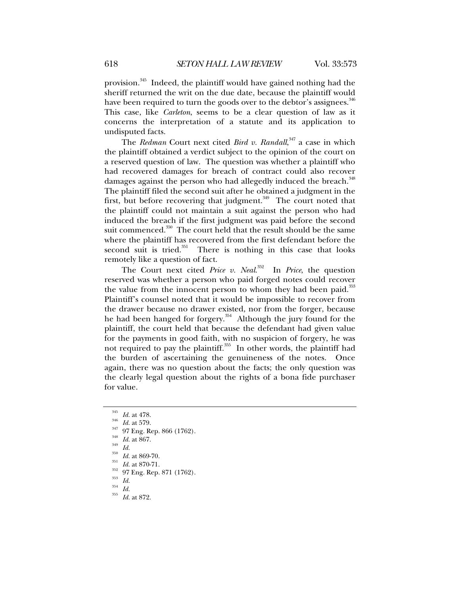provision.<sup>345</sup> Indeed, the plaintiff would have gained nothing had the sheriff returned the writ on the due date, because the plaintiff would have been required to turn the goods over to the debtor's assignees.<sup>346</sup> This case, like *Carleton*, seems to be a clear question of law as it concerns the interpretation of a statute and its application to undisputed facts.

The *Redman* Court next cited *Bird v. Randall*, 347 a case in which the plaintiff obtained a verdict subject to the opinion of the court on a reserved question of law. The question was whether a plaintiff who had recovered damages for breach of contract could also recover damages against the person who had allegedly induced the breach.<sup>348</sup> The plaintiff filed the second suit after he obtained a judgment in the first, but before recovering that judgment.<sup> $349$ </sup> The court noted that the plaintiff could not maintain a suit against the person who had induced the breach if the first judgment was paid before the second suit commenced.<sup>350</sup> The court held that the result should be the same where the plaintiff has recovered from the first defendant before the second suit is tried.<sup>351</sup> There is nothing in this case that looks There is nothing in this case that looks remotely like a question of fact.

The Court next cited *Price v. Neal*. 352 In *Price*, the question reserved was whether a person who paid forged notes could recover the value from the innocent person to whom they had been paid. $353$ Plaintiff's counsel noted that it would be impossible to recover from the drawer because no drawer existed, nor from the forger, because he had been hanged for forgery.<sup>354</sup> Although the jury found for the plaintiff, the court held that because the defendant had given value for the payments in good faith, with no suspicion of forgery, he was not required to pay the plaintiff. $355$  In other words, the plaintiff had the burden of ascertaining the genuineness of the notes. Once again, there was no question about the facts; the only question was the clearly legal question about the rights of a bona fide purchaser for value.

- 
- <sup>345</sup> *Id.* at 478.<br>
<sup>345</sup> *Id.* at 579.<br>
<sup>347</sup> O7 Eng. Rep. 866 (1762).<br>
<sup>348</sup> <sup>349</sup> *Id.* at 867.<br> *Id.* at 869-70.<br>
<sup>351</sup> *Id.* at 870-71.<br>
<sup>352</sup> 97 Eng. Rep. 871 (1762).<br>
<sup>353</sup> *Id.*<br> *Id.* at 872.<br> *Id.* at 872.
- 
- 
-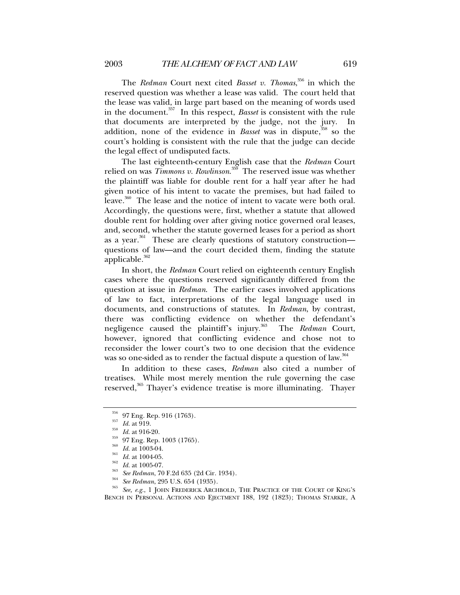The *Redman* Court next cited *Basset v. Thomas*, 356 in which the reserved question was whether a lease was valid. The court held that the lease was valid, in large part based on the meaning of words used in the document.357 In this respect, *Basset* is consistent with the rule that documents are interpreted by the judge, not the jury. In addition, none of the evidence in *Basset* was in dispute,<sup>358</sup> so the court's holding is consistent with the rule that the judge can decide the legal effect of undisputed facts.

The last eighteenth-century English case that the *Redman* Court relied on was *Timmons v. Rowlinson*. 359 The reserved issue was whether the plaintiff was liable for double rent for a half year after he had given notice of his intent to vacate the premises, but had failed to leave.<sup>360</sup> The lease and the notice of intent to vacate were both oral. Accordingly, the questions were, first, whether a statute that allowed double rent for holding over after giving notice governed oral leases, and, second, whether the statute governed leases for a period as short as a year.<sup>361</sup> These are clearly questions of statutory construction questions of law—and the court decided them, finding the statute applicable. $362$ 

In short, the *Redman* Court relied on eighteenth century English cases where the questions reserved significantly differed from the question at issue in *Redman*. The earlier cases involved applications of law to fact, interpretations of the legal language used in documents, and constructions of statutes. In *Redman*, by contrast, there was conflicting evidence on whether the defendant's negligence caused the plaintiff's injury.<sup>363</sup> The *Redman* Court, however, ignored that conflicting evidence and chose not to reconsider the lower court's two to one decision that the evidence was so one-sided as to render the factual dispute a question of law.<sup>364</sup>

In addition to these cases, *Redman* also cited a number of treatises. While most merely mention the rule governing the case reserved,<sup>365</sup> Thayer's evidence treatise is more illuminating. Thayer

<sup>356</sup> 97 Eng. Rep. 916 (1763).<br>
<sup>357</sup> Id. at 919.<br>
Id. at 916-20.<br>
<sup>359</sup> 97 Eng. Rep. 1003 (1765).<br>
<sup>360</sup> Id. at 1003-04.<br>
<sup>361</sup> Id. at 1004-05.<br>
<sup>362</sup> Id. at 1005-07.<br>
<sup>362</sup> *See Redman*, 70 F.2d 635 (2d Cir. 1934).<br> *Se* BENCH IN PERSONAL ACTIONS AND EJECTMENT 188, 192 (1823); THOMAS STARKIE, A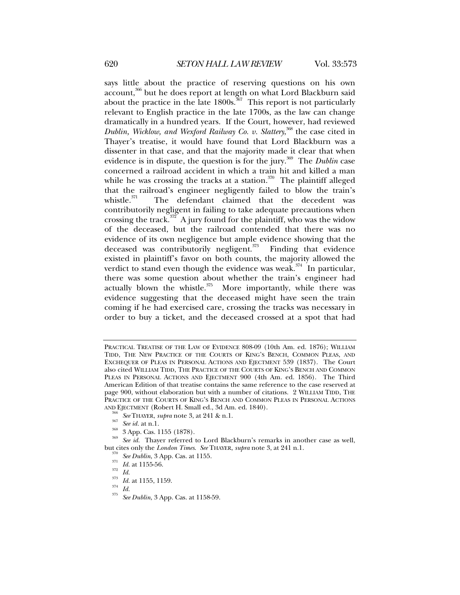says little about the practice of reserving questions on his own account,366 but he does report at length on what Lord Blackburn said about the practice in the late  $1800s$ .<sup>367</sup> This report is not particularly relevant to English practice in the late 1700s, as the law can change dramatically in a hundred years. If the Court, however, had reviewed *Dublin, Wicklow, and Wexford Railway Co. v. Slattery*, <sup>368</sup> the case cited in Thayer's treatise, it would have found that Lord Blackburn was a dissenter in that case, and that the majority made it clear that when evidence is in dispute, the question is for the jury.<sup>369</sup> The *Dublin* case concerned a railroad accident in which a train hit and killed a man while he was crossing the tracks at a station.<sup>370</sup> The plaintiff alleged that the railroad's engineer negligently failed to blow the train's whistle.<sup> $371$ </sup> The defendant claimed that the decedent was The defendant claimed that the decedent was contributorily negligent in failing to take adequate precautions when crossing the track.<sup> $372$ </sup> A jury found for the plaintiff, who was the widow of the deceased, but the railroad contended that there was no evidence of its own negligence but ample evidence showing that the deceased was contributorily negligent. $373$  Finding that evidence existed in plaintiff's favor on both counts, the majority allowed the verdict to stand even though the evidence was weak.<sup>374</sup> In particular, there was some question about whether the train's engineer had actually blown the whistle. $375$  More importantly, while there was evidence suggesting that the deceased might have seen the train coming if he had exercised care, crossing the tracks was necessary in order to buy a ticket, and the deceased crossed at a spot that had

- 
- 
- 
- 
- 
- 

PRACTICAL TREATISE OF THE LAW OF EVIDENCE 808-09 (10th Am. ed. 1876); WILLIAM TIDD, THE NEW PRACTICE OF THE COURTS OF KING'S BENCH, COMMON PLEAS, AND EXCHEQUER OF PLEAS IN PERSONAL ACTIONS AND EJECTMENT 539 (1837). The Court also cited WILLIAM TIDD, THE PRACTICE OF THE COURTS OF KING'S BENCH AND COMMON PLEAS IN PERSONAL ACTIONS AND EJECTMENT 900 (4th Am. ed. 1856). The Third American Edition of that treatise contains the same reference to the case reserved at page 900, without elaboration but with a number of citations. 2 WILLIAM TIDD, THE PRACTICE OF THE COURTS OF KING'S BENCH AND COMMON PLEAS IN PERSONAL ACTIONS

AND EJECTMENT (Robert H. Small ed., 3d Am. ed. 1840).<br><sup>366</sup> See THAYER, *supra* note 3, at 241 & n.1.<br><sup>367</sup> See id. at n.1.<br><sup>368</sup> 3 App. Cas. 1155 (1878).<br><sup>368</sup> See id. Thayer referred to Lord Blackburn's remarks in anoth but cites only the *London Times.* See THAYER, supra note 3, at 241 n.l.<br><sup>370</sup> See Dublin, 3 App. Cas. at 1155.<br><sup>371</sup> Id. at 1155-56.<br><sup>372</sup> Id. at 1155, 1159.<br><sup>374</sup> Id. at 1155, 1159.<br><sup>374</sup> Id. See Dublin, 3 App. Cas. at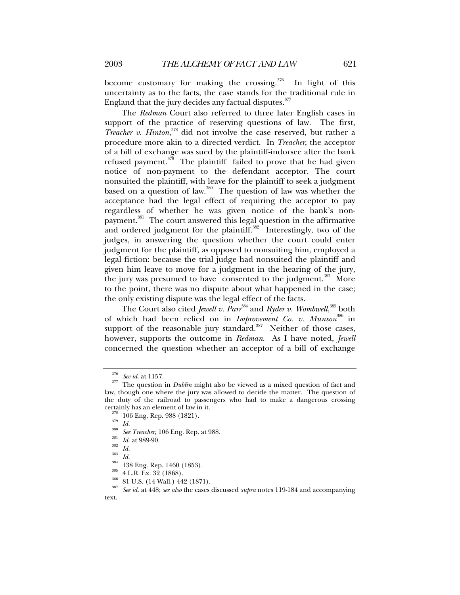become customary for making the crossing.<sup>376</sup> In light of this uncertainty as to the facts, the case stands for the traditional rule in England that the jury decides any factual disputes. $377$ 

The *Redman* Court also referred to three later English cases in support of the practice of reserving questions of law. The first, *Treacher v. Hinton*, 378 did not involve the case reserved, but rather a procedure more akin to a directed verdict. In *Treacher*, the acceptor of a bill of exchange was sued by the plaintiff-indorsee after the bank refused payment. $379$  The plaintiff failed to prove that he had given notice of non-payment to the defendant acceptor. The court nonsuited the plaintiff, with leave for the plaintiff to seek a judgment based on a question of law.380 The question of law was whether the acceptance had the legal effect of requiring the acceptor to pay regardless of whether he was given notice of the bank's nonpayment.<sup>381</sup> The court answered this legal question in the affirmative and ordered judgment for the plaintiff. $382$  Interestingly, two of the judges, in answering the question whether the court could enter judgment for the plaintiff, as opposed to nonsuiting him, employed a legal fiction: because the trial judge had nonsuited the plaintiff and given him leave to move for a judgment in the hearing of the jury, the jury was presumed to have consented to the judgment.<sup>383</sup> More to the point, there was no dispute about what happened in the case; the only existing dispute was the legal effect of the facts.

The Court also cited *Jewell v. Parr<sup>384</sup> and Ryder v. Wombwell*,<sup>385</sup> both of which had been relied on in *Improvement Co. v. Munson*386 in support of the reasonable jury standard.<sup>387</sup> Neither of those cases, however, supports the outcome in *Redman*. As I have noted, *Jewell*  concerned the question whether an acceptor of a bill of exchange

<sup>376</sup> *See id*. at 1157. 377 The question in *Dublin* might also be viewed as a mixed question of fact and law, though one where the jury was allowed to decide the matter. The question of the duty of the railroad to passengers who had to make a dangerous crossing

certainly has an element of law in it.<br>
<sup>378</sup> 106 Eng. Rep. 988 (1821).<br>
<sup>379</sup> *Id.*<br>
<sup>380</sup> *See Treacher*, 106 Eng. Rep. at 988.<br>
<sup>381</sup> *Id.*<br>
<sup>382</sup> *Id.*<br>
<sup>383</sup> *Id.*<br>
<sup>384</sup> 138 Eng. Rep. 1460 (1853).<br>
<sup>385</sup> 4 L.R. Ex. text.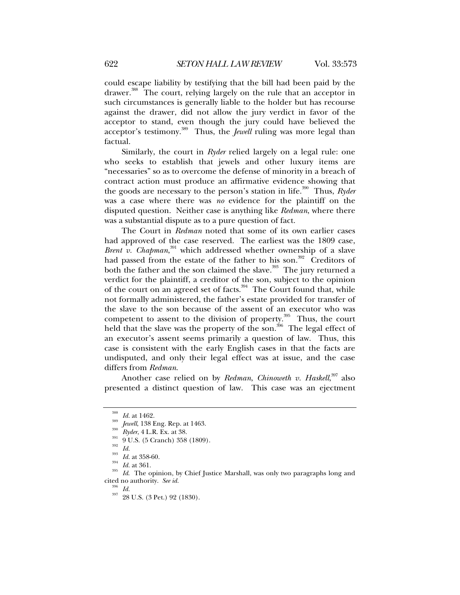could escape liability by testifying that the bill had been paid by the drawer.<sup>388</sup> The court, relying largely on the rule that an acceptor in such circumstances is generally liable to the holder but has recourse against the drawer, did not allow the jury verdict in favor of the acceptor to stand, even though the jury could have believed the acceptor's testimony.389 Thus, the *Jewell* ruling was more legal than factual.

Similarly, the court in *Ryder* relied largely on a legal rule: one who seeks to establish that jewels and other luxury items are "necessaries" so as to overcome the defense of minority in a breach of contract action must produce an affirmative evidence showing that the goods are necessary to the person's station in life.<sup>390</sup> Thus, *Ryder* was a case where there was *no* evidence for the plaintiff on the disputed question. Neither case is anything like *Redman*, where there was a substantial dispute as to a pure question of fact.

The Court in *Redman* noted that some of its own earlier cases had approved of the case reserved. The earliest was the 1809 case, Brent v. Chapman,<sup>391</sup> which addressed whether ownership of a slave had passed from the estate of the father to his son.<sup>392</sup> Creditors of both the father and the son claimed the slave.<sup>393</sup> The jury returned a verdict for the plaintiff, a creditor of the son, subject to the opinion of the court on an agreed set of facts.<sup>394</sup> The Court found that, while not formally administered, the father's estate provided for transfer of the slave to the son because of the assent of an executor who was competent to assent to the division of property.<sup>395</sup> Thus, the court held that the slave was the property of the son.<sup>396</sup> The legal effect of an executor's assent seems primarily a question of law. Thus, this case is consistent with the early English cases in that the facts are undisputed, and only their legal effect was at issue, and the case differs from *Redman*.

Another case relied on by *Redman*, *Chinoweth v. Haskell*, 397 also presented a distinct question of law. This case was an ejectment

<sup>&</sup>lt;sup>388</sup> *Id.* at 1462.<br><sup>389</sup> *Jewell*, 138 Eng. Rep. at 1463.<br><sup>391</sup> 9 U.S. (5 Cranch) 358 (1809).<br><sup>392</sup> *Id.*<br><sup>393</sup> *Id.* at 358-60.<br>*Id.* at 361.<br>*Id.* at 361.<br>*Id.* The opinion, by Chief Justice Marshall, was only two para cited no authority. *See id.* <sup>396</sup> *Id.* 28 U.S. (3 Pet.) 92 (1830).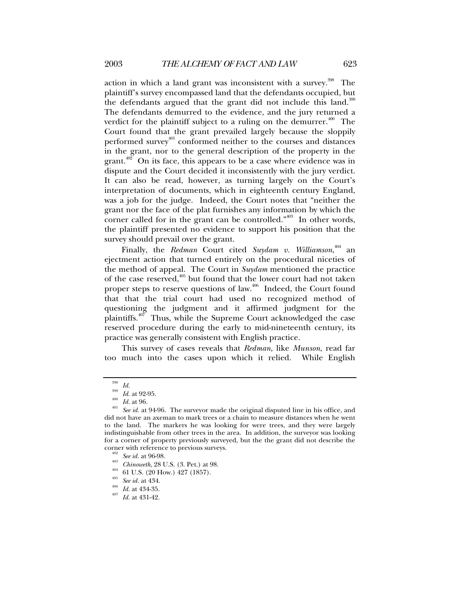action in which a land grant was inconsistent with a survey.<sup>398</sup> The plaintiff's survey encompassed land that the defendants occupied, but the defendants argued that the grant did not include this land.<sup>399</sup> The defendants demurred to the evidence, and the jury returned a verdict for the plaintiff subject to a ruling on the demurrer.<sup> $400$ </sup> The Court found that the grant prevailed largely because the sloppily performed survey<sup>401</sup> conformed neither to the courses and distances in the grant, nor to the general description of the property in the grant. $402^{\circ}$  On its face, this appears to be a case where evidence was in dispute and the Court decided it inconsistently with the jury verdict. It can also be read, however, as turning largely on the Court's interpretation of documents, which in eighteenth century England, was a job for the judge. Indeed, the Court notes that "neither the grant nor the face of the plat furnishes any information by which the corner called for in the grant can be controlled." $403$  In other words, the plaintiff presented no evidence to support his position that the survey should prevail over the grant.

Finally, the *Redman* Court cited *Suydam v. Williamson*, 404 an ejectment action that turned entirely on the procedural niceties of the method of appeal. The Court in *Suydam* mentioned the practice of the case reserved,<sup>405</sup> but found that the lower court had not taken proper steps to reserve questions of law.406 Indeed, the Court found that that the trial court had used no recognized method of questioning the judgment and it affirmed judgment for the plaintiffs. $407$  Thus, while the Supreme Court acknowledged the case reserved procedure during the early to mid-nineteenth century, its practice was generally consistent with English practice.

This survey of cases reveals that *Redman*, like *Munson*, read far too much into the cases upon which it relied. While English

<sup>&</sup>lt;sup>398</sup> *Id.*<br><sup>399</sup> *Id.* at 92-95.<br><sup>400</sup> *Id.* at 96.<br><sup>401</sup> *See id.* at 94-96. The surveyor made the original disputed line in his office, and did not have an axeman to mark trees or a chain to measure distances when he went to the land. The markers he was looking for were trees, and they were largely indistinguishable from other trees in the area. In addition, the surveyor was looking for a corner of property previously surveyed, but the the grant did not describe the corner with reference to previous surveys.<br>  $^{402}_{302}$  See id. at 96-98.<br>  $^{403}_{610}$  Chinoweth, 28 U.S. (3. Pet.) at 98.<br>  $^{404}_{61}$  61 U.S. (20 How.) 427 (1857).<br>  $^{405}_{302}$  See id. at 434.<br>  $^{406}_{104}$  Id. at 434-35.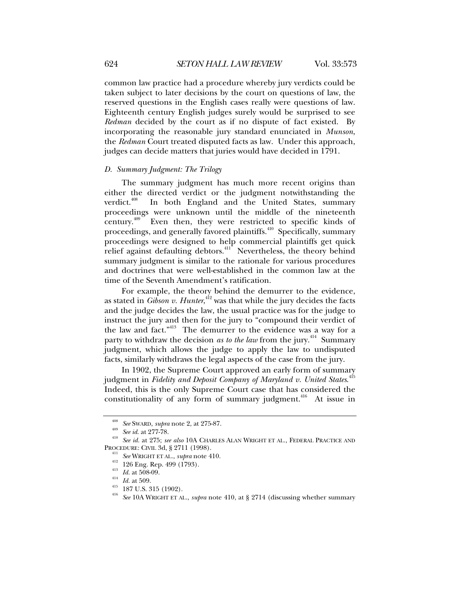common law practice had a procedure whereby jury verdicts could be taken subject to later decisions by the court on questions of law, the reserved questions in the English cases really were questions of law. Eighteenth century English judges surely would be surprised to see *Redman* decided by the court as if no dispute of fact existed. By incorporating the reasonable jury standard enunciated in *Munson*, the *Redman* Court treated disputed facts as law. Under this approach, judges can decide matters that juries would have decided in 1791.

# *D. Summary Judgment: The Trilogy*

The summary judgment has much more recent origins than either the directed verdict or the judgment notwithstanding the verdict. $408$  In both England and the United States, summary proceedings were unknown until the middle of the nineteenth century.409 Even then, they were restricted to specific kinds of proceedings, and generally favored plaintiffs.410 Specifically, summary proceedings were designed to help commercial plaintiffs get quick relief against defaulting debtors.<sup>411</sup> Nevertheless, the theory behind summary judgment is similar to the rationale for various procedures and doctrines that were well-established in the common law at the time of the Seventh Amendment's ratification.

For example, the theory behind the demurrer to the evidence, as stated in *Gibson v. Hunter*, 412 was that while the jury decides the facts and the judge decides the law, the usual practice was for the judge to instruct the jury and then for the jury to "compound their verdict of the law and fact."413 The demurrer to the evidence was a way for a party to withdraw the decision *as to the law* from the jury.<sup>414</sup> Summary judgment, which allows the judge to apply the law to undisputed facts, similarly withdraws the legal aspects of the case from the jury.

In 1902, the Supreme Court approved an early form of summary judgment in *Fidelity and Deposit Company of Maryland v. United States*. 415 Indeed, this is the only Supreme Court case that has considered the constitutionality of any form of summary judgment.<sup>416</sup> At issue in

<sup>408</sup> *See* SWARD, *supra* note 2, at 275-87. 409 *See id*. at 277-78. 410 *See id.* at 275; *see also* 10A CHARLES ALAN WRIGHT ET AL., FEDERAL PRACTICE AND PROCEDURE: CIVIL 3d, § 2711 (1998).<br>
<sup>411</sup> See WRIGHT ET AL., *supra* note 410.<br>
<sup>412</sup> 126 Eng. Rep. 499 (1793).<br>
<sup>413</sup> *Id.* at 508-09.<br>
<sup>414</sup> *Id.* at 509.<br>
<sup>415</sup> 187 U.S. 315 (1902).<br>
<sup>416</sup> See 10A WRIGHT ET AL., *supr*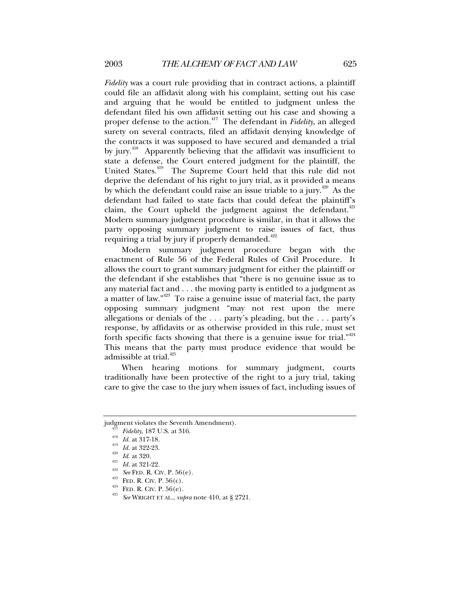*Fidelity* was a court rule providing that in contract actions, a plaintiff could file an affidavit along with his complaint, setting out his case and arguing that he would be entitled to judgment unless the defendant filed his own affidavit setting out his case and showing a proper defense to the action.417 The defendant in *Fidelity*, an alleged surety on several contracts, filed an affidavit denying knowledge of the contracts it was supposed to have secured and demanded a trial by jury.<sup>418</sup> Apparently believing that the affidavit was insufficient to state a defense, the Court entered judgment for the plaintiff, the United States.<sup>419</sup> The Supreme Court held that this rule did not deprive the defendant of his right to jury trial, as it provided a means by which the defendant could raise an issue triable to a jury.<sup> $420$ </sup> As the defendant had failed to state facts that could defeat the plaintiff's claim, the Court upheld the judgment against the defendant. $421$ Modern summary judgment procedure is similar, in that it allows the party opposing summary judgment to raise issues of fact, thus requiring a trial by jury if properly demanded. $422$ 

Modern summary judgment procedure began with the enactment of Rule 56 of the Federal Rules of Civil Procedure. It allows the court to grant summary judgment for either the plaintiff or the defendant if she establishes that "there is no genuine issue as to any material fact and . . . the moving party is entitled to a judgment as a matter of law." $423$  To raise a genuine issue of material fact, the party opposing summary judgment "may not rest upon the mere allegations or denials of the . . . party's pleading, but the . . . party's response, by affidavits or as otherwise provided in this rule, must set forth specific facts showing that there is a genuine issue for trial." $424$ This means that the party must produce evidence that would be admissible at trial.<sup>425</sup>

When hearing motions for summary judgment, courts traditionally have been protective of the right to a jury trial, taking care to give the case to the jury when issues of fact, including issues of

judgment violates the Seventh Amendment).<br>
<sup>417</sup> Fidelity, 187 U.S. at 316.<br>
<sup>418</sup> Id. at 317-18.<br>
<sup>419</sup> Id. at 322-23.<br>
<sup>420</sup> Id. at 320.<br>
<sup>421</sup> Id. at 321-22.<br>
<sup>422</sup> See FED. R. CIV. P. 56(e).<br>
<sup>424</sup> FED. R. CIV. P. 56(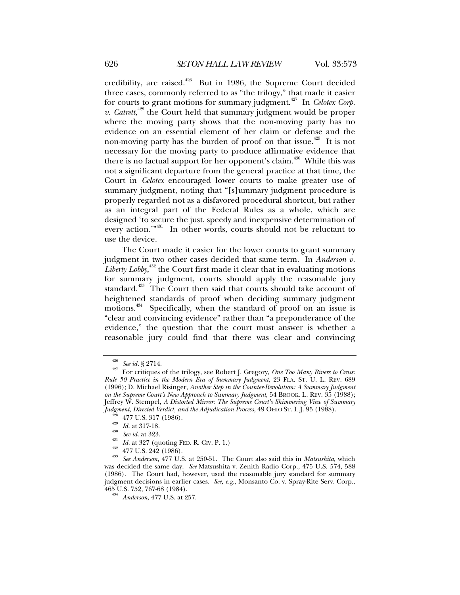credibility, are raised.<sup>426</sup> But in 1986, the Supreme Court decided three cases, commonly referred to as "the trilogy," that made it easier for courts to grant motions for summary judgment.<sup>427</sup> In *Celotex Corp*. v. Catrett,<sup>428</sup> the Court held that summary judgment would be proper where the moving party shows that the non-moving party has no evidence on an essential element of her claim or defense and the non-moving party has the burden of proof on that issue.<sup>429</sup> It is not necessary for the moving party to produce affirmative evidence that there is no factual support for her opponent's claim.<sup> $430$ </sup> While this was not a significant departure from the general practice at that time, the Court in *Celotex* encouraged lower courts to make greater use of summary judgment, noting that "[s]ummary judgment procedure is properly regarded not as a disfavored procedural shortcut, but rather as an integral part of the Federal Rules as a whole, which are designed 'to secure the just, speedy and inexpensive determination of every action."<sup>431</sup> In other words, courts should not be reluctant to use the device.

The Court made it easier for the lower courts to grant summary judgment in two other cases decided that same term. In *Anderson v. Liberty Lobby*, 432 the Court first made it clear that in evaluating motions for summary judgment, courts should apply the reasonable jury standard.<sup>433</sup> The Court then said that courts should take account of heightened standards of proof when deciding summary judgment motions.<sup>434</sup> Specifically, when the standard of proof on an issue is "clear and convincing evidence" rather than "a preponderance of the evidence," the question that the court must answer is whether a reasonable jury could find that there was clear and convincing

<sup>426</sup> *See id.* § 2714. 427 For critiques of the trilogy, see Robert J. Gregory, *One Too Many Rivers to Cross: Rule 50 Practice in the Modern Era of Summary Judgment*, 23 FLA. ST. U. L. REV. 689 (1996); D. Michael Risinger, *Another Step in the Counter-Revolution: A Summary Judgment on the Supreme Court's New Approach to Summary Judgment*, 54 BROOK. L. REV. 35 (1988); Jeffrey W. Stempel, *A Distorted Mirror: The Supreme Court's Shimmering View of Summary*  Judgment, Directed Verdict, and the Adjudication Process, 49 OHIO ST. L.J. 95 (1988).<br><sup>429</sup> 477 U.S. 317 (1986).<br><sup>429</sup> *Id.* at 317-18.<br><sup>431</sup> *Id.* at 323.<br><sup>431</sup> *Id.* at 327 (quoting FED. R. CIV. P. 1.)<br><sup>432</sup> 477 U.S. 242

was decided the same day. *See* Matsushita v. Zenith Radio Corp., 475 U.S. 574, 588 (1986). The Court had, however, used the reasonable jury standard for summary judgment decisions in earlier cases. *See, e.g.*, Monsanto Co. v. Spray-Rite Serv. Corp.,

<sup>&</sup>lt;sup>434</sup> Anderson, 477 U.S. at 257.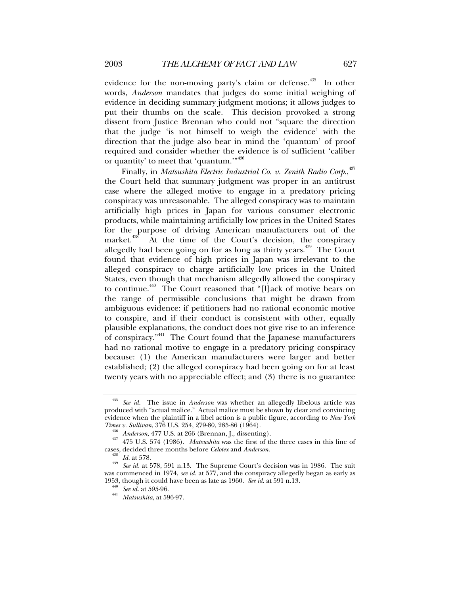evidence for the non-moving party's claim or defense.<sup>435</sup> In other words, *Anderson* mandates that judges do some initial weighing of evidence in deciding summary judgment motions; it allows judges to put their thumbs on the scale. This decision provoked a strong dissent from Justice Brennan who could not "square the direction that the judge 'is not himself to weigh the evidence' with the direction that the judge also bear in mind the 'quantum' of proof required and consider whether the evidence is of sufficient 'caliber or quantity' to meet that 'quantum."<sup>436</sup>

Finally, in *Matsushita Electric Industrial Co. v. Zenith Radio Corp.*,<sup>437</sup> the Court held that summary judgment was proper in an antitrust case where the alleged motive to engage in a predatory pricing conspiracy was unreasonable. The alleged conspiracy was to maintain artificially high prices in Japan for various consumer electronic products, while maintaining artificially low prices in the United States for the purpose of driving American manufacturers out of the market.<sup>438</sup> At the time of the Court's decision, the conspiracy allegedly had been going on for as long as thirty years.<sup>439</sup> The Court found that evidence of high prices in Japan was irrelevant to the alleged conspiracy to charge artificially low prices in the United States, even though that mechanism allegedly allowed the conspiracy to continue.440 The Court reasoned that "[l]ack of motive bears on the range of permissible conclusions that might be drawn from ambiguous evidence: if petitioners had no rational economic motive to conspire, and if their conduct is consistent with other, equally plausible explanations, the conduct does not give rise to an inference of conspiracy."441 The Court found that the Japanese manufacturers had no rational motive to engage in a predatory pricing conspiracy because: (1) the American manufacturers were larger and better established; (2) the alleged conspiracy had been going on for at least twenty years with no appreciable effect; and (3) there is no guarantee

<sup>435</sup> *See id.* The issue in *Anderson* was whether an allegedly libelous article was produced with "actual malice." Actual malice must be shown by clear and convincing evidence when the plaintiff in a libel action is a public figure, according to *New York* 

<sup>&</sup>lt;sup>436</sup> *Anderson*, 477 U.S. at 266 (Brennan, J., dissenting). <sup>437</sup> 475 U.S. 574 (1986). *Matsushita* was the first of the three cases in this line of cases, decided three months before *Celotex* and *Anderson*.

<sup>&</sup>lt;sup>438</sup> *Id.* at 578.<br><sup>439</sup> *See id.* at 578, 591 n.13. The Supreme Court's decision was in 1986. The suit was commenced in 1974, *see id.* at 577, and the conspiracy allegedly began as early as 1953, though it could have been as late as 1960. *See id.* at 591 n.13. 440 *See id.* at 595-96. 441 *Matsushita*, at 596-97.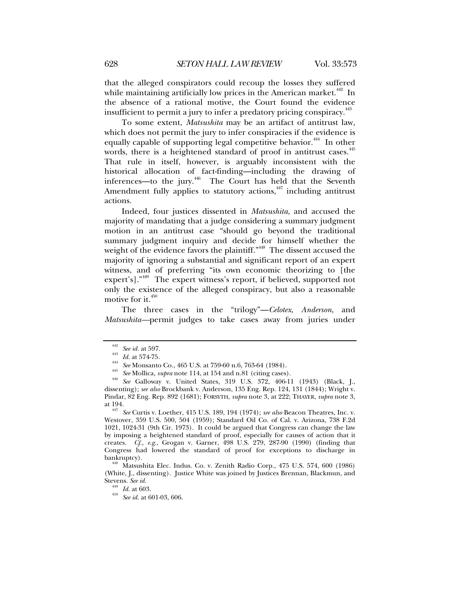that the alleged conspirators could recoup the losses they suffered while maintaining artificially low prices in the American market.<sup> $442$ </sup> In the absence of a rational motive, the Court found the evidence insufficient to permit a jury to infer a predatory pricing conspiracy.  $443$ 

To some extent, *Matsushita* may be an artifact of antitrust law, which does not permit the jury to infer conspiracies if the evidence is equally capable of supporting legal competitive behavior.<sup>444</sup> In other words, there is a heightened standard of proof in antitrust cases.<sup>445</sup> That rule in itself, however, is arguably inconsistent with the historical allocation of fact-finding—including the drawing of inferences—to the jury.<sup>446</sup> The Court has held that the Seventh Amendment fully applies to statutory actions, $447$  including antitrust actions.

Indeed, four justices dissented in *Matsushita*, and accused the majority of mandating that a judge considering a summary judgment motion in an antitrust case "should go beyond the traditional summary judgment inquiry and decide for himself whether the weight of the evidence favors the plaintiff."<sup>448</sup> The dissent accused the majority of ignoring a substantial and significant report of an expert witness, and of preferring "its own economic theorizing to [the expert's]."449 The expert witness's report, if believed, supported not only the existence of the alleged conspiracy, but also a reasonable motive for it.<sup>450</sup>

The three cases in the "trilogy"—*Celotex*, *Anderson*, and *Matsushita—*permit judges to take cases away from juries under

<sup>447</sup> See Curtis v. Loether, 415 U.S. 189, 194 (1974); *see also* Beacon Theatres, Inc. v. Westover, 359 U.S. 500, 504 (1959); Standard Oil Co. of Cal. v. Arizona, 738 F.2d 1021, 1024-31 (9th Cir. 1973). It could be argued that Congress can change the law by imposing a heightened standard of proof, especially for causes of action that it creates. *Cf., e.g.*, Grogan v. Garner, 498 U.S. 279, 287-90 (1990) (finding that Congress had lowered the standard of proof for exceptions to discharge in bankruptcy).

<sup>448</sup> Matsushita Elec. Indus. Co. v. Zenith Radio Corp., 475 U.S. 574, 600 (1986) (White, J., dissenting). Justice White was joined by Justices Brennan, Blackmun, and Stevens. See id.

<sup>&</sup>lt;sup>442</sup> See id. at 597.<br>
<sup>443</sup> Id. at 574-75.<br>
<sup>445</sup> See Monsanto Co., 465 U.S. at 759-60 n.6, 763-64 (1984).<br>
<sup>445</sup> See Mollica, *supra* note 114, at 154 and n.81 (citing cases).<br>
<sup>446</sup> See Galloway v. United States, 319 U dissenting); *see also* Brockbank v. Anderson, 135 Eng. Rep. 124, 131 (1844); Wright v. Pindar, 82 Eng. Rep. 892 (1681); FORSYTH, *supra* note 3, at 222; THAYER, *supra* note 3,

Stevens. *See id.* <sup>449</sup> *Id.* at 603. 450 *See id.* at 601-03, 606.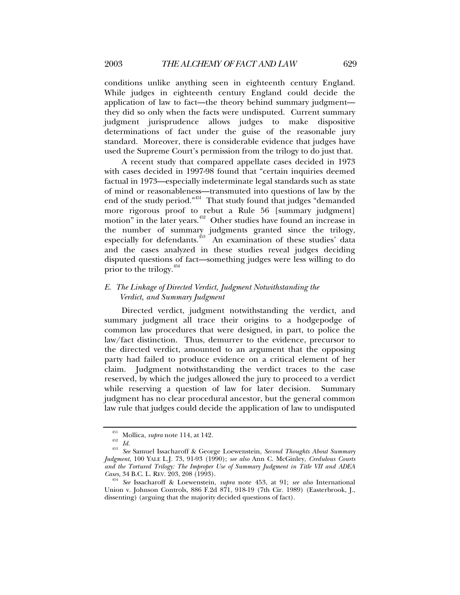conditions unlike anything seen in eighteenth century England. While judges in eighteenth century England could decide the application of law to fact—the theory behind summary judgment they did so only when the facts were undisputed. Current summary judgment jurisprudence allows judges to make dispositive determinations of fact under the guise of the reasonable jury standard. Moreover, there is considerable evidence that judges have used the Supreme Court's permission from the trilogy to do just that.

A recent study that compared appellate cases decided in 1973 with cases decided in 1997-98 found that "certain inquiries deemed factual in 1973—especially indeterminate legal standards such as state of mind or reasonableness—transmuted into questions of law by the end of the study period."451 That study found that judges "demanded more rigorous proof to rebut a Rule 56 [summary judgment] mote right of process  $\frac{1}{2}$  other studies have found an increase in the number of summary judgments granted since the trilogy, especially for defendants.<sup>453</sup> An examination of these studies' data and the cases analyzed in these studies reveal judges deciding disputed questions of fact—something judges were less willing to do prior to the trilogy.<sup>454</sup>

# *E. The Linkage of Directed Verdict, Judgment Notwithstanding the Verdict, and Summary Judgment*

Directed verdict, judgment notwithstanding the verdict, and summary judgment all trace their origins to a hodgepodge of common law procedures that were designed, in part, to police the law/fact distinction. Thus, demurrer to the evidence, precursor to the directed verdict, amounted to an argument that the opposing party had failed to produce evidence on a critical element of her claim. Judgment notwithstanding the verdict traces to the case reserved, by which the judges allowed the jury to proceed to a verdict while reserving a question of law for later decision. Summary judgment has no clear procedural ancestor, but the general common law rule that judges could decide the application of law to undisputed

<sup>451</sup> Mollica, *supra* note 114, at 142. 452 *Id.* <sup>453</sup> *See* Samuel Issacharoff & George Loewenstein, *Second Thoughts About Summary Judgment*, 100 YALE L.J. 73, 91-93 (1990); *see also* Ann C. McGinley, *Credulous Courts*  and the Tortured Trilogy: The Improper Use of Summary Judgment in Title VII and ADEA Cases, 34 B.C. L. REV. 203, 208 (1993).

<sup>&</sup>lt;sup>454</sup> See Issacharoff & Loewenstein, *supra* note 453, at 91; *see also* International Union v. Johnson Controls, 886 F.2d 871, 918-19 (7th Cir. 1989) (Easterbrook, J., dissenting) (arguing that the majority decided questions of fact).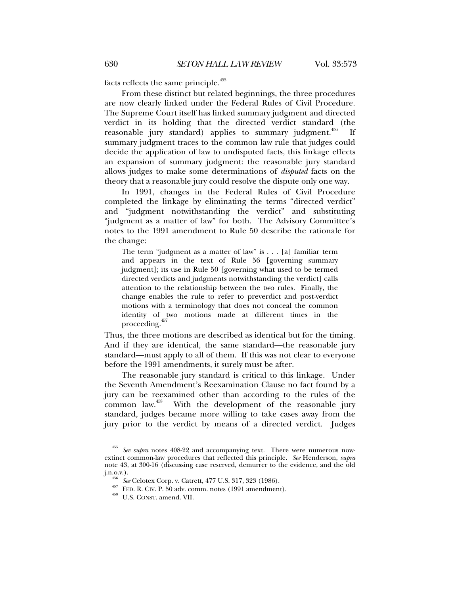facts reflects the same principle.<sup>455</sup>

From these distinct but related beginnings, the three procedures are now clearly linked under the Federal Rules of Civil Procedure. The Supreme Court itself has linked summary judgment and directed verdict in its holding that the directed verdict standard (the reasonable jury standard) applies to summary judgment.<sup> $456$ </sup> If summary judgment traces to the common law rule that judges could decide the application of law to undisputed facts, this linkage effects an expansion of summary judgment: the reasonable jury standard allows judges to make some determinations of *disputed* facts on the theory that a reasonable jury could resolve the dispute only one way.

In 1991, changes in the Federal Rules of Civil Procedure completed the linkage by eliminating the terms "directed verdict" and "judgment notwithstanding the verdict" and substituting "judgment as a matter of law" for both. The Advisory Committee's notes to the 1991 amendment to Rule 50 describe the rationale for the change:

The term "judgment as a matter of law" is . . . [a] familiar term and appears in the text of Rule 56 [governing summary judgment]; its use in Rule 50 [governing what used to be termed directed verdicts and judgments notwithstanding the verdict] calls attention to the relationship between the two rules. Finally, the change enables the rule to refer to preverdict and post-verdict motions with a terminology that does not conceal the common identity of two motions made at different times in the proceeding.

Thus, the three motions are described as identical but for the timing. And if they are identical, the same standard—the reasonable jury standard—must apply to all of them. If this was not clear to everyone before the 1991 amendments, it surely must be after.

The reasonable jury standard is critical to this linkage. Under the Seventh Amendment's Reexamination Clause no fact found by a jury can be reexamined other than according to the rules of the common law.<sup>458</sup> With the development of the reasonable jury With the development of the reasonable jury standard, judges became more willing to take cases away from the jury prior to the verdict by means of a directed verdict. Judges

<sup>455</sup> *See supra* notes 408-22 and accompanying text. There were numerous nowextinct common-law procedures that reflected this principle. *See* Henderson, *supra* note 43, at 300-16 (discussing case reserved, demurrer to the evidence, and the old

j.n.o.v.). 456 *See* Celotex Corp. v. Catrett, 477 U.S. 317, 323 (1986). 457 FED. R. CIV. P. 50 adv. comm. notes (1991 amendment). 458 U.S. CONST. amend. VII.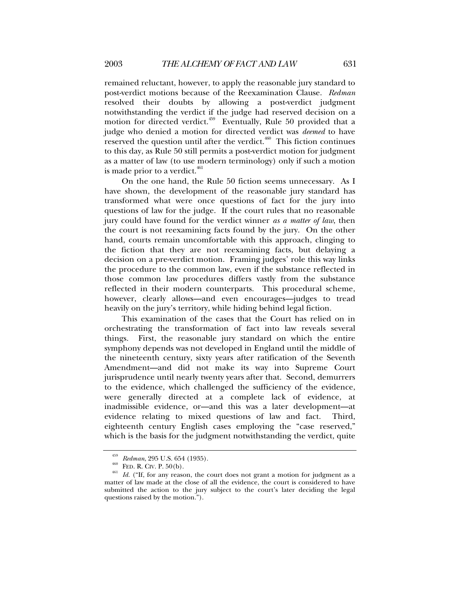remained reluctant, however, to apply the reasonable jury standard to post-verdict motions because of the Reexamination Clause. *Redman* resolved their doubts by allowing a post-verdict judgment notwithstanding the verdict if the judge had reserved decision on a motion for directed verdict.<sup>459</sup> Eventually, Rule 50 provided that a judge who denied a motion for directed verdict was *deemed* to have reserved the question until after the verdict. $460$  This fiction continues to this day, as Rule 50 still permits a post-verdict motion for judgment as a matter of law (to use modern terminology) only if such a motion is made prior to a verdict.<sup>461</sup>

On the one hand, the Rule 50 fiction seems unnecessary. As I have shown, the development of the reasonable jury standard has transformed what were once questions of fact for the jury into questions of law for the judge. If the court rules that no reasonable jury could have found for the verdict winner *as a matter of law*, then the court is not reexamining facts found by the jury. On the other hand, courts remain uncomfortable with this approach, clinging to the fiction that they are not reexamining facts, but delaying a decision on a pre-verdict motion. Framing judges' role this way links the procedure to the common law, even if the substance reflected in those common law procedures differs vastly from the substance reflected in their modern counterparts. This procedural scheme, however, clearly allows—and even encourages—judges to tread heavily on the jury's territory, while hiding behind legal fiction.

This examination of the cases that the Court has relied on in orchestrating the transformation of fact into law reveals several things. First, the reasonable jury standard on which the entire symphony depends was not developed in England until the middle of the nineteenth century, sixty years after ratification of the Seventh Amendment—and did not make its way into Supreme Court jurisprudence until nearly twenty years after that. Second, demurrers to the evidence, which challenged the sufficiency of the evidence, were generally directed at a complete lack of evidence, at inadmissible evidence, or—and this was a later development—at evidence relating to mixed questions of law and fact. Third, eighteenth century English cases employing the "case reserved," which is the basis for the judgment notwithstanding the verdict, quite

<sup>&</sup>lt;sup>459</sup> *Redman*, 295 U.S. 654 (1935).<br><sup>460</sup> FED. R. CIV. P. 50(b).<br><sup>461</sup> *Id.* ("If, for any reason, the court does not grant a motion for judgment as a matter of law made at the close of all the evidence, the court is considered to have submitted the action to the jury subject to the court's later deciding the legal questions raised by the motion.").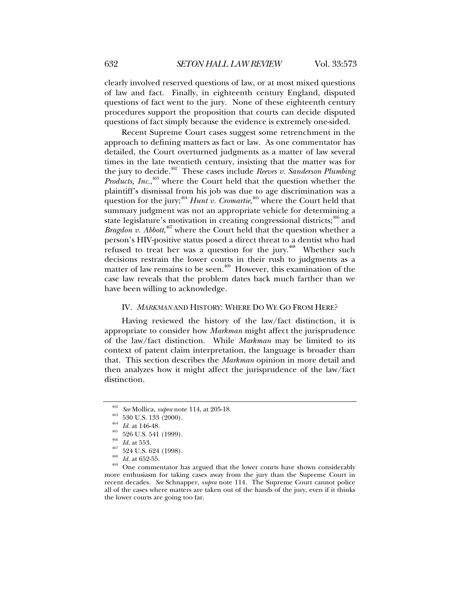clearly involved reserved questions of law, or at most mixed questions of law and fact. Finally, in eighteenth century England, disputed questions of fact went to the jury. None of these eighteenth century procedures support the proposition that courts can decide disputed questions of fact simply because the evidence is extremely one-sided.

Recent Supreme Court cases suggest some retrenchment in the approach to defining matters as fact or law. As one commentator has detailed, the Court overturned judgments as a matter of law several times in the late twentieth century, insisting that the matter was for the jury to decide.462 These cases include *Reeves v. Sanderson Plumbing Products, Inc.*,<sup>463</sup> where the Court held that the question whether the plaintiff's dismissal from his job was due to age discrimination was a question for the jury;<sup>464</sup> *Hunt v. Cromartie*,<sup>465</sup> where the Court held that summary judgment was not an appropriate vehicle for determining a state legislature's motivation in creating congressional districts;<sup>466</sup> and *Bragdon v. Abbott*, 467 where the Court held that the question whether a person's HIV-positive status posed a direct threat to a dentist who had refused to treat her was a question for the jury.<sup>468</sup> Whether such decisions restrain the lower courts in their rush to judgments as a matter of law remains to be seen.<sup> $469$ </sup> However, this examination of the case law reveals that the problem dates back much farther than we have been willing to acknowledge.

# IV. *MARKMAN* AND HISTORY: WHERE DO WE GO FROM HERE?

Having reviewed the history of the law/fact distinction, it is appropriate to consider how *Markman* might affect the jurisprudence of the law/fact distinction. While *Markman* may be limited to its context of patent claim interpretation, the language is broader than that. This section describes the *Markman* opinion in more detail and then analyzes how it might affect the jurisprudence of the law/fact distinction.

<sup>&</sup>lt;sup>462</sup> See Mollica, *supra* note 114, at 205-18.<br><sup>463</sup> 530 U.S. 133 (2000).<br><sup>464</sup> *Id.* at 146-48.<br><sup>465</sup> 526 U.S. 541 (1999).<br><sup>466</sup> 524 U.S. 624 (1998).<br><sup>468</sup> 524 U.S. 624 (1998).<br><sup>468</sup> *Id.* at 652-55.<br>One commentator has more enthusiasm for taking cases away from the jury than the Supreme Court in recent decades. *See* Schnapper, *supra* note 114. The Supreme Court cannot police all of the cases where matters are taken out of the hands of the jury, even if it thinks the lower courts are going too far.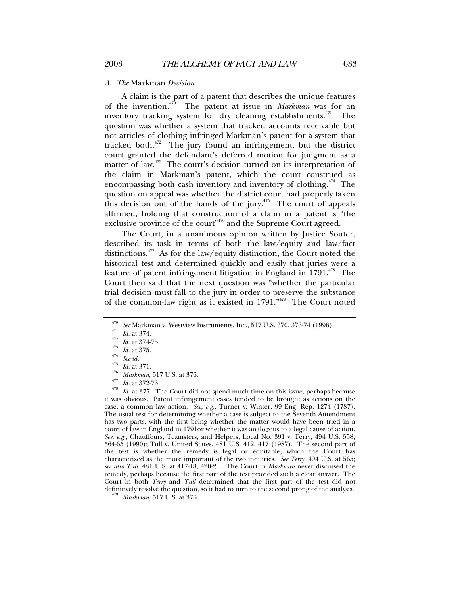#### *A. The* Markman *Decision*

A claim is the part of a patent that describes the unique features of the invention.470 The patent at issue in *Markman* was for an inventory tracking system for dry cleaning establishments.<sup>471</sup> The question was whether a system that tracked accounts receivable but not articles of clothing infringed Markman's patent for a system that tracked both.<sup>472</sup> The jury found an infringement, but the district court granted the defendant's deferred motion for judgment as a matter of law.<sup>473</sup> The court's decision turned on its interpretation of the claim in Markman's patent, which the court construed as encompassing both cash inventory and inventory of clothing.<sup> $474$ </sup> The question on appeal was whether the district court had properly taken this decision out of the hands of the jury.<sup> $475$ </sup> The court of appeals affirmed, holding that construction of a claim in a patent is "the exclusive province of the court<sup>"476</sup> and the Supreme Court agreed.

The Court, in a unanimous opinion written by Justice Souter, described its task in terms of both the law/equity and law/fact distinctions.477 As for the law/equity distinction, the Court noted the historical test and determined quickly and easily that juries were a feature of patent infringement litigation in England in  $1791^{478}$  The Court then said that the next question was "whether the particular trial decision must fall to the jury in order to preserve the substance of the common-law right as it existed in  $1791.^{479}$  The Court noted

<sup>470</sup> See Markman v. Westview Instruments, Inc., 517 U.S. 370, 373-74 (1996).<br><sup>471</sup> *Id.* at 374.<br><sup>472</sup> *Id.* at 374-75.<br><sup>473</sup> *Id.* at 375.<br><sup>475</sup> *Id.* at 377.<br>*A*<sup>476</sup> *Id.* at 371.<br><sup>476</sup> *Id.* at 371.<br>*A*<sup>476</sup> *Id.* at it was obvious. Patent infringement cases tended to be brought as actions on the case, a common law action. *See, e.g.*, Turner v. Winter, 99 Eng. Rep. 1274 (1787). The usual test for determining whether a case is subject to the Seventh Amendment has two parts, with the first being whether the matter would have been tried in a court of law in England in 1791or whether it was analogous to a legal cause of action. *See, e.g.*, Chauffeurs, Teamsters, and Helpers, Local No. 391 v. Terry, 494 U.S. 558, 564-65 (1990); Tull v. United States, 481 U.S. 412, 417 (1987). The second part of the test is whether the remedy is legal or equitable, which the Court has characterized as the more important of the two inquiries. *See Terry*, 494 U.S. at 565; *see also Tull*, 481 U.S. at 417-18, 420-21. The Court in *Markman* never discussed the remedy, perhaps because the first part of the test provided such a clear answer. The Court in both *Terry* and *Tull* determined that the first part of the test did not definitively resolve the question, so it had to turn to the second prong of the analysis. 479 *Markman*, 517 U.S. at 376.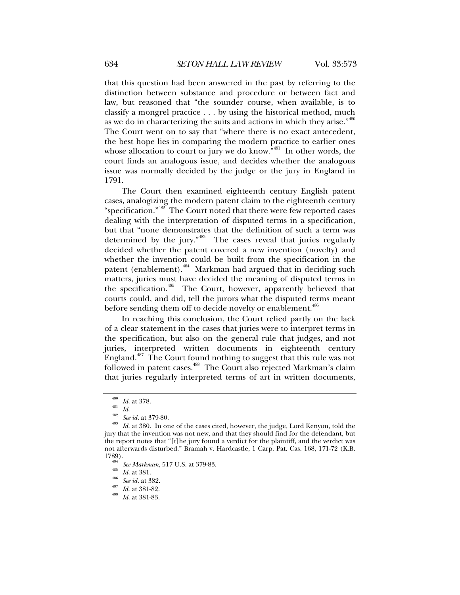that this question had been answered in the past by referring to the distinction between substance and procedure or between fact and law, but reasoned that "the sounder course, when available, is to classify a mongrel practice . . . by using the historical method, much as we do in characterizing the suits and actions in which they arise."<sup>480</sup> The Court went on to say that "where there is no exact antecedent, the best hope lies in comparing the modern practice to earlier ones whose allocation to court or jury we do know. $\overline{a}^{481}$  In other words, the court finds an analogous issue, and decides whether the analogous issue was normally decided by the judge or the jury in England in 1791.

The Court then examined eighteenth century English patent cases, analogizing the modern patent claim to the eighteenth century "specification."482 The Court noted that there were few reported cases dealing with the interpretation of disputed terms in a specification, but that "none demonstrates that the definition of such a term was determined by the jury."483 The cases reveal that juries regularly decided whether the patent covered a new invention (novelty) and whether the invention could be built from the specification in the patent (enablement).<sup>484</sup> Markman had argued that in deciding such matters, juries must have decided the meaning of disputed terms in the specification.<sup>485</sup> The Court, however, apparently believed that courts could, and did, tell the jurors what the disputed terms meant before sending them off to decide novelty or enablement.<sup>486</sup>

In reaching this conclusion, the Court relied partly on the lack of a clear statement in the cases that juries were to interpret terms in the specification, but also on the general rule that judges, and not juries, interpreted written documents in eighteenth century England.<sup>487</sup> The Court found nothing to suggest that this rule was not followed in patent cases.<sup>488</sup> The Court also rejected Markman's claim that juries regularly interpreted terms of art in written documents,

<sup>&</sup>lt;sup>480</sup> *Id.* at 378.<br><sup>482</sup> *Id.*  $\frac{1}{482}$  *See id.* at 379-80.<br><sup>483</sup> *Id.* at 380. In one of the cases cited, however, the judge, Lord Kenyon, told the jury that the invention was not new, and that they should find for the defendant, but the report notes that "[t]he jury found a verdict for the plaintiff, and the verdict was not afterwards disturbed." Bramah v. Hardcastle, 1 Carp. Pat. Cas. 168, 171-72 (K.B.

<sup>1789). 484</sup> *See Markman*, 517 U.S. at 379-83. 485 *Id.* at 381. 486 *See id.* at 382. 487 *Id.* at 381-82. 488 *Id.* at 381-83.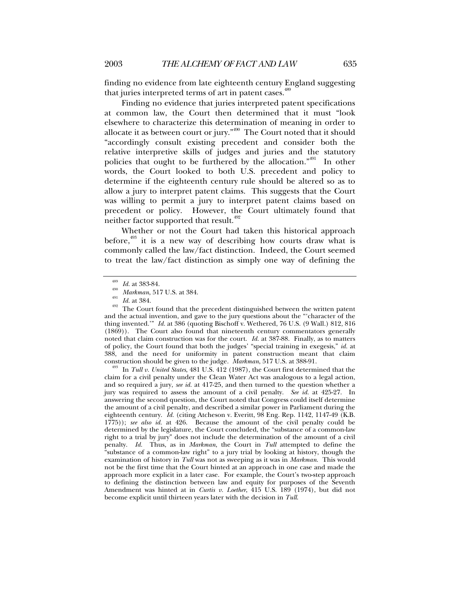finding no evidence from late eighteenth century England suggesting that juries interpreted terms of art in patent cases.<sup>489</sup>

Finding no evidence that juries interpreted patent specifications at common law, the Court then determined that it must "look elsewhere to characterize this determination of meaning in order to allocate it as between court or jury."490 The Court noted that it should "accordingly consult existing precedent and consider both the relative interpretive skills of judges and juries and the statutory policies that ought to be furthered by the allocation."491 In other words, the Court looked to both U.S. precedent and policy to determine if the eighteenth century rule should be altered so as to allow a jury to interpret patent claims. This suggests that the Court was willing to permit a jury to interpret patent claims based on precedent or policy. However, the Court ultimately found that neither factor supported that result.<sup>492</sup>

Whether or not the Court had taken this historical approach before, $493$  it is a new way of describing how courts draw what is commonly called the law/fact distinction. Indeed, the Court seemed to treat the law/fact distinction as simply one way of defining the

In Tull v. United States, 481 U.S. 412 (1987), the Court first determined that the claim for a civil penalty under the Clean Water Act was analogous to a legal action, and so required a jury, *see id.* at 417-25, and then turned to the question whether a jury was required to assess the amount of a civil penalty. *See id.* at 425-27. In answering the second question, the Court noted that Congress could itself determine the amount of a civil penalty, and described a similar power in Parliament during the eighteenth century. *Id.* (citing Atcheson v. Everitt, 98 Eng. Rep. 1142, 1147-49 (K.B. 1775)); *see also id.* at 426. Because the amount of the civil penalty could be determined by the legislature, the Court concluded, the "substance of a common-law right to a trial by jury" does not include the determination of the amount of a civil penalty. *Id.* Thus, as in *Markman*, the Court in *Tull* attempted to define the "substance of a common-law right" to a jury trial by looking at history, though the examination of history in *Tull* was not as sweeping as it was in *Markman*. This would not be the first time that the Court hinted at an approach in one case and made the approach more explicit in a later case. For example, the Court's two-step approach to defining the distinction between law and equity for purposes of the Seventh Amendment was hinted at in *Curtis v. Loether*, 415 U.S. 189 (1974), but did not become explicit until thirteen years later with the decision in *Tull*.

<sup>&</sup>lt;sup>489</sup> *Id.* at 383-84.<br><sup>490</sup> *Markman*, 517 U.S. at 384.<br><sup>491</sup> *Id.* at 384. The Court found that the precedent distinguished between the written patent and the actual invention, and gave to the jury questions about the "'character of the thing invented.'" *Id.* at 386 (quoting Bischoff v. Wethered, 76 U.S. (9 Wall.) 812, 816 (1869)). The Court also found that nineteenth century commentators generally noted that claim construction was for the court. *Id.* at 387-88. Finally, as to matters of policy, the Court found that both the judges' "special training in exegesis," *id.* at 388, and the need for uniformity in patent construction meant that claim construction should be given to the judge. *Markman*, 517 U.S. at 388-91.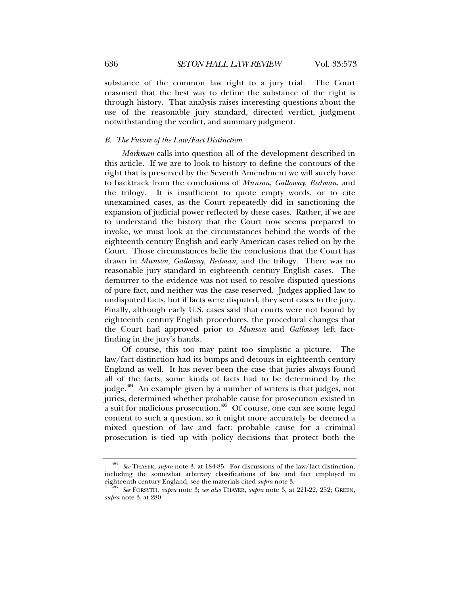substance of the common law right to a jury trial. The Court reasoned that the best way to define the substance of the right is through history. That analysis raises interesting questions about the use of the reasonable jury standard, directed verdict, judgment notwithstanding the verdict, and summary judgment.

# *B. The Future of the Law/Fact Distinction*

*Markman* calls into question all of the development described in this article. If we are to look to history to define the contours of the right that is preserved by the Seventh Amendment we will surely have to backtrack from the conclusions of *Munson*, *Galloway*, *Redman*, and the trilogy. It is insufficient to quote empty words, or to cite unexamined cases, as the Court repeatedly did in sanctioning the expansion of judicial power reflected by these cases. Rather, if we are to understand the history that the Court now seems prepared to invoke, we must look at the circumstances behind the words of the eighteenth century English and early American cases relied on by the Court. Those circumstances belie the conclusions that the Court has drawn in *Munson*, *Galloway*, *Redman*, and the trilogy. There was no reasonable jury standard in eighteenth century English cases. The demurrer to the evidence was not used to resolve disputed questions of pure fact, and neither was the case reserved. Judges applied law to undisputed facts, but if facts were disputed, they sent cases to the jury. Finally, although early U.S. cases said that courts were not bound by eighteenth century English procedures, the procedural changes that the Court had approved prior to *Munson* and *Galloway* left factfinding in the jury's hands.

Of course, this too may paint too simplistic a picture. The law/fact distinction had its bumps and detours in eighteenth century England as well. It has never been the case that juries always found all of the facts; some kinds of facts had to be determined by the judge.<sup>494</sup> An example given by a number of writers is that judges, not juries, determined whether probable cause for prosecution existed in a suit for malicious prosecution.<sup>495</sup> Of course, one can see some legal content to such a question, so it might more accurately be deemed a mixed question of law and fact: probable cause for a criminal prosecution is tied up with policy decisions that protect both the

<sup>494</sup> *See* THAYER, *supra* note 3, at 184-85. For discussions of the law/fact distinction, including the somewhat arbitrary classifications of law and fact employed in eighteenth century England, see the materials cited *supra* note 3. 495 *See* FORSYTH, *supra* note 3; *see also* THAYER, *supra* note 3, at 221-22, 252; GREEN,

*supra* note 3, at 280.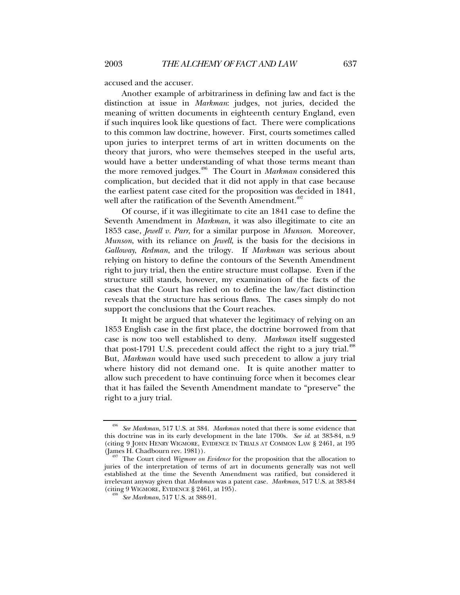accused and the accuser.

Another example of arbitrariness in defining law and fact is the distinction at issue in *Markman*: judges, not juries, decided the meaning of written documents in eighteenth century England, even if such inquires look like questions of fact. There were complications to this common law doctrine, however. First, courts sometimes called upon juries to interpret terms of art in written documents on the theory that jurors, who were themselves steeped in the useful arts, would have a better understanding of what those terms meant than the more removed judges.496 The Court in *Markman* considered this complication, but decided that it did not apply in that case because the earliest patent case cited for the proposition was decided in 1841, well after the ratification of the Seventh Amendment.<sup>497</sup>

Of course, if it was illegitimate to cite an 1841 case to define the Seventh Amendment in *Markman*, it was also illegitimate to cite an 1853 case, *Jewell v. Parr*, for a similar purpose in *Munson*. Moreover, *Munson*, with its reliance on *Jewell*, is the basis for the decisions in *Galloway*, *Redman*, and the trilogy. If *Markman* was serious about relying on history to define the contours of the Seventh Amendment right to jury trial, then the entire structure must collapse. Even if the structure still stands, however, my examination of the facts of the cases that the Court has relied on to define the law/fact distinction reveals that the structure has serious flaws. The cases simply do not support the conclusions that the Court reaches.

It might be argued that whatever the legitimacy of relying on an 1853 English case in the first place, the doctrine borrowed from that case is now too well established to deny. *Markman* itself suggested that post-1791 U.S. precedent could affect the right to a jury trial.<sup> $498$ </sup> But, *Markman* would have used such precedent to allow a jury trial where history did not demand one. It is quite another matter to allow such precedent to have continuing force when it becomes clear that it has failed the Seventh Amendment mandate to "preserve" the right to a jury trial.

<sup>496</sup> *See Markman*, 517 U.S. at 384. *Markman* noted that there is some evidence that this doctrine was in its early development in the late 1700s. *See id*. at 383-84, n.9 (citing 9 JOHN HENRY WIGMORE, EVIDENCE IN TRIALS AT COMMON LAW § 2461, at 195 (James H. Chadbourn rev. 1981)).

The Court cited *Wigmore on Evidence* for the proposition that the allocation to juries of the interpretation of terms of art in documents generally was not well established at the time the Seventh Amendment was ratified, but considered it irrelevant anyway given that *Markman* was a patent case. *Markman*, 517 U.S. at 383-84 (citing 9 WIGMORE, EVIDENCE § 2461, at 195). 498 *See Markman*, 517 U.S. at 388-91.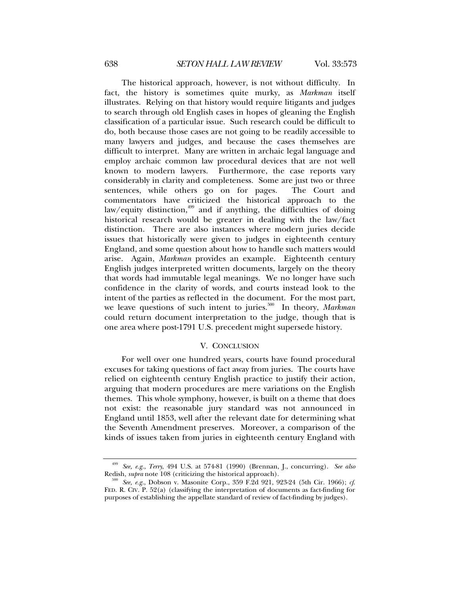The historical approach, however, is not without difficulty. In fact, the history is sometimes quite murky, as *Markman* itself illustrates. Relying on that history would require litigants and judges to search through old English cases in hopes of gleaning the English classification of a particular issue. Such research could be difficult to do, both because those cases are not going to be readily accessible to many lawyers and judges, and because the cases themselves are difficult to interpret. Many are written in archaic legal language and employ archaic common law procedural devices that are not well known to modern lawyers. Furthermore, the case reports vary considerably in clarity and completeness. Some are just two or three sentences, while others go on for pages. The Court and commentators have criticized the historical approach to the law/equity distinction, $499$  and if anything, the difficulties of doing historical research would be greater in dealing with the law/fact distinction. There are also instances where modern juries decide issues that historically were given to judges in eighteenth century England, and some question about how to handle such matters would arise. Again, *Markman* provides an example. Eighteenth century English judges interpreted written documents, largely on the theory that words had immutable legal meanings. We no longer have such confidence in the clarity of words, and courts instead look to the intent of the parties as reflected in the document. For the most part, we leave questions of such intent to juries.<sup>500</sup> In theory, *Markman* could return document interpretation to the judge, though that is one area where post-1791 U.S. precedent might supersede history.

# V. CONCLUSION

For well over one hundred years, courts have found procedural excuses for taking questions of fact away from juries. The courts have relied on eighteenth century English practice to justify their action, arguing that modern procedures are mere variations on the English themes. This whole symphony, however, is built on a theme that does not exist: the reasonable jury standard was not announced in England until 1853, well after the relevant date for determining what the Seventh Amendment preserves. Moreover, a comparison of the kinds of issues taken from juries in eighteenth century England with

<sup>499</sup> *See, e.g.*, *Terry*, 494 U.S. at 574-81 (1990) (Brennan, J., concurring). *See also*

See, e.g., Dobson v. Masonite Corp., 359 F.2d 921, 923-24 (5th Cir. 1966); *cf*. FED. R. CIV. P. 52(a) (classifying the interpretation of documents as fact-finding for purposes of establishing the appellate standard of review of fact-finding by judges).